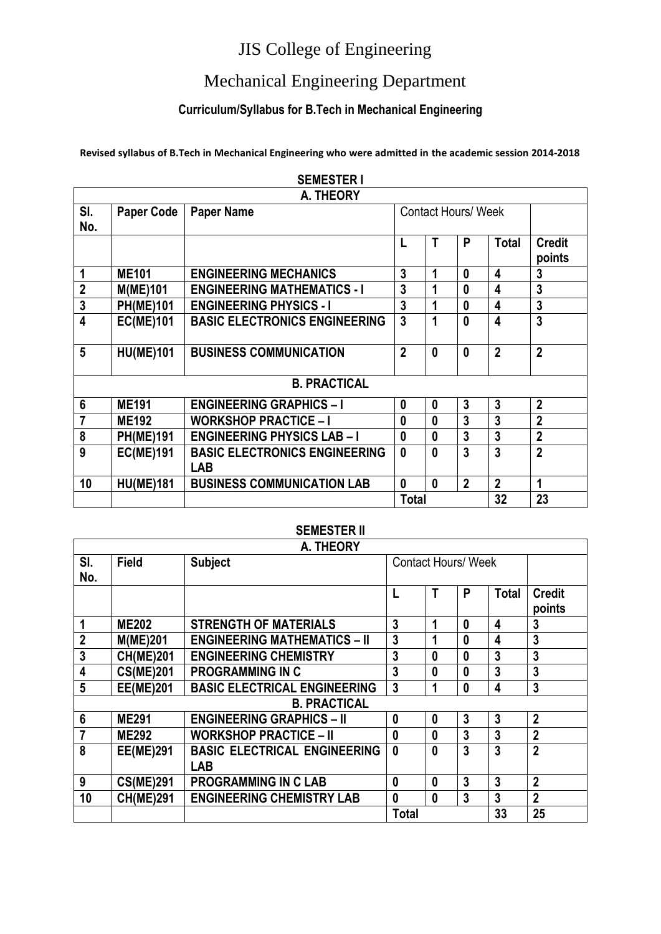#### Mechanical Engineering Department

#### **Curriculum/Syllabus for B.Tech in Mechanical Engineering**

**Revised syllabus of B.Tech in Mechanical Engineering who were admitted in the academic session 2014-2018**

|                         |                   | A. THEORY                                          |                |                            |                  |                |                         |
|-------------------------|-------------------|----------------------------------------------------|----------------|----------------------------|------------------|----------------|-------------------------|
| SI.<br>No.              | <b>Paper Code</b> | <b>Paper Name</b>                                  |                | <b>Contact Hours/ Week</b> |                  |                |                         |
|                         |                   |                                                    |                | T                          | P                | <b>Total</b>   | <b>Credit</b><br>points |
| 1                       | <b>ME101</b>      | <b>ENGINEERING MECHANICS</b>                       | 3              | 1                          | $\bf{0}$         | 4              | 3                       |
| $\mathbf{2}$            | M(ME)101          | <b>ENGINEERING MATHEMATICS - I</b>                 | 3              | 1                          | N                | 4              | 3                       |
| $\overline{3}$          | <b>PH(ME)101</b>  | <b>ENGINEERING PHYSICS - I</b>                     | $\overline{3}$ | 1                          | 0                | 4              | 3                       |
| $\overline{\mathbf{4}}$ | <b>EC(ME)101</b>  | <b>BASIC ELECTRONICS ENGINEERING</b>               | $\overline{3}$ | 1                          | $\boldsymbol{0}$ | 4              | 3                       |
| 5                       | <b>HU(ME)101</b>  | <b>BUSINESS COMMUNICATION</b>                      | $\overline{2}$ | $\bf{0}$                   | $\bf{0}$         | $\overline{2}$ | $\overline{2}$          |
|                         |                   | <b>B. PRACTICAL</b>                                |                |                            |                  |                |                         |
| $6\phantom{1}$          | <b>ME191</b>      | <b>ENGINEERING GRAPHICS - I</b>                    | 0              | $\mathbf{0}$               | 3                | 3              | $\mathbf{2}$            |
| 7                       | <b>ME192</b>      | <b>WORKSHOP PRACTICE - I</b>                       | 0              | $\bf{0}$                   | 3                | 3              | $\overline{2}$          |
| 8                       | <b>PH(ME)191</b>  | <b>ENGINEERING PHYSICS LAB-I</b>                   | $\bf{0}$       | $\mathbf{0}$               | 3                | 3              | $\overline{2}$          |
| 9                       | <b>EC(ME)191</b>  | <b>BASIC ELECTRONICS ENGINEERING</b><br><b>LAB</b> | $\mathbf{0}$   | $\mathbf{0}$               | 3                | 3              | $\overline{2}$          |
| 10                      | <b>HU(ME)181</b>  | <b>BUSINESS COMMUNICATION LAB</b>                  | $\bf{0}$       | $\mathbf{0}$               | $\overline{2}$   | $\mathbf{2}$   | 1                       |
|                         |                   |                                                    | <b>Total</b>   |                            |                  | 32             | 23                      |

#### **SEMESTER I**

#### **SEMESTER II**

| A. THEORY               |                  |                                     |                            |          |              |                  |                         |  |  |
|-------------------------|------------------|-------------------------------------|----------------------------|----------|--------------|------------------|-------------------------|--|--|
| SI.<br>No.              | <b>Field</b>     | <b>Subject</b>                      | <b>Contact Hours/ Week</b> |          |              |                  |                         |  |  |
|                         |                  |                                     |                            | Т        | P            | <b>Total</b>     | <b>Credit</b><br>points |  |  |
|                         | <b>ME202</b>     | <b>STRENGTH OF MATERIALS</b>        | 3                          | 1        | 0            | 4                | 3                       |  |  |
| $\mathbf{2}$            | <b>M(ME)201</b>  | <b>ENGINEERING MATHEMATICS - II</b> | $\overline{3}$             | 1        | 0            | 4                | 3                       |  |  |
| $\overline{\mathbf{3}}$ | <b>CH(ME)201</b> | <b>ENGINEERING CHEMISTRY</b>        | 3                          | $\bf{0}$ | 0            | 3                | 3                       |  |  |
| 4                       | <b>CS(ME)201</b> | <b>PROGRAMMING IN C</b>             | 3                          | 0        | 0            | 3                | 3                       |  |  |
| 5                       | <b>EE(ME)201</b> | <b>BASIC ELECTRICAL ENGINEERING</b> | 3                          | 1        | $\bf{0}$     | $\boldsymbol{4}$ | 3                       |  |  |
|                         |                  | <b>B. PRACTICAL</b>                 |                            |          |              |                  |                         |  |  |
| $6\phantom{1}$          | <b>ME291</b>     | <b>ENGINEERING GRAPHICS - II</b>    | $\boldsymbol{0}$           | $\bf{0}$ | $\mathbf{3}$ | 3                | $\overline{2}$          |  |  |
| $\overline{7}$          | <b>ME292</b>     | <b>WORKSHOP PRACTICE - II</b>       | $\bf{0}$                   | $\bf{0}$ | 3            | 3                | $\overline{2}$          |  |  |
| 8                       | <b>EE(ME)291</b> | <b>BASIC ELECTRICAL ENGINEERING</b> | $\mathbf{0}$               | $\bf{0}$ | 3            | 3                | 2                       |  |  |
|                         |                  | <b>LAB</b>                          |                            |          |              |                  |                         |  |  |
| 9                       | <b>CS(ME)291</b> | <b>PROGRAMMING IN C LAB</b>         | $\boldsymbol{0}$           | 0        | 3            | 3                | $\overline{2}$          |  |  |
| 10                      | <b>CH(ME)291</b> | <b>ENGINEERING CHEMISTRY LAB</b>    | $\boldsymbol{0}$           | $\bf{0}$ | 3            | 3                | $\overline{2}$          |  |  |
|                         |                  |                                     | Total                      |          |              | 33               | 25                      |  |  |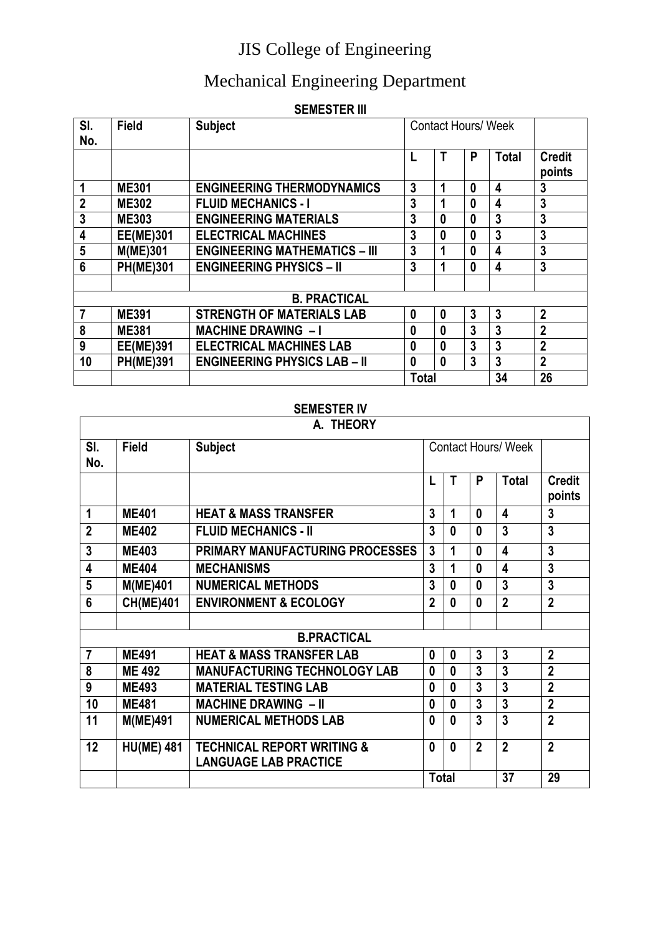#### Mechanical Engineering Department

#### **SEMESTER III**

| SI.<br>No.              | <b>Field</b>     | <b>Subject</b>                       | <b>Contact Hours/ Week</b> |                  |              |                         |                         |
|-------------------------|------------------|--------------------------------------|----------------------------|------------------|--------------|-------------------------|-------------------------|
|                         |                  |                                      |                            |                  | P            | <b>Total</b>            | <b>Credit</b><br>points |
| $\mathbf 1$             | <b>ME301</b>     | <b>ENGINEERING THERMODYNAMICS</b>    | 3                          | 1                | $\mathbf{0}$ | 4                       | 3                       |
| $\mathbf{2}$            | <b>ME302</b>     | <b>FLUID MECHANICS - I</b>           | 3                          |                  | 0            | 4                       | 3                       |
| $\overline{\mathbf{3}}$ | <b>ME303</b>     | <b>ENGINEERING MATERIALS</b>         | 3                          | 0                | 0            | 3                       | 3                       |
| 4                       | <b>EE(ME)301</b> | <b>ELECTRICAL MACHINES</b>           | 3                          | $\bf{0}$         | 0            | 3                       | 3                       |
| 5                       | <b>M(ME)301</b>  | <b>ENGINEERING MATHEMATICS - III</b> | 3                          | 1                | 0            | $\overline{\mathbf{4}}$ | 3                       |
| 6                       | <b>PH(ME)301</b> | <b>ENGINEERING PHYSICS - II</b>      | 3                          | 1                | $\mathbf{0}$ | 4                       | 3                       |
|                         |                  |                                      |                            |                  |              |                         |                         |
|                         |                  | <b>B. PRACTICAL</b>                  |                            |                  |              |                         |                         |
| $\overline{7}$          | <b>ME391</b>     | <b>STRENGTH OF MATERIALS LAB</b>     | 0                          | $\boldsymbol{0}$ | 3            | $\overline{3}$          | $\mathbf{2}$            |
| 8                       | <b>ME381</b>     | <b>MACHINE DRAWING - I</b>           | 0                          | $\boldsymbol{0}$ | 3            | 3                       | $\overline{2}$          |
| 9                       | <b>EE(ME)391</b> | <b>ELECTRICAL MACHINES LAB</b>       | $\mathbf{0}$               | $\mathbf{0}$     | 3            | 3                       | $\overline{2}$          |
| 10                      | <b>PH(ME)391</b> | <b>ENGINEERING PHYSICS LAB - II</b>  | 0                          | $\mathbf{0}$     | 3            | 3                       | $\overline{2}$          |
|                         |                  |                                      | <b>Total</b>               |                  |              | 34                      | 26                      |

#### **SEMESTER IV**

|                         |                   | A. THEORY                                                             |                  |                            |                |                |                         |
|-------------------------|-------------------|-----------------------------------------------------------------------|------------------|----------------------------|----------------|----------------|-------------------------|
| SI.<br>No.              | <b>Field</b>      | <b>Subject</b>                                                        |                  | <b>Contact Hours/ Week</b> |                |                |                         |
|                         |                   |                                                                       | L                | т                          | P              | <b>Total</b>   | <b>Credit</b><br>points |
| 1                       | <b>ME401</b>      | <b>HEAT &amp; MASS TRANSFER</b>                                       | 3                | $\mathbf 1$                | 0              | 4              | 3                       |
| $\overline{2}$          | <b>ME402</b>      | <b>FLUID MECHANICS - II</b>                                           | 3                | $\mathbf{0}$               | $\bf{0}$       | 3              | 3                       |
| 3                       | <b>ME403</b>      | PRIMARY MANUFACTURING PROCESSES                                       | 3                | 1                          | $\bf{0}$       | 4              | 3                       |
| $\overline{\mathbf{4}}$ | <b>ME404</b>      | <b>MECHANISMS</b>                                                     | 3                | 1                          | $\mathbf{0}$   | 4              | $\overline{3}$          |
| 5                       | <b>M(ME)401</b>   | <b>NUMERICAL METHODS</b>                                              | 3                | $\mathbf{0}$               | 0              | 3              | 3                       |
| 6                       | <b>CH(ME)401</b>  | <b>ENVIRONMENT &amp; ECOLOGY</b>                                      | $\mathbf{2}$     | 0                          | $\bf{0}$       | $\overline{2}$ | $\overline{2}$          |
|                         |                   |                                                                       |                  |                            |                |                |                         |
|                         |                   | <b>B.PRACTICAL</b>                                                    |                  |                            |                |                |                         |
| $\overline{7}$          | <b>ME491</b>      | <b>HEAT &amp; MASS TRANSFER LAB</b>                                   | $\boldsymbol{0}$ | $\mathbf{0}$               | $\overline{3}$ | 3              | $\overline{2}$          |
| 8                       | <b>ME 492</b>     | <b>MANUFACTURING TECHNOLOGY LAB</b>                                   | 0                | $\bf{0}$                   | 3              | $\overline{3}$ | $\overline{2}$          |
| 9                       | <b>ME493</b>      | <b>MATERIAL TESTING LAB</b>                                           | 0                | $\bf{0}$                   | 3              | 3              | $\overline{2}$          |
| 10                      | <b>ME481</b>      | <b>MACHINE DRAWING - II</b>                                           | 0                | 0                          | $\overline{3}$ | $\overline{3}$ | $\overline{2}$          |
| 11                      | <b>M(ME)491</b>   | <b>NUMERICAL METHODS LAB</b>                                          | $\mathbf{0}$     | 0                          | $\overline{3}$ | $\overline{3}$ | $\overline{2}$          |
| 12                      | <b>HU(ME) 481</b> | <b>TECHNICAL REPORT WRITING &amp;</b><br><b>LANGUAGE LAB PRACTICE</b> | $\mathbf{0}$     | $\mathbf{0}$               | $\overline{2}$ | $\overline{2}$ | $\overline{2}$          |
|                         |                   |                                                                       | <b>Total</b>     |                            |                | 37             | 29                      |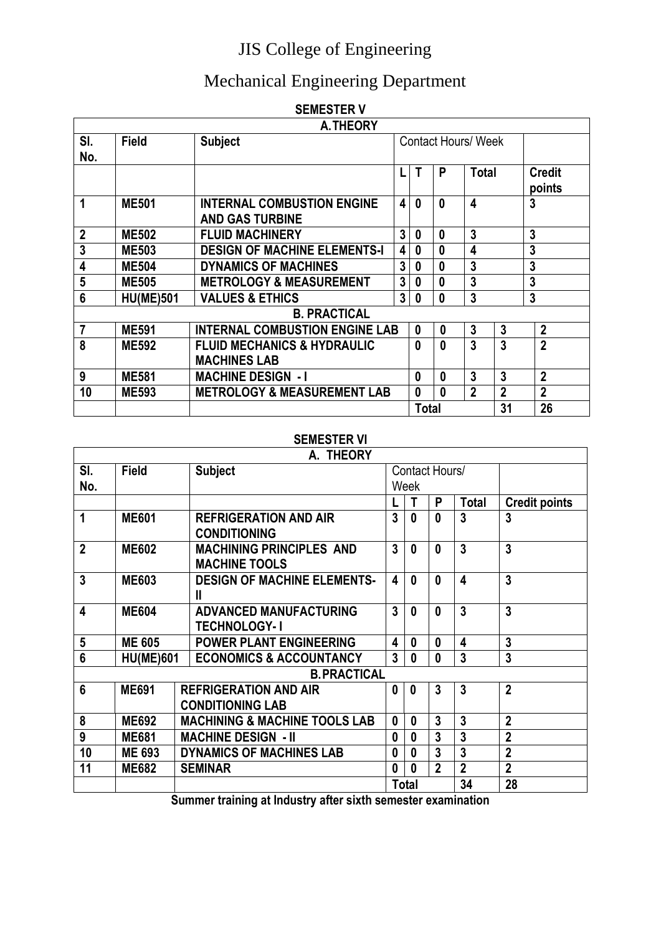## Mechanical Engineering Department

|                  |                  | <b>SEMESIER V</b>                                           |   |                            |                  |                |                |                         |
|------------------|------------------|-------------------------------------------------------------|---|----------------------------|------------------|----------------|----------------|-------------------------|
|                  |                  | A. THEORY                                                   |   |                            |                  |                |                |                         |
| SI.              | <b>Field</b>     | <b>Subject</b>                                              |   | <b>Contact Hours/ Week</b> |                  |                |                |                         |
| No.              |                  |                                                             |   |                            |                  |                |                |                         |
|                  |                  |                                                             |   |                            | P                | <b>Total</b>   |                | <b>Credit</b><br>points |
|                  | <b>ME501</b>     | <b>INTERNAL COMBUSTION ENGINE</b><br><b>AND GAS TURBINE</b> | 4 | 0                          | 0                | 4              |                | 3                       |
| $\boldsymbol{2}$ | <b>ME502</b>     | <b>FLUID MACHINERY</b>                                      | 3 | 0                          | 0                | 3              |                | 3                       |
| $\overline{3}$   | <b>ME503</b>     | <b>DESIGN OF MACHINE ELEMENTS-I</b>                         | 4 | 0                          | 0                | 4              |                | 3                       |
| 4                | <b>ME504</b>     | <b>DYNAMICS OF MACHINES</b>                                 | 3 | 0                          | 0                | 3              |                | 3                       |
| 5                | <b>ME505</b>     | <b>METROLOGY &amp; MEASUREMENT</b>                          | 3 | 0                          | 0                | 3              |                | 3                       |
| 6                | <b>HU(ME)501</b> | <b>VALUES &amp; ETHICS</b>                                  | 3 | 0                          | 0                | 3              |                | 3                       |
|                  |                  | <b>B. PRACTICAL</b>                                         |   |                            |                  |                |                |                         |
| $\overline{7}$   | <b>ME591</b>     | <b>INTERNAL COMBUSTION ENGINE LAB</b>                       |   | $\mathbf{0}$               | $\bf{0}$         | 3              | 3              | $\mathbf{2}$            |
| 8                | <b>ME592</b>     | <b>FLUID MECHANICS &amp; HYDRAULIC</b>                      |   | $\bf{0}$                   | $\boldsymbol{0}$ | 3              | 3              | $\overline{2}$          |
|                  |                  | <b>MACHINES LAB</b>                                         |   |                            |                  |                |                |                         |
| 9                | <b>ME581</b>     | <b>MACHINE DESIGN - I</b>                                   |   | 0                          | 0                | 3              | 3              | $\overline{2}$          |
| 10               | <b>ME593</b>     | <b>METROLOGY &amp; MEASUREMENT LAB</b>                      |   | $\bf{0}$                   | $\bf{0}$         | $\overline{2}$ | $\overline{2}$ | $\overline{2}$          |
|                  |                  |                                                             |   | Total                      |                  |                | 31             | 26                      |

#### **SEMESTER V**

#### **SEMESTER VI**

|              | A. THEORY        |                                                         |                         |              |                |                         |                      |  |  |
|--------------|------------------|---------------------------------------------------------|-------------------------|--------------|----------------|-------------------------|----------------------|--|--|
| SI.          | <b>Field</b>     | <b>Subject</b>                                          |                         |              | Contact Hours/ |                         |                      |  |  |
| No.          |                  |                                                         |                         | Week         |                |                         |                      |  |  |
|              |                  |                                                         |                         | Τ            | P              | <b>Total</b>            | <b>Credit points</b> |  |  |
| 1            | <b>ME601</b>     | <b>REFRIGERATION AND AIR</b><br><b>CONDITIONING</b>     | 3                       | 0            | 0              | 3                       | 3                    |  |  |
| $\mathbf{2}$ | <b>ME602</b>     | <b>MACHINING PRINCIPLES AND</b><br><b>MACHINE TOOLS</b> | $\mathbf{3}$            | 0            | $\mathbf{0}$   | 3                       | 3                    |  |  |
| 3            | <b>ME603</b>     | <b>DESIGN OF MACHINE ELEMENTS-</b><br>Ш                 | $\overline{\mathbf{4}}$ | 0            | 0              | $\overline{\mathbf{4}}$ | 3                    |  |  |
| 4            | <b>ME604</b>     | <b>ADVANCED MANUFACTURING</b><br><b>TECHNOLOGY-1</b>    | $\overline{3}$          | $\mathbf{0}$ | $\mathbf{0}$   | $\overline{3}$          | 3                    |  |  |
| 5            | <b>ME 605</b>    | <b>POWER PLANT ENGINEERING</b>                          | 4                       | 0            | $\mathbf{0}$   | 4                       | 3                    |  |  |
| 6            | <b>HU(ME)601</b> | <b>ECONOMICS &amp; ACCOUNTANCY</b>                      | $\overline{3}$          | 0            | $\mathbf{0}$   | $\overline{3}$          | 3                    |  |  |
|              |                  |                                                         | <b>B. PRACTICAL</b>     |              |                |                         |                      |  |  |
| 6            | <b>ME691</b>     | <b>REFRIGERATION AND AIR</b>                            | $\bf{0}$                | 0            | 3              | $\overline{3}$          | $\overline{2}$       |  |  |
|              |                  | <b>CONDITIONING LAB</b>                                 |                         |              |                |                         |                      |  |  |
| 8            | <b>ME692</b>     | <b>MACHINING &amp; MACHINE TOOLS LAB</b>                | $\mathbf{0}$            | 0            | 3              | 3                       | $\overline{2}$       |  |  |
| 9            | <b>ME681</b>     | <b>MACHINE DESIGN - II</b>                              | $\boldsymbol{0}$        | 0            | 3              | 3                       | $\overline{2}$       |  |  |
| 10           | <b>ME 693</b>    | DYNAMICS OF MACHINES LAB                                | $\boldsymbol{0}$        | 0            | 3              | $\overline{3}$          | $\overline{2}$       |  |  |
| 11           | <b>ME682</b>     | <b>SEMINAR</b>                                          | $\boldsymbol{0}$        | 0            | $\overline{2}$ | $\overline{2}$          | $\overline{2}$       |  |  |
|              |                  |                                                         |                         | Total        |                | 34                      | 28                   |  |  |

**Summer training at Industry after sixth semester examination**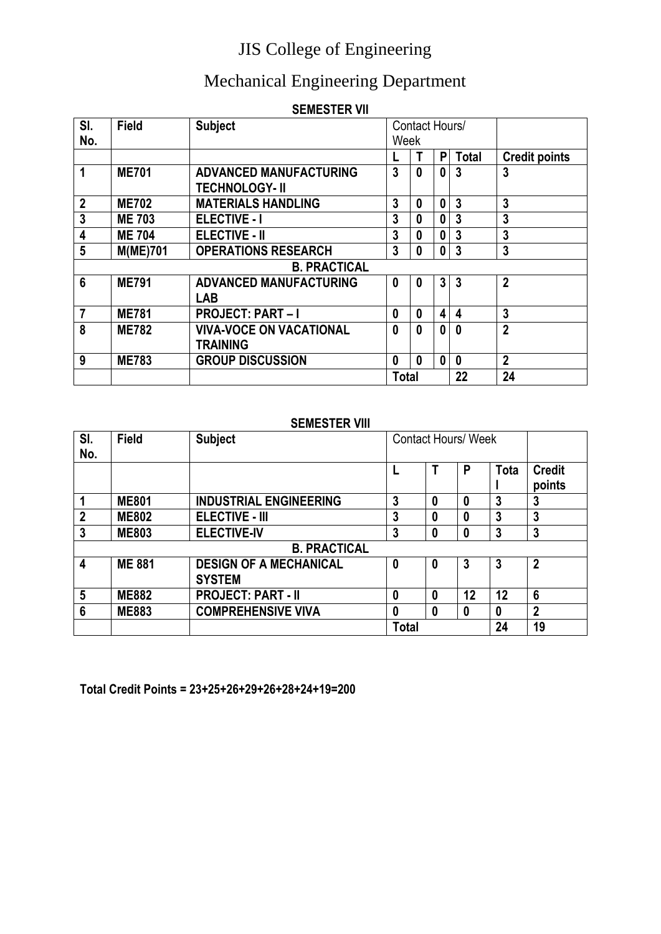#### Mechanical Engineering Department

| <b>SEMESTER VII</b> |
|---------------------|
|---------------------|

| SI.                     | <b>Field</b>    | <b>Subject</b>                 | Contact Hours/   |              |              |                |                      |
|-------------------------|-----------------|--------------------------------|------------------|--------------|--------------|----------------|----------------------|
| No.                     |                 |                                | Week             |              |              |                |                      |
|                         |                 |                                |                  | Τ            | P            | <b>Total</b>   | <b>Credit points</b> |
| 1                       | <b>ME701</b>    | <b>ADVANCED MANUFACTURING</b>  | 3                | $\bf{0}$     | $\bf{0}$     | 3              | 3                    |
|                         |                 | <b>TECHNOLOGY-II</b>           |                  |              |              |                |                      |
| $\boldsymbol{2}$        | <b>ME702</b>    | <b>MATERIALS HANDLING</b>      | 3                | 0            | $\bf{0}$     | 3              | 3                    |
| $\overline{\mathbf{3}}$ | <b>ME 703</b>   | <b>ELECTIVE - I</b>            | 3                | 0            | 0            | 3              | 3                    |
| 4                       | <b>ME 704</b>   | <b>ELECTIVE - II</b>           | 3                | 0            | 0            | 3              | 3                    |
| 5                       | <b>M(ME)701</b> | <b>OPERATIONS RESEARCH</b>     | 3                | $\bf{0}$     | $\mathbf{0}$ | 3              | 3                    |
|                         |                 | <b>B. PRACTICAL</b>            |                  |              |              |                |                      |
| $6\phantom{1}6$         | <b>ME791</b>    | <b>ADVANCED MANUFACTURING</b>  | $\mathbf{0}$     | $\bf{0}$     | 3            | $\overline{3}$ | $\overline{2}$       |
|                         |                 | <b>LAB</b>                     |                  |              |              |                |                      |
| $\overline{7}$          | <b>ME781</b>    | <b>PROJECT: PART-I</b>         | $\boldsymbol{0}$ | 0            | 4            | 4              | 3                    |
| 8                       | <b>ME782</b>    | <b>VIVA-VOCE ON VACATIONAL</b> | 0                | $\bf{0}$     | 0            | $\bf{0}$       | $\overline{2}$       |
|                         |                 | <b>TRAINING</b>                |                  |              |              |                |                      |
| 9                       | <b>ME783</b>    | <b>GROUP DISCUSSION</b>        | $\mathbf{0}$     | $\mathbf{0}$ | $\bf{0}$     | $\mathbf{0}$   | $\overline{2}$       |
|                         |                 |                                | <b>Total</b>     |              |              | 22             | 24                   |

#### **SEMESTER VIII**

| SI.<br>No.     | <b>Field</b>  | <b>Subject</b>                | <b>Contact Hours/ Week</b> |   |    |      |                         |
|----------------|---------------|-------------------------------|----------------------------|---|----|------|-------------------------|
|                |               |                               |                            |   | P  | Tota | <b>Credit</b><br>points |
|                | <b>ME801</b>  | <b>INDUSTRIAL ENGINEERING</b> | 3                          | 0 | 0  | 3    | 3                       |
| $\overline{2}$ | <b>ME802</b>  | <b>ELECTIVE - III</b>         | 3                          | 0 | 0  | 3    | 3                       |
| 3              | <b>ME803</b>  | <b>ELECTIVE-IV</b>            | 3                          | 0 |    | 3    | 3                       |
|                |               | <b>B. PRACTICAL</b>           |                            |   |    |      |                         |
| 4              | <b>ME 881</b> | <b>DESIGN OF A MECHANICAL</b> | 0                          | 0 | 3  | 3    | 2                       |
|                |               | <b>SYSTEM</b>                 |                            |   |    |      |                         |
| 5              | <b>ME882</b>  | <b>PROJECT: PART - II</b>     | $\mathbf{0}$               | 0 | 12 | 12   | 6                       |
| 6              | <b>ME883</b>  | <b>COMPREHENSIVE VIVA</b>     | 0                          | 0 | 0  |      | $\overline{2}$          |
|                |               |                               | <b>Total</b>               |   |    | 24   | 19                      |

**Total Credit Points = 23+25+26+29+26+28+24+19=200**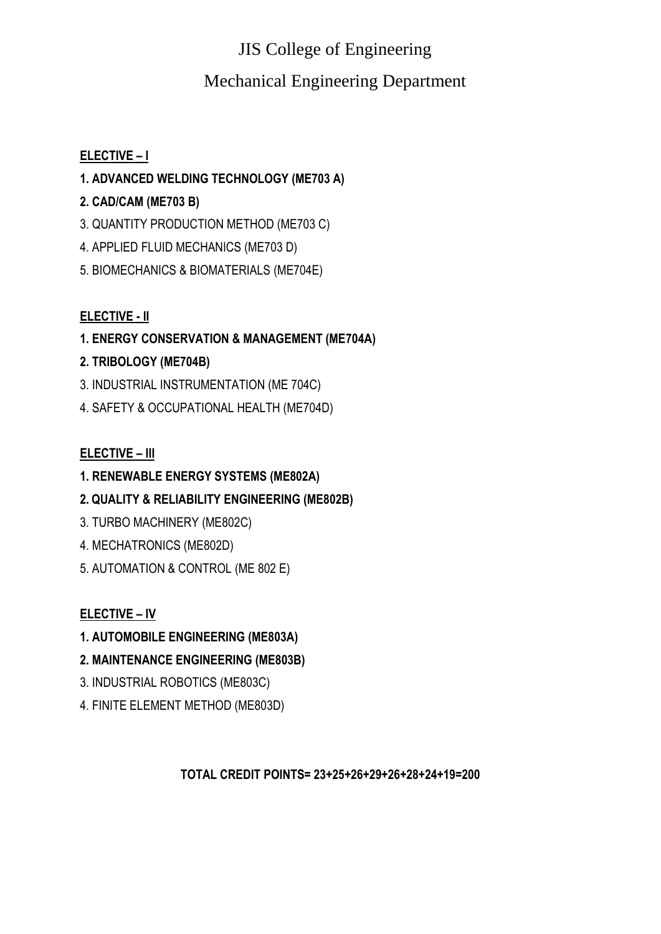#### Mechanical Engineering Department

#### **ELECTIVE – I**

#### **1. ADVANCED WELDING TECHNOLOGY (ME703 A)**

#### **2. CAD/CAM (ME703 B)**

- 3. QUANTITY PRODUCTION METHOD (ME703 C)
- 4. APPLIED FLUID MECHANICS (ME703 D)
- 5. BIOMECHANICS & BIOMATERIALS (ME704E)

#### **ELECTIVE - II**

**1. ENERGY CONSERVATION & MANAGEMENT (ME704A)** 

#### **2. TRIBOLOGY (ME704B)**

- 3. INDUSTRIAL INSTRUMENTATION (ME 704C)
- 4. SAFETY & OCCUPATIONAL HEALTH (ME704D)

#### **ELECTIVE – III**

- **1. RENEWABLE ENERGY SYSTEMS (ME802A)**
- **2. QUALITY & RELIABILITY ENGINEERING (ME802B)**
- 3. TURBO MACHINERY (ME802C)
- 4. MECHATRONICS (ME802D)
- 5. AUTOMATION & CONTROL (ME 802 E)

#### **ELECTIVE – IV**

- **1. AUTOMOBILE ENGINEERING (ME803A)**
- **2. MAINTENANCE ENGINEERING (ME803B)**
- 3. INDUSTRIAL ROBOTICS (ME803C)
- 4. FINITE ELEMENT METHOD (ME803D)

**TOTAL CREDIT POINTS= 23+25+26+29+26+28+24+19=200**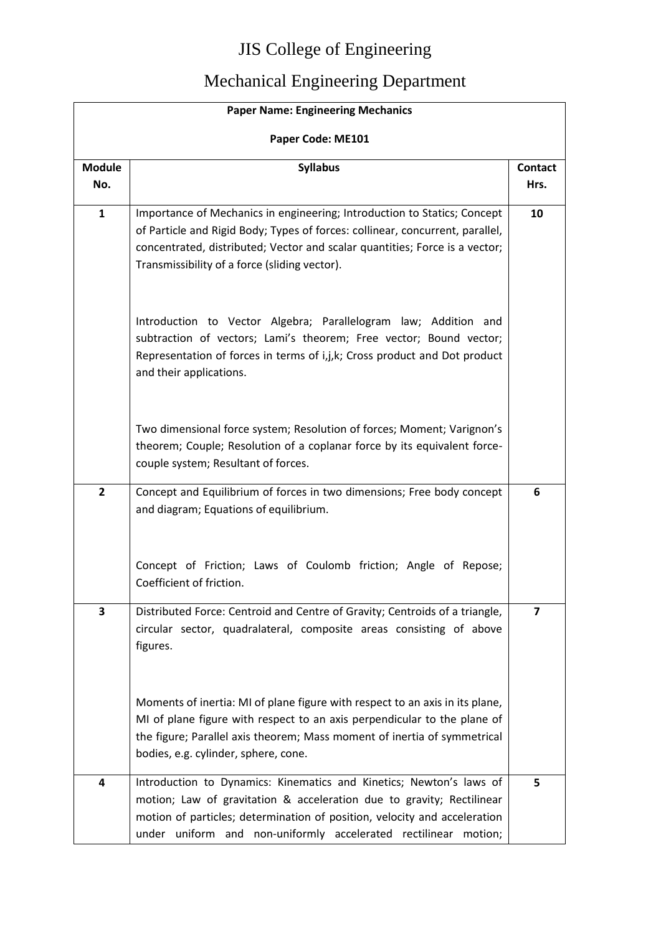| <b>Paper Name: Engineering Mechanics</b> |                                                                                                                                                                                                                                                                                              |                 |  |  |  |
|------------------------------------------|----------------------------------------------------------------------------------------------------------------------------------------------------------------------------------------------------------------------------------------------------------------------------------------------|-----------------|--|--|--|
| Paper Code: ME101                        |                                                                                                                                                                                                                                                                                              |                 |  |  |  |
| <b>Module</b><br>No.                     | <b>Syllabus</b>                                                                                                                                                                                                                                                                              | Contact<br>Hrs. |  |  |  |
| $\mathbf{1}$                             | Importance of Mechanics in engineering; Introduction to Statics; Concept<br>of Particle and Rigid Body; Types of forces: collinear, concurrent, parallel,<br>concentrated, distributed; Vector and scalar quantities; Force is a vector;<br>Transmissibility of a force (sliding vector).    | 10              |  |  |  |
|                                          | Introduction to Vector Algebra; Parallelogram law; Addition and<br>subtraction of vectors; Lami's theorem; Free vector; Bound vector;<br>Representation of forces in terms of i,j,k; Cross product and Dot product<br>and their applications.                                                |                 |  |  |  |
|                                          | Two dimensional force system; Resolution of forces; Moment; Varignon's<br>theorem; Couple; Resolution of a coplanar force by its equivalent force-<br>couple system; Resultant of forces.                                                                                                    |                 |  |  |  |
| $\overline{2}$                           | Concept and Equilibrium of forces in two dimensions; Free body concept<br>and diagram; Equations of equilibrium.                                                                                                                                                                             | 6               |  |  |  |
|                                          | Concept of Friction; Laws of Coulomb friction; Angle of Repose;<br>Coefficient of friction.                                                                                                                                                                                                  |                 |  |  |  |
| 3                                        | Distributed Force: Centroid and Centre of Gravity; Centroids of a triangle,<br>circular sector, quadralateral, composite areas consisting of above<br>figures.                                                                                                                               | $\overline{7}$  |  |  |  |
|                                          | Moments of inertia: MI of plane figure with respect to an axis in its plane,<br>MI of plane figure with respect to an axis perpendicular to the plane of<br>the figure; Parallel axis theorem; Mass moment of inertia of symmetrical<br>bodies, e.g. cylinder, sphere, cone.                 |                 |  |  |  |
| 4                                        | Introduction to Dynamics: Kinematics and Kinetics; Newton's laws of<br>motion; Law of gravitation & acceleration due to gravity; Rectilinear<br>motion of particles; determination of position, velocity and acceleration<br>under uniform and non-uniformly accelerated rectilinear motion; | 5               |  |  |  |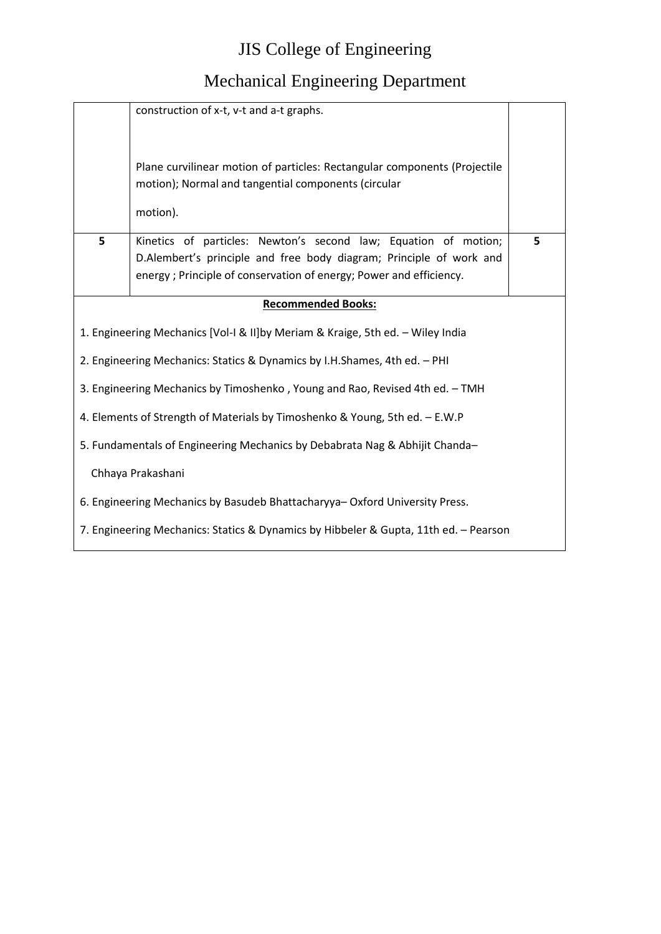|                                                                                      | construction of x-t, v-t and a-t graphs.                                                                                                                                                                     |   |  |  |  |  |  |
|--------------------------------------------------------------------------------------|--------------------------------------------------------------------------------------------------------------------------------------------------------------------------------------------------------------|---|--|--|--|--|--|
|                                                                                      | Plane curvilinear motion of particles: Rectangular components (Projectile<br>motion); Normal and tangential components (circular                                                                             |   |  |  |  |  |  |
|                                                                                      | motion).                                                                                                                                                                                                     |   |  |  |  |  |  |
| 5                                                                                    | Kinetics of particles: Newton's second law; Equation of motion;<br>D.Alembert's principle and free body diagram; Principle of work and<br>energy; Principle of conservation of energy; Power and efficiency. | 5 |  |  |  |  |  |
|                                                                                      | <b>Recommended Books:</b>                                                                                                                                                                                    |   |  |  |  |  |  |
|                                                                                      | 1. Engineering Mechanics [Vol-I & II]by Meriam & Kraige, 5th ed. - Wiley India                                                                                                                               |   |  |  |  |  |  |
|                                                                                      | 2. Engineering Mechanics: Statics & Dynamics by I.H.Shames, 4th ed. - PHI                                                                                                                                    |   |  |  |  |  |  |
|                                                                                      | 3. Engineering Mechanics by Timoshenko, Young and Rao, Revised 4th ed. - TMH                                                                                                                                 |   |  |  |  |  |  |
|                                                                                      | 4. Elements of Strength of Materials by Timoshenko & Young, 5th ed. - E.W.P                                                                                                                                  |   |  |  |  |  |  |
| 5. Fundamentals of Engineering Mechanics by Debabrata Nag & Abhijit Chanda-          |                                                                                                                                                                                                              |   |  |  |  |  |  |
| Chhaya Prakashani                                                                    |                                                                                                                                                                                                              |   |  |  |  |  |  |
| 6. Engineering Mechanics by Basudeb Bhattacharyya-Oxford University Press.           |                                                                                                                                                                                                              |   |  |  |  |  |  |
| 7. Engineering Mechanics: Statics & Dynamics by Hibbeler & Gupta, 11th ed. - Pearson |                                                                                                                                                                                                              |   |  |  |  |  |  |
|                                                                                      |                                                                                                                                                                                                              |   |  |  |  |  |  |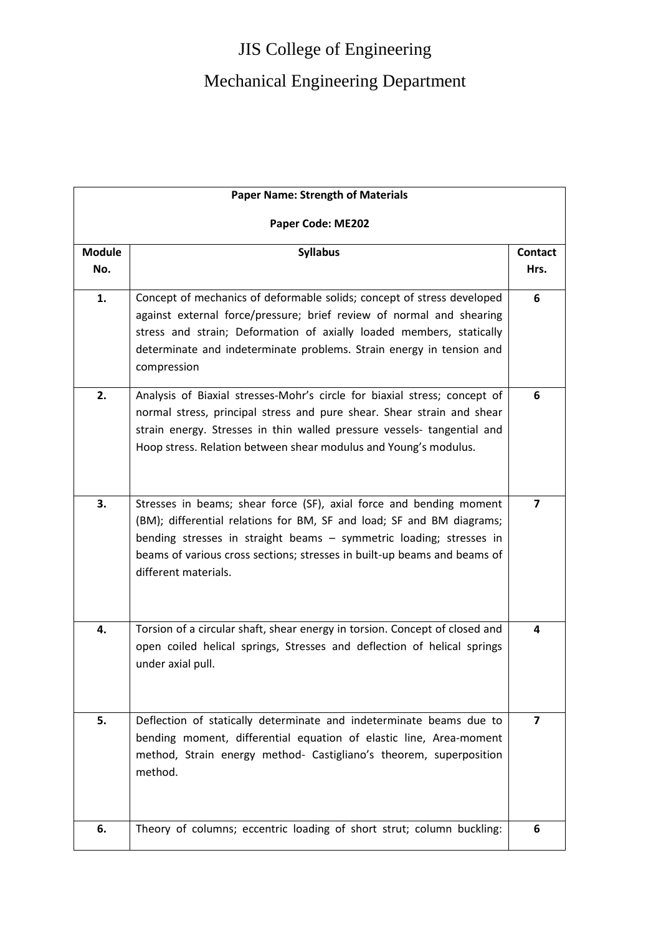|                      | <b>Paper Name: Strength of Materials</b>                                                                                                                                                                                                                                                                                |                         |  |  |  |  |
|----------------------|-------------------------------------------------------------------------------------------------------------------------------------------------------------------------------------------------------------------------------------------------------------------------------------------------------------------------|-------------------------|--|--|--|--|
| Paper Code: ME202    |                                                                                                                                                                                                                                                                                                                         |                         |  |  |  |  |
| <b>Module</b><br>No. | <b>Syllabus</b>                                                                                                                                                                                                                                                                                                         | <b>Contact</b><br>Hrs.  |  |  |  |  |
| 1.                   | Concept of mechanics of deformable solids; concept of stress developed<br>against external force/pressure; brief review of normal and shearing<br>stress and strain; Deformation of axially loaded members, statically<br>determinate and indeterminate problems. Strain energy in tension and<br>compression           | 6                       |  |  |  |  |
| 2.                   | Analysis of Biaxial stresses-Mohr's circle for biaxial stress; concept of<br>normal stress, principal stress and pure shear. Shear strain and shear<br>strain energy. Stresses in thin walled pressure vessels- tangential and<br>Hoop stress. Relation between shear modulus and Young's modulus.                      | 6                       |  |  |  |  |
| 3.                   | Stresses in beams; shear force (SF), axial force and bending moment<br>(BM); differential relations for BM, SF and load; SF and BM diagrams;<br>bending stresses in straight beams - symmetric loading; stresses in<br>beams of various cross sections; stresses in built-up beams and beams of<br>different materials. | 7                       |  |  |  |  |
| 4.                   | Torsion of a circular shaft, shear energy in torsion. Concept of closed and<br>open coiled helical springs, Stresses and deflection of helical springs<br>under axial pull.                                                                                                                                             | 4                       |  |  |  |  |
| 5.                   | Deflection of statically determinate and indeterminate beams due to<br>bending moment, differential equation of elastic line, Area-moment<br>method, Strain energy method- Castigliano's theorem, superposition<br>method.                                                                                              | $\overline{\mathbf{z}}$ |  |  |  |  |
| 6.                   | Theory of columns; eccentric loading of short strut; column buckling:                                                                                                                                                                                                                                                   | 6                       |  |  |  |  |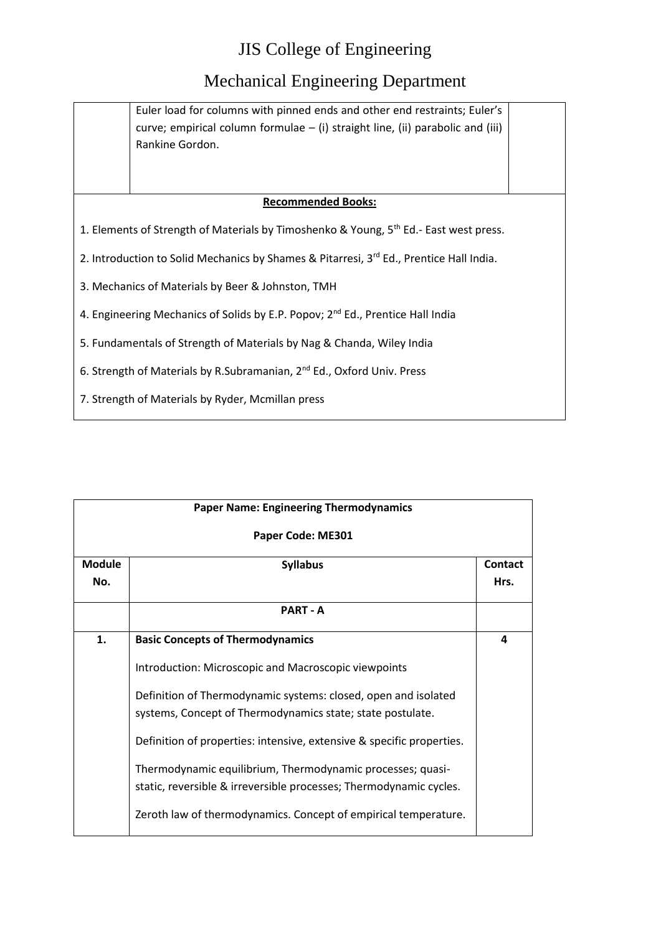#### Mechanical Engineering Department

Euler load for columns with pinned ends and other end restraints; Euler's curve; empirical column formulae – (i) straight line, (ii) parabolic and (iii) Rankine Gordon.

#### **Recommended Books:**

1. Elements of Strength of Materials by Timoshenko & Young, 5<sup>th</sup> Ed.- East west press.

2. Introduction to Solid Mechanics by Shames & Pitarresi, 3<sup>rd</sup> Ed., Prentice Hall India.

3. Mechanics of Materials by Beer & Johnston, TMH

4. Engineering Mechanics of Solids by E.P. Popov; 2<sup>nd</sup> Ed., Prentice Hall India

5. Fundamentals of Strength of Materials by Nag & Chanda, Wiley India

6. Strength of Materials by R.Subramanian, 2nd Ed., Oxford Univ. Press

7. Strength of Materials by Ryder, Mcmillan press

| <b>Paper Name: Engineering Thermodynamics</b> |                                                                                                                                  |                        |
|-----------------------------------------------|----------------------------------------------------------------------------------------------------------------------------------|------------------------|
|                                               | Paper Code: ME301                                                                                                                |                        |
| <b>Module</b><br>No.                          | <b>Syllabus</b>                                                                                                                  | <b>Contact</b><br>Hrs. |
|                                               | <b>PART - A</b>                                                                                                                  |                        |
| 1.                                            | <b>Basic Concepts of Thermodynamics</b>                                                                                          | 4                      |
|                                               | Introduction: Microscopic and Macroscopic viewpoints                                                                             |                        |
|                                               | Definition of Thermodynamic systems: closed, open and isolated<br>systems, Concept of Thermodynamics state; state postulate.     |                        |
|                                               | Definition of properties: intensive, extensive & specific properties.                                                            |                        |
|                                               | Thermodynamic equilibrium, Thermodynamic processes; quasi-<br>static, reversible & irreversible processes; Thermodynamic cycles. |                        |
|                                               | Zeroth law of thermodynamics. Concept of empirical temperature.                                                                  |                        |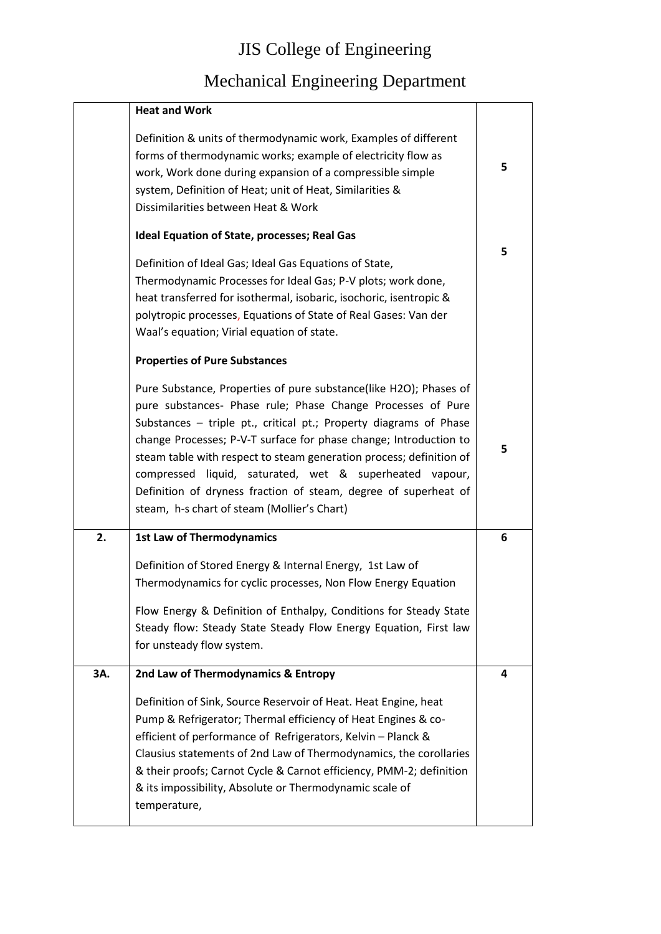|     | <b>Heat and Work</b>                                                                                                                                                                                                                                                                                                                                                                                                                                                                                                              |   |
|-----|-----------------------------------------------------------------------------------------------------------------------------------------------------------------------------------------------------------------------------------------------------------------------------------------------------------------------------------------------------------------------------------------------------------------------------------------------------------------------------------------------------------------------------------|---|
|     | Definition & units of thermodynamic work, Examples of different<br>forms of thermodynamic works; example of electricity flow as<br>work, Work done during expansion of a compressible simple<br>system, Definition of Heat; unit of Heat, Similarities &<br>Dissimilarities between Heat & Work                                                                                                                                                                                                                                   | 5 |
|     | Ideal Equation of State, processes; Real Gas                                                                                                                                                                                                                                                                                                                                                                                                                                                                                      |   |
|     | Definition of Ideal Gas; Ideal Gas Equations of State,<br>Thermodynamic Processes for Ideal Gas; P-V plots; work done,<br>heat transferred for isothermal, isobaric, isochoric, isentropic &<br>polytropic processes, Equations of State of Real Gases: Van der<br>Waal's equation; Virial equation of state.                                                                                                                                                                                                                     | 5 |
|     | <b>Properties of Pure Substances</b>                                                                                                                                                                                                                                                                                                                                                                                                                                                                                              |   |
|     | Pure Substance, Properties of pure substance(like H2O); Phases of<br>pure substances- Phase rule; Phase Change Processes of Pure<br>Substances - triple pt., critical pt.; Property diagrams of Phase<br>change Processes; P-V-T surface for phase change; Introduction to<br>steam table with respect to steam generation process; definition of<br>liquid, saturated, wet & superheated vapour,<br>compressed<br>Definition of dryness fraction of steam, degree of superheat of<br>steam, h-s chart of steam (Mollier's Chart) | 5 |
| 2.  | <b>1st Law of Thermodynamics</b>                                                                                                                                                                                                                                                                                                                                                                                                                                                                                                  | 6 |
|     | Definition of Stored Energy & Internal Energy, 1st Law of<br>Thermodynamics for cyclic processes, Non Flow Energy Equation<br>Flow Energy & Definition of Enthalpy, Conditions for Steady State<br>Steady flow: Steady State Steady Flow Energy Equation, First law<br>for unsteady flow system.                                                                                                                                                                                                                                  |   |
| 3A. | 2nd Law of Thermodynamics & Entropy                                                                                                                                                                                                                                                                                                                                                                                                                                                                                               | 4 |
|     | Definition of Sink, Source Reservoir of Heat. Heat Engine, heat<br>Pump & Refrigerator; Thermal efficiency of Heat Engines & co-<br>efficient of performance of Refrigerators, Kelvin - Planck &<br>Clausius statements of 2nd Law of Thermodynamics, the corollaries<br>& their proofs; Carnot Cycle & Carnot efficiency, PMM-2; definition<br>& its impossibility, Absolute or Thermodynamic scale of<br>temperature,                                                                                                           |   |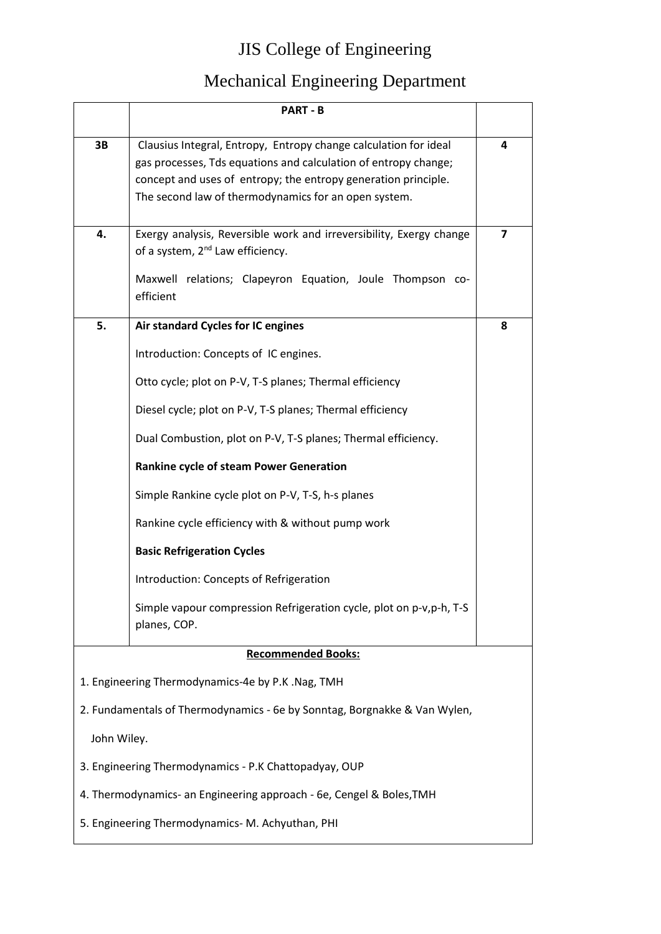|             | <b>PART - B</b>                                                                                                                                                                                                                                               |   |
|-------------|---------------------------------------------------------------------------------------------------------------------------------------------------------------------------------------------------------------------------------------------------------------|---|
| 3B          | Clausius Integral, Entropy, Entropy change calculation for ideal<br>gas processes, Tds equations and calculation of entropy change;<br>concept and uses of entropy; the entropy generation principle.<br>The second law of thermodynamics for an open system. | 4 |
| 4.          | Exergy analysis, Reversible work and irreversibility, Exergy change<br>of a system, 2 <sup>nd</sup> Law efficiency.<br>Maxwell relations; Clapeyron Equation, Joule Thompson co-<br>efficient                                                                 | 7 |
| 5.          | Air standard Cycles for IC engines                                                                                                                                                                                                                            | 8 |
|             | Introduction: Concepts of IC engines.                                                                                                                                                                                                                         |   |
|             | Otto cycle; plot on P-V, T-S planes; Thermal efficiency                                                                                                                                                                                                       |   |
|             | Diesel cycle; plot on P-V, T-S planes; Thermal efficiency                                                                                                                                                                                                     |   |
|             | Dual Combustion, plot on P-V, T-S planes; Thermal efficiency.                                                                                                                                                                                                 |   |
|             | Rankine cycle of steam Power Generation                                                                                                                                                                                                                       |   |
|             | Simple Rankine cycle plot on P-V, T-S, h-s planes                                                                                                                                                                                                             |   |
|             | Rankine cycle efficiency with & without pump work                                                                                                                                                                                                             |   |
|             | <b>Basic Refrigeration Cycles</b>                                                                                                                                                                                                                             |   |
|             | Introduction: Concepts of Refrigeration                                                                                                                                                                                                                       |   |
|             | Simple vapour compression Refrigeration cycle, plot on p-v,p-h, T-S<br>planes, COP.                                                                                                                                                                           |   |
|             | <b>Recommended Books:</b>                                                                                                                                                                                                                                     |   |
|             | 1. Engineering Thermodynamics-4e by P.K .Nag, TMH                                                                                                                                                                                                             |   |
|             | 2. Fundamentals of Thermodynamics - 6e by Sonntag, Borgnakke & Van Wylen,                                                                                                                                                                                     |   |
| John Wiley. |                                                                                                                                                                                                                                                               |   |
|             | 3. Engineering Thermodynamics - P.K Chattopadyay, OUP                                                                                                                                                                                                         |   |
|             | 4. Thermodynamics- an Engineering approach - 6e, Cengel & Boles, TMH                                                                                                                                                                                          |   |
|             | 5. Engineering Thermodynamics-M. Achyuthan, PHI                                                                                                                                                                                                               |   |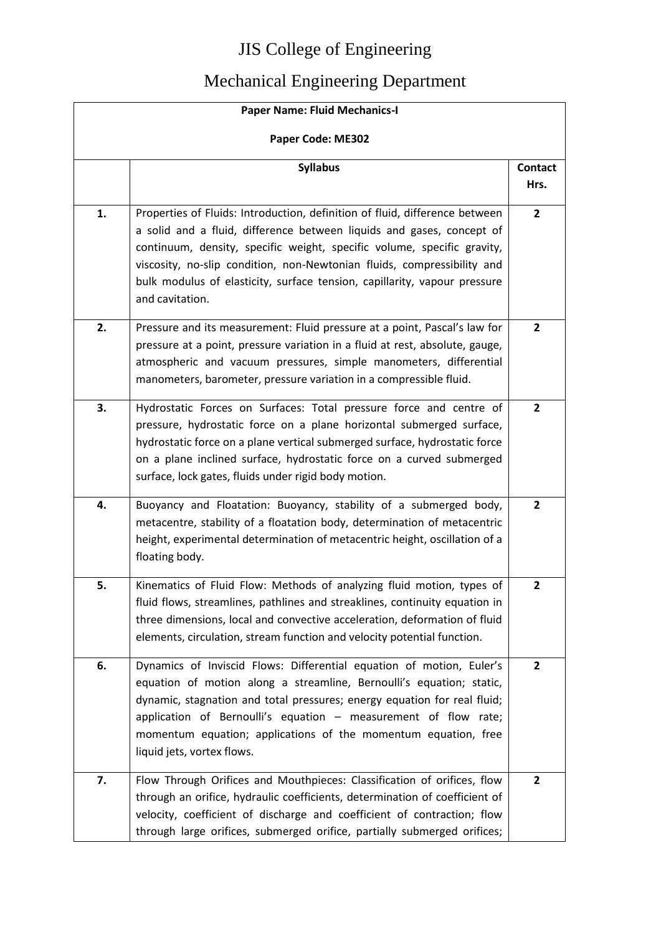| <b>Paper Name: Fluid Mechanics-I</b> |                                                                                                                                                                                                                                                                                                                                                                                                            |                        |  |
|--------------------------------------|------------------------------------------------------------------------------------------------------------------------------------------------------------------------------------------------------------------------------------------------------------------------------------------------------------------------------------------------------------------------------------------------------------|------------------------|--|
|                                      | Paper Code: ME302                                                                                                                                                                                                                                                                                                                                                                                          |                        |  |
|                                      | <b>Syllabus</b>                                                                                                                                                                                                                                                                                                                                                                                            | <b>Contact</b><br>Hrs. |  |
| 1.                                   | Properties of Fluids: Introduction, definition of fluid, difference between<br>a solid and a fluid, difference between liquids and gases, concept of<br>continuum, density, specific weight, specific volume, specific gravity,<br>viscosity, no-slip condition, non-Newtonian fluids, compressibility and<br>bulk modulus of elasticity, surface tension, capillarity, vapour pressure<br>and cavitation. | $\mathbf{2}$           |  |
| 2.                                   | Pressure and its measurement: Fluid pressure at a point, Pascal's law for<br>pressure at a point, pressure variation in a fluid at rest, absolute, gauge,<br>atmospheric and vacuum pressures, simple manometers, differential<br>manometers, barometer, pressure variation in a compressible fluid.                                                                                                       | $\mathbf{2}$           |  |
| 3.                                   | Hydrostatic Forces on Surfaces: Total pressure force and centre of<br>pressure, hydrostatic force on a plane horizontal submerged surface,<br>hydrostatic force on a plane vertical submerged surface, hydrostatic force<br>on a plane inclined surface, hydrostatic force on a curved submerged<br>surface, lock gates, fluids under rigid body motion.                                                   | $\overline{2}$         |  |
| 4.                                   | Buoyancy and Floatation: Buoyancy, stability of a submerged body,<br>metacentre, stability of a floatation body, determination of metacentric<br>height, experimental determination of metacentric height, oscillation of a<br>floating body.                                                                                                                                                              | $\mathbf{2}$           |  |
| 5.                                   | Kinematics of Fluid Flow: Methods of analyzing fluid motion, types of<br>fluid flows, streamlines, pathlines and streaklines, continuity equation in<br>three dimensions, local and convective acceleration, deformation of fluid<br>elements, circulation, stream function and velocity potential function.                                                                                               | $\mathbf{2}$           |  |
| 6.                                   | Dynamics of Inviscid Flows: Differential equation of motion, Euler's<br>equation of motion along a streamline, Bernoulli's equation; static,<br>dynamic, stagnation and total pressures; energy equation for real fluid;<br>application of Bernoulli's equation - measurement of flow rate;<br>momentum equation; applications of the momentum equation, free<br>liquid jets, vortex flows.                | $\mathbf{2}$           |  |
| 7.                                   | Flow Through Orifices and Mouthpieces: Classification of orifices, flow<br>through an orifice, hydraulic coefficients, determination of coefficient of<br>velocity, coefficient of discharge and coefficient of contraction; flow<br>through large orifices, submerged orifice, partially submerged orifices;                                                                                              | $\mathbf{2}$           |  |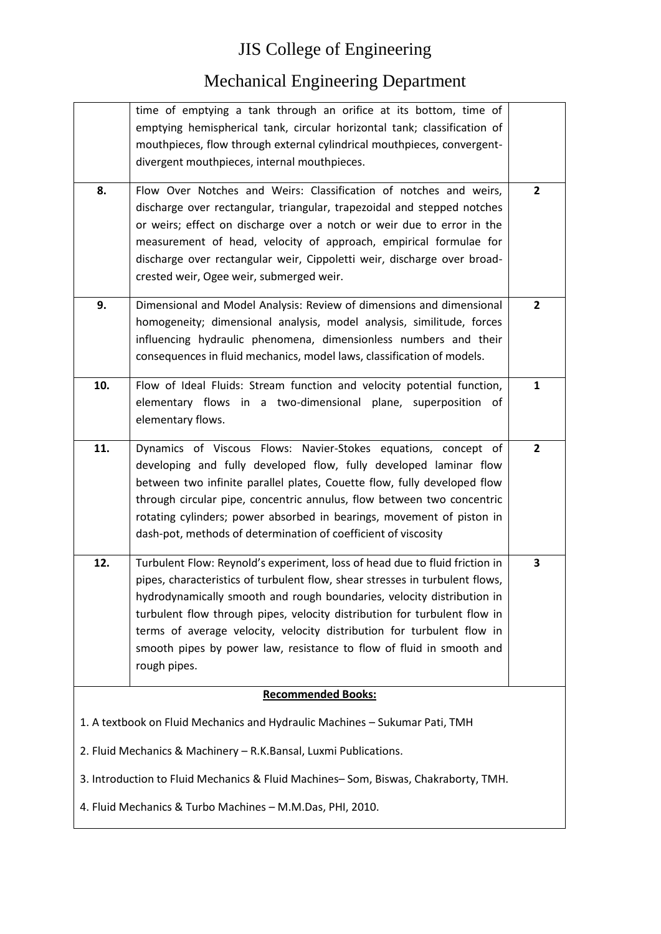|                                                                                    | time of emptying a tank through an orifice at its bottom, time of<br>emptying hemispherical tank, circular horizontal tank; classification of                                                                                                                                                                                                                                                                                                                                        |              |
|------------------------------------------------------------------------------------|--------------------------------------------------------------------------------------------------------------------------------------------------------------------------------------------------------------------------------------------------------------------------------------------------------------------------------------------------------------------------------------------------------------------------------------------------------------------------------------|--------------|
|                                                                                    | mouthpieces, flow through external cylindrical mouthpieces, convergent-<br>divergent mouthpieces, internal mouthpieces.                                                                                                                                                                                                                                                                                                                                                              |              |
| 8.                                                                                 | Flow Over Notches and Weirs: Classification of notches and weirs,<br>discharge over rectangular, triangular, trapezoidal and stepped notches<br>or weirs; effect on discharge over a notch or weir due to error in the<br>measurement of head, velocity of approach, empirical formulae for<br>discharge over rectangular weir, Cippoletti weir, discharge over broad-<br>crested weir, Ogee weir, submerged weir.                                                                   | $\mathbf{2}$ |
| 9.                                                                                 | Dimensional and Model Analysis: Review of dimensions and dimensional<br>homogeneity; dimensional analysis, model analysis, similitude, forces<br>influencing hydraulic phenomena, dimensionless numbers and their<br>consequences in fluid mechanics, model laws, classification of models.                                                                                                                                                                                          | $\mathbf{2}$ |
| 10.                                                                                | Flow of Ideal Fluids: Stream function and velocity potential function,<br>elementary flows in a two-dimensional plane, superposition of<br>elementary flows.                                                                                                                                                                                                                                                                                                                         | 1            |
| 11.                                                                                | Dynamics of Viscous Flows: Navier-Stokes equations, concept of<br>developing and fully developed flow, fully developed laminar flow<br>between two infinite parallel plates, Couette flow, fully developed flow<br>through circular pipe, concentric annulus, flow between two concentric<br>rotating cylinders; power absorbed in bearings, movement of piston in<br>dash-pot, methods of determination of coefficient of viscosity                                                 | $\mathbf{2}$ |
| 12.                                                                                | Turbulent Flow: Reynold's experiment, loss of head due to fluid friction in<br>pipes, characteristics of turbulent flow, shear stresses in turbulent flows,<br>hydrodynamically smooth and rough boundaries, velocity distribution in<br>turbulent flow through pipes, velocity distribution for turbulent flow in<br>terms of average velocity, velocity distribution for turbulent flow in<br>smooth pipes by power law, resistance to flow of fluid in smooth and<br>rough pipes. | 3            |
|                                                                                    | <b>Recommended Books:</b>                                                                                                                                                                                                                                                                                                                                                                                                                                                            |              |
|                                                                                    | 1. A textbook on Fluid Mechanics and Hydraulic Machines - Sukumar Pati, TMH                                                                                                                                                                                                                                                                                                                                                                                                          |              |
|                                                                                    | 2. Fluid Mechanics & Machinery - R.K.Bansal, Luxmi Publications.                                                                                                                                                                                                                                                                                                                                                                                                                     |              |
| 3. Introduction to Fluid Mechanics & Fluid Machines-Som, Biswas, Chakraborty, TMH. |                                                                                                                                                                                                                                                                                                                                                                                                                                                                                      |              |
| 4. Fluid Mechanics & Turbo Machines - M.M.Das, PHI, 2010.                          |                                                                                                                                                                                                                                                                                                                                                                                                                                                                                      |              |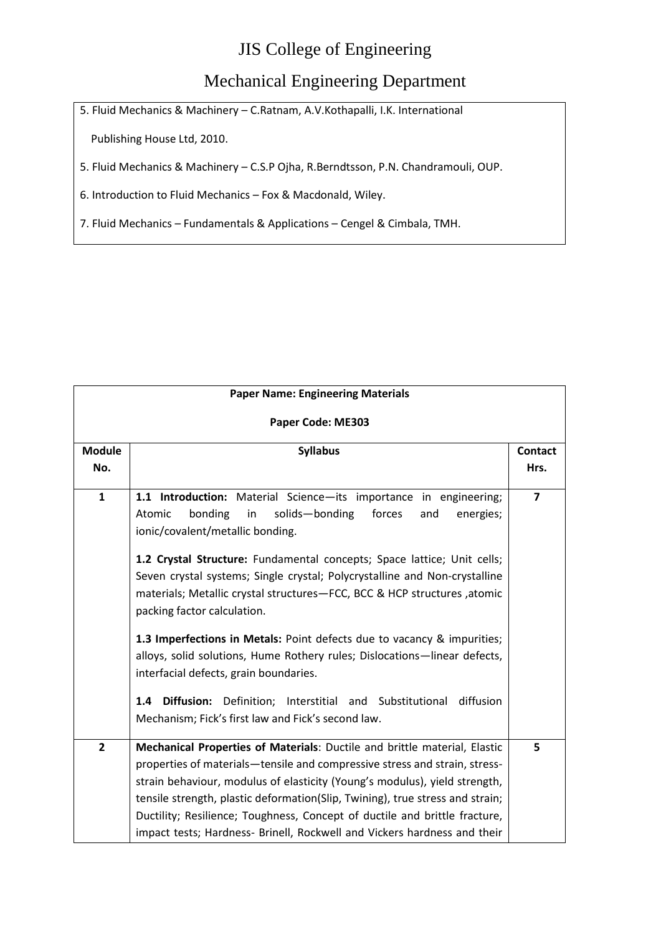#### Mechanical Engineering Department

5. Fluid Mechanics & Machinery – C.Ratnam, A.V.Kothapalli, I.K. International

Publishing House Ltd, 2010.

5. Fluid Mechanics & Machinery – C.S.P Ojha, R.Berndtsson, P.N. Chandramouli, OUP.

6. Introduction to Fluid Mechanics – Fox & Macdonald, Wiley.

7. Fluid Mechanics – Fundamentals & Applications – Cengel & Cimbala, TMH.

|                   | <b>Paper Name: Engineering Materials</b>                                                                                                                                                                                                                                                                                                                                                                                                                                         |                         |  |
|-------------------|----------------------------------------------------------------------------------------------------------------------------------------------------------------------------------------------------------------------------------------------------------------------------------------------------------------------------------------------------------------------------------------------------------------------------------------------------------------------------------|-------------------------|--|
| Paper Code: ME303 |                                                                                                                                                                                                                                                                                                                                                                                                                                                                                  |                         |  |
| <b>Module</b>     | <b>Syllabus</b>                                                                                                                                                                                                                                                                                                                                                                                                                                                                  | <b>Contact</b>          |  |
| No.               |                                                                                                                                                                                                                                                                                                                                                                                                                                                                                  | Hrs.                    |  |
| $\mathbf{1}$      | 1.1 Introduction: Material Science-its importance in engineering;<br>Atomic<br>bonding<br>in<br>solids-bonding<br>forces<br>and<br>energies;<br>ionic/covalent/metallic bonding.                                                                                                                                                                                                                                                                                                 | $\overline{\mathbf{z}}$ |  |
|                   | 1.2 Crystal Structure: Fundamental concepts; Space lattice; Unit cells;<br>Seven crystal systems; Single crystal; Polycrystalline and Non-crystalline<br>materials; Metallic crystal structures-FCC, BCC & HCP structures, atomic<br>packing factor calculation.                                                                                                                                                                                                                 |                         |  |
|                   | 1.3 Imperfections in Metals: Point defects due to vacancy & impurities;<br>alloys, solid solutions, Hume Rothery rules; Dislocations-linear defects,<br>interfacial defects, grain boundaries.                                                                                                                                                                                                                                                                                   |                         |  |
|                   | Definition;<br><b>Diffusion:</b><br>Interstitial and Substitutional<br>diffusion<br>1.4<br>Mechanism; Fick's first law and Fick's second law.                                                                                                                                                                                                                                                                                                                                    |                         |  |
| $\overline{2}$    | Mechanical Properties of Materials: Ductile and brittle material, Elastic<br>properties of materials-tensile and compressive stress and strain, stress-<br>strain behaviour, modulus of elasticity (Young's modulus), yield strength,<br>tensile strength, plastic deformation(Slip, Twining), true stress and strain;<br>Ductility; Resilience; Toughness, Concept of ductile and brittle fracture,<br>impact tests; Hardness- Brinell, Rockwell and Vickers hardness and their | 5                       |  |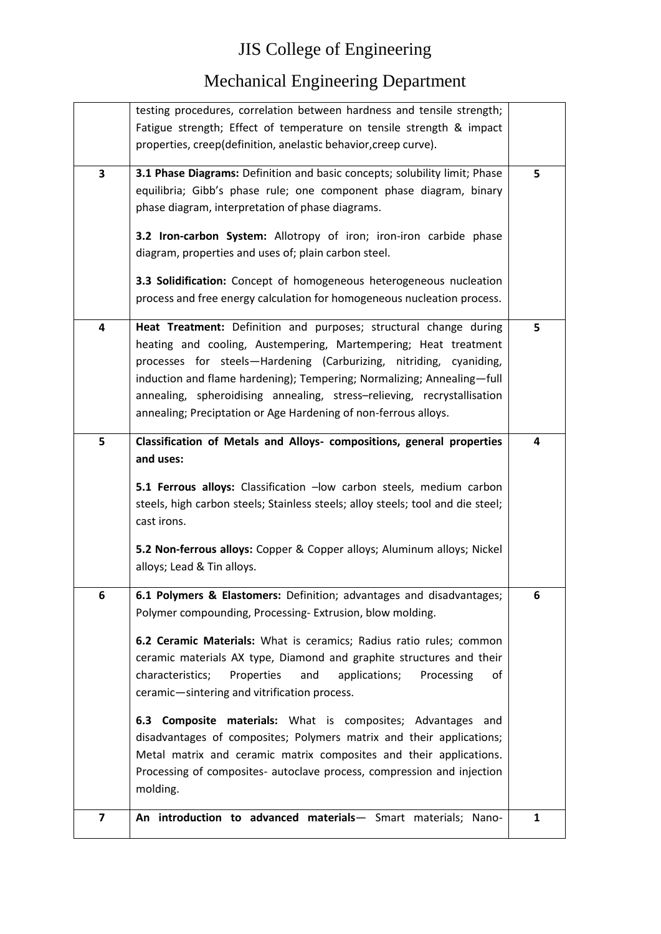|                         | testing procedures, correlation between hardness and tensile strength;          |   |
|-------------------------|---------------------------------------------------------------------------------|---|
|                         | Fatigue strength; Effect of temperature on tensile strength & impact            |   |
|                         |                                                                                 |   |
|                         | properties, creep(definition, anelastic behavior, creep curve).                 |   |
| 3                       | 3.1 Phase Diagrams: Definition and basic concepts; solubility limit; Phase      | 5 |
|                         | equilibria; Gibb's phase rule; one component phase diagram, binary              |   |
|                         | phase diagram, interpretation of phase diagrams.                                |   |
|                         |                                                                                 |   |
|                         | 3.2 Iron-carbon System: Allotropy of iron; iron-iron carbide phase              |   |
|                         | diagram, properties and uses of; plain carbon steel.                            |   |
|                         | 3.3 Solidification: Concept of homogeneous heterogeneous nucleation             |   |
|                         | process and free energy calculation for homogeneous nucleation process.         |   |
|                         |                                                                                 |   |
| 4                       | Heat Treatment: Definition and purposes; structural change during               | 5 |
|                         | heating and cooling, Austempering, Martempering; Heat treatment                 |   |
|                         | processes for steels-Hardening (Carburizing, nitriding, cyaniding,              |   |
|                         | induction and flame hardening); Tempering; Normalizing; Annealing-full          |   |
|                         | annealing, spheroidising annealing, stress-relieving, recrystallisation         |   |
|                         | annealing; Preciptation or Age Hardening of non-ferrous alloys.                 |   |
| 5                       | Classification of Metals and Alloys- compositions, general properties           | 4 |
|                         | and uses:                                                                       |   |
|                         |                                                                                 |   |
|                         | 5.1 Ferrous alloys: Classification -low carbon steels, medium carbon            |   |
|                         | steels, high carbon steels; Stainless steels; alloy steels; tool and die steel; |   |
|                         | cast irons.                                                                     |   |
|                         | 5.2 Non-ferrous alloys: Copper & Copper alloys; Aluminum alloys; Nickel         |   |
|                         | alloys; Lead & Tin alloys.                                                      |   |
|                         |                                                                                 |   |
| 6                       | 6.1 Polymers & Elastomers: Definition; advantages and disadvantages;            | 6 |
|                         | Polymer compounding, Processing-Extrusion, blow molding.                        |   |
|                         |                                                                                 |   |
|                         | 6.2 Ceramic Materials: What is ceramics; Radius ratio rules; common             |   |
|                         | ceramic materials AX type, Diamond and graphite structures and their            |   |
|                         | characteristics;<br>applications;<br>Properties<br>and<br>Processing<br>ot      |   |
|                         | ceramic-sintering and vitrification process.                                    |   |
|                         |                                                                                 |   |
|                         | 6.3 Composite materials: What is composites; Advantages and                     |   |
|                         | disadvantages of composites; Polymers matrix and their applications;            |   |
|                         | Metal matrix and ceramic matrix composites and their applications.              |   |
|                         | Processing of composites- autoclave process, compression and injection          |   |
|                         | molding.                                                                        |   |
| $\overline{\mathbf{z}}$ | An introduction to advanced materials- Smart materials; Nano-                   |   |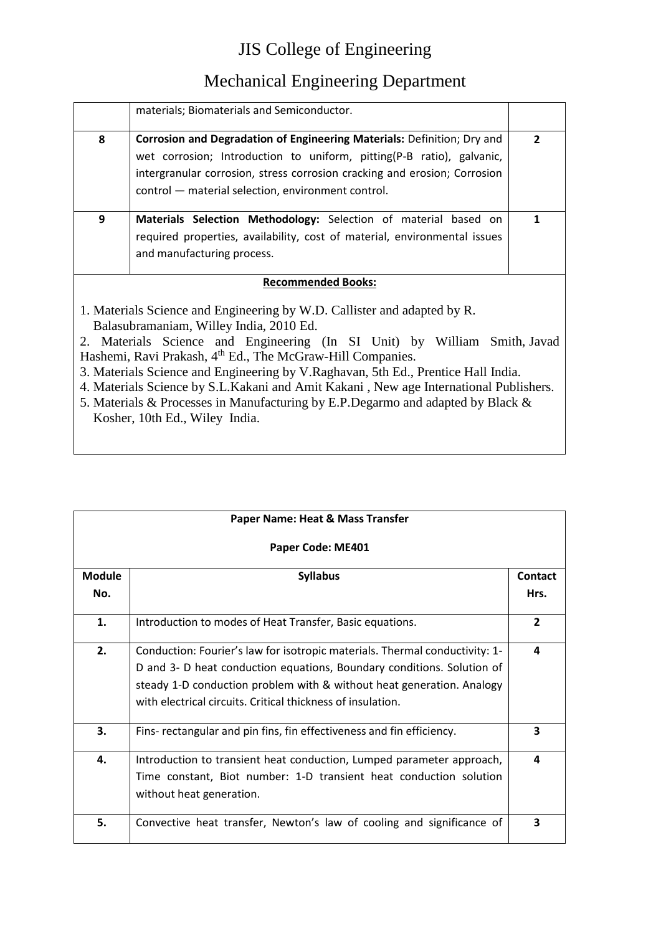#### Mechanical Engineering Department

|   | materials; Biomaterials and Semiconductor.                                                                                                                                                                                                                                          |   |
|---|-------------------------------------------------------------------------------------------------------------------------------------------------------------------------------------------------------------------------------------------------------------------------------------|---|
| 8 | Corrosion and Degradation of Engineering Materials: Definition; Dry and<br>wet corrosion; Introduction to uniform, pitting(P-B ratio), galvanic,<br>intergranular corrosion, stress corrosion cracking and erosion; Corrosion<br>control - material selection, environment control. | 2 |
| 9 | Materials Selection Methodology: Selection of material based on<br>required properties, availability, cost of material, environmental issues<br>and manufacturing process.                                                                                                          |   |
|   | <b>Recommended Books:</b>                                                                                                                                                                                                                                                           |   |
|   | Materials Science and Engineering by W D. Callister and adapted by R                                                                                                                                                                                                                |   |

1. Materials Science and Engineering by W.D. Callister and adapted by R. Balasubramaniam, Willey India, 2010 Ed.

2. Materials Science and Engineering (In SI Unit) by William Smith, [Javad](http://mheducation.co.in/cgi-bin/same_author.pl?author=Javad+Hashemi)  [Hashemi,](http://mheducation.co.in/cgi-bin/same_author.pl?author=Javad+Hashemi) Ravi Prakash, 4<sup>th</sup> Ed., The McGraw-Hill Companies.

- 3. Materials Science and Engineering by V.Raghavan, 5th Ed., Prentice Hall India.
- 4. Materials Science by S.L.Kakani and Amit Kakani , New age International Publishers.
- 5. Materials & Processes in Manufacturing by E.P.Degarmo and adapted by Black & Kosher, 10th Ed., Wiley India.

| Paper Name: Heat & Mass Transfer |                                                                                                                                                                                                                                                                                               |                |
|----------------------------------|-----------------------------------------------------------------------------------------------------------------------------------------------------------------------------------------------------------------------------------------------------------------------------------------------|----------------|
|                                  | Paper Code: ME401                                                                                                                                                                                                                                                                             |                |
| <b>Module</b>                    | <b>Syllabus</b>                                                                                                                                                                                                                                                                               | Contact        |
| No.                              |                                                                                                                                                                                                                                                                                               | Hrs.           |
| 1.                               | Introduction to modes of Heat Transfer, Basic equations.                                                                                                                                                                                                                                      | $\overline{2}$ |
| 2.                               | Conduction: Fourier's law for isotropic materials. Thermal conductivity: 1-<br>D and 3- D heat conduction equations, Boundary conditions. Solution of<br>steady 1-D conduction problem with & without heat generation. Analogy<br>with electrical circuits. Critical thickness of insulation. | 4              |
| 3.                               | Fins- rectangular and pin fins, fin effectiveness and fin efficiency.                                                                                                                                                                                                                         | 3              |
| 4.                               | Introduction to transient heat conduction, Lumped parameter approach,<br>Time constant, Biot number: 1-D transient heat conduction solution<br>without heat generation.                                                                                                                       | 4              |
| 5.                               | Convective heat transfer, Newton's law of cooling and significance of                                                                                                                                                                                                                         | 3              |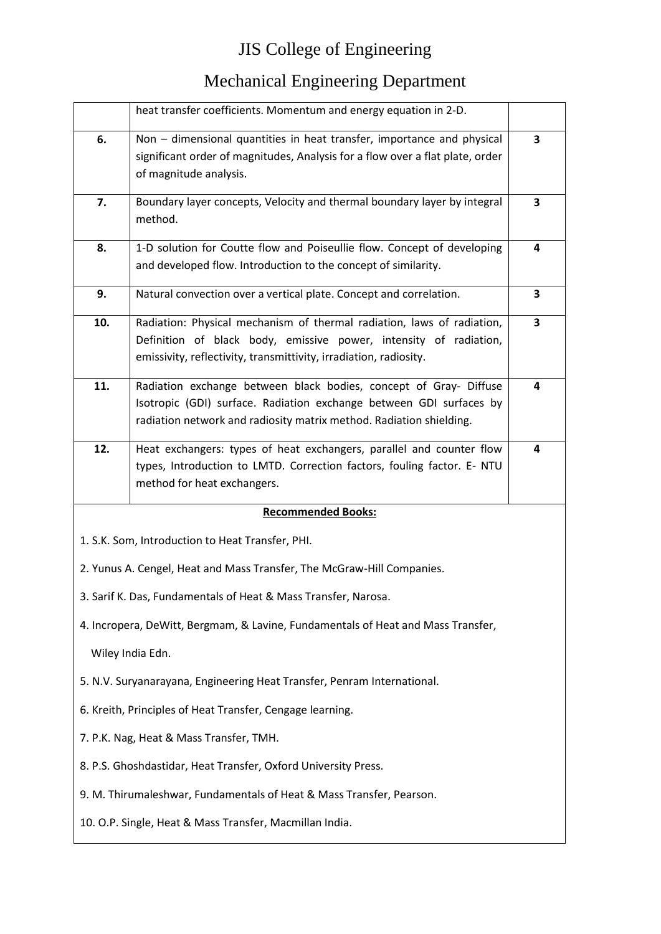|     | heat transfer coefficients. Momentum and energy equation in 2-D.                 |   |
|-----|----------------------------------------------------------------------------------|---|
| 6.  | Non - dimensional quantities in heat transfer, importance and physical           | 3 |
|     | significant order of magnitudes, Analysis for a flow over a flat plate, order    |   |
|     | of magnitude analysis.                                                           |   |
| 7.  | Boundary layer concepts, Velocity and thermal boundary layer by integral         | 3 |
|     | method.                                                                          |   |
| 8.  | 1-D solution for Coutte flow and Poiseullie flow. Concept of developing          | 4 |
|     | and developed flow. Introduction to the concept of similarity.                   |   |
| 9.  | Natural convection over a vertical plate. Concept and correlation.               | 3 |
| 10. | Radiation: Physical mechanism of thermal radiation, laws of radiation,           | 3 |
|     | Definition of black body, emissive power, intensity of radiation,                |   |
|     | emissivity, reflectivity, transmittivity, irradiation, radiosity.                |   |
| 11. | Radiation exchange between black bodies, concept of Gray- Diffuse                | 4 |
|     | Isotropic (GDI) surface. Radiation exchange between GDI surfaces by              |   |
|     | radiation network and radiosity matrix method. Radiation shielding.              |   |
| 12. | Heat exchangers: types of heat exchangers, parallel and counter flow             | 4 |
|     | types, Introduction to LMTD. Correction factors, fouling factor. E- NTU          |   |
|     | method for heat exchangers.                                                      |   |
|     | <b>Recommended Books:</b>                                                        |   |
|     | 1. S.K. Som, Introduction to Heat Transfer, PHI.                                 |   |
|     | 2. Yunus A. Cengel, Heat and Mass Transfer, The McGraw-Hill Companies.           |   |
|     | 3. Sarif K. Das, Fundamentals of Heat & Mass Transfer, Narosa.                   |   |
|     | 4. Incropera, DeWitt, Bergmam, & Lavine, Fundamentals of Heat and Mass Transfer, |   |
|     | Wiley India Edn.                                                                 |   |
|     | 5. N.V. Suryanarayana, Engineering Heat Transfer, Penram International.          |   |
|     | 6. Kreith, Principles of Heat Transfer, Cengage learning.                        |   |
|     | 7. P.K. Nag, Heat & Mass Transfer, TMH.                                          |   |
|     | 8. P.S. Ghoshdastidar, Heat Transfer, Oxford University Press.                   |   |
|     | 9. M. Thirumaleshwar, Fundamentals of Heat & Mass Transfer, Pearson.             |   |
|     | 10. O.P. Single, Heat & Mass Transfer, Macmillan India.                          |   |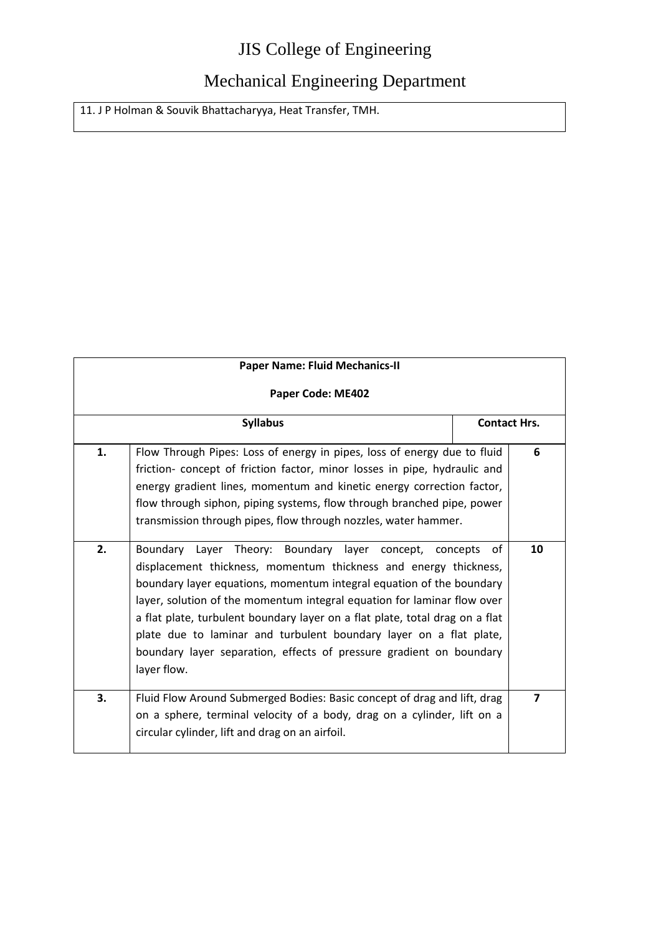#### Mechanical Engineering Department

11. J P Holman & Souvik Bhattacharyya, Heat Transfer, TMH.

| <b>Paper Name: Fluid Mechanics-II</b> |                                                                                                                                                                                                                                                                                                                                                                                                                                                                                                                            |                     |    |
|---------------------------------------|----------------------------------------------------------------------------------------------------------------------------------------------------------------------------------------------------------------------------------------------------------------------------------------------------------------------------------------------------------------------------------------------------------------------------------------------------------------------------------------------------------------------------|---------------------|----|
| Paper Code: ME402                     |                                                                                                                                                                                                                                                                                                                                                                                                                                                                                                                            |                     |    |
|                                       | <b>Syllabus</b>                                                                                                                                                                                                                                                                                                                                                                                                                                                                                                            | <b>Contact Hrs.</b> |    |
| 1.                                    | Flow Through Pipes: Loss of energy in pipes, loss of energy due to fluid<br>friction- concept of friction factor, minor losses in pipe, hydraulic and<br>energy gradient lines, momentum and kinetic energy correction factor,<br>flow through siphon, piping systems, flow through branched pipe, power<br>transmission through pipes, flow through nozzles, water hammer.                                                                                                                                                |                     | 6  |
| 2.                                    | Boundary Layer Theory: Boundary layer concept, concepts<br>displacement thickness, momentum thickness and energy thickness,<br>boundary layer equations, momentum integral equation of the boundary<br>layer, solution of the momentum integral equation for laminar flow over<br>a flat plate, turbulent boundary layer on a flat plate, total drag on a flat<br>plate due to laminar and turbulent boundary layer on a flat plate,<br>boundary layer separation, effects of pressure gradient on boundary<br>layer flow. | of                  | 10 |
| 3.                                    | Fluid Flow Around Submerged Bodies: Basic concept of drag and lift, drag<br>on a sphere, terminal velocity of a body, drag on a cylinder, lift on a<br>circular cylinder, lift and drag on an airfoil.                                                                                                                                                                                                                                                                                                                     |                     | 7  |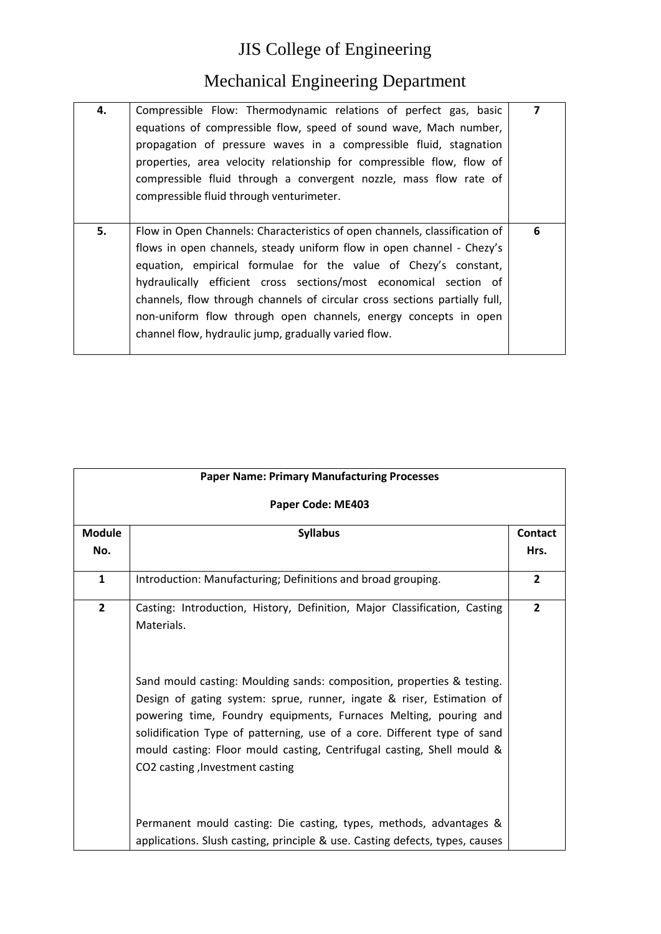| 4. | Compressible Flow: Thermodynamic relations of perfect gas, basic<br>equations of compressible flow, speed of sound wave, Mach number,                                                                                                                                                                                                                                                                                                                                                                | $\overline{\mathbf{z}}$ |
|----|------------------------------------------------------------------------------------------------------------------------------------------------------------------------------------------------------------------------------------------------------------------------------------------------------------------------------------------------------------------------------------------------------------------------------------------------------------------------------------------------------|-------------------------|
|    | propagation of pressure waves in a compressible fluid, stagnation<br>properties, area velocity relationship for compressible flow, flow of                                                                                                                                                                                                                                                                                                                                                           |                         |
|    | compressible fluid through a convergent nozzle, mass flow rate of<br>compressible fluid through venturimeter.                                                                                                                                                                                                                                                                                                                                                                                        |                         |
|    |                                                                                                                                                                                                                                                                                                                                                                                                                                                                                                      |                         |
| 5. | Flow in Open Channels: Characteristics of open channels, classification of<br>flows in open channels, steady uniform flow in open channel - Chezy's<br>equation, empirical formulae for the value of Chezy's constant,<br>hydraulically efficient cross sections/most economical section of<br>channels, flow through channels of circular cross sections partially full,<br>non-uniform flow through open channels, energy concepts in open<br>channel flow, hydraulic jump, gradually varied flow. | 6                       |
|    |                                                                                                                                                                                                                                                                                                                                                                                                                                                                                                      |                         |

| <b>Paper Name: Primary Manufacturing Processes</b> |                                                                                                                                                                                                                                                                                                                                                                                                                                                                                                          |                 |
|----------------------------------------------------|----------------------------------------------------------------------------------------------------------------------------------------------------------------------------------------------------------------------------------------------------------------------------------------------------------------------------------------------------------------------------------------------------------------------------------------------------------------------------------------------------------|-----------------|
|                                                    | Paper Code: ME403                                                                                                                                                                                                                                                                                                                                                                                                                                                                                        |                 |
| <b>Module</b><br>No.                               | <b>Syllabus</b>                                                                                                                                                                                                                                                                                                                                                                                                                                                                                          | Contact<br>Hrs. |
| $\mathbf{1}$                                       | Introduction: Manufacturing; Definitions and broad grouping.                                                                                                                                                                                                                                                                                                                                                                                                                                             | $\overline{2}$  |
| $\overline{2}$                                     | Casting: Introduction, History, Definition, Major Classification, Casting<br>Materials.<br>Sand mould casting: Moulding sands: composition, properties & testing.<br>Design of gating system: sprue, runner, ingate & riser, Estimation of<br>powering time, Foundry equipments, Furnaces Melting, pouring and<br>solidification Type of patterning, use of a core. Different type of sand<br>mould casting: Floor mould casting, Centrifugal casting, Shell mould &<br>CO2 casting , Investment casting | $\overline{2}$  |
|                                                    | Permanent mould casting: Die casting, types, methods, advantages &<br>applications. Slush casting, principle & use. Casting defects, types, causes                                                                                                                                                                                                                                                                                                                                                       |                 |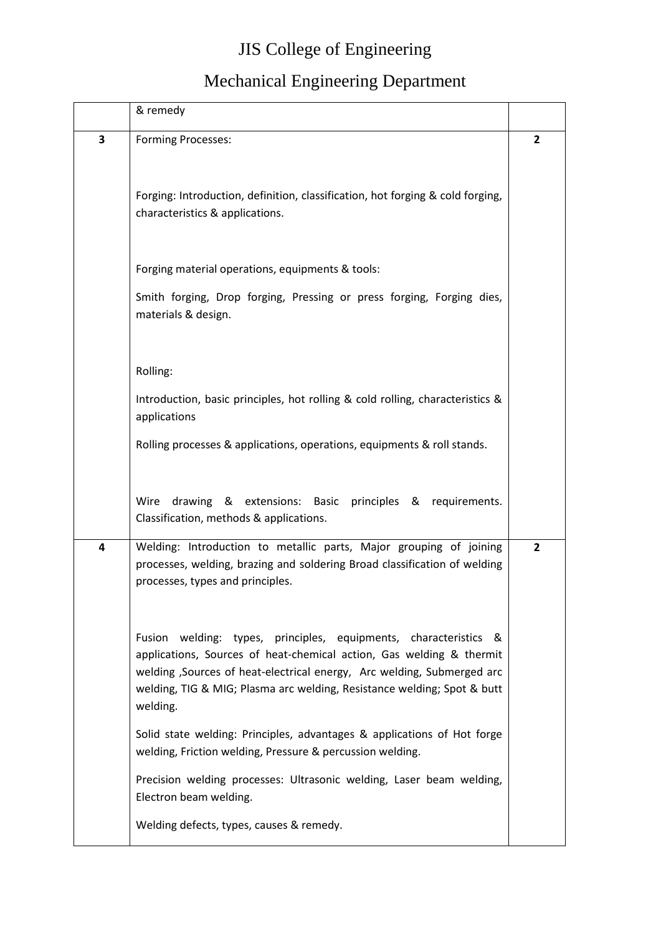|   | & remedy                                                                                                                                                                                                                                                                                                   |                |
|---|------------------------------------------------------------------------------------------------------------------------------------------------------------------------------------------------------------------------------------------------------------------------------------------------------------|----------------|
| 3 | <b>Forming Processes:</b>                                                                                                                                                                                                                                                                                  | 2              |
|   | Forging: Introduction, definition, classification, hot forging & cold forging,<br>characteristics & applications.                                                                                                                                                                                          |                |
|   | Forging material operations, equipments & tools:                                                                                                                                                                                                                                                           |                |
|   | Smith forging, Drop forging, Pressing or press forging, Forging dies,<br>materials & design.                                                                                                                                                                                                               |                |
|   | Rolling:                                                                                                                                                                                                                                                                                                   |                |
|   | Introduction, basic principles, hot rolling & cold rolling, characteristics &<br>applications                                                                                                                                                                                                              |                |
|   | Rolling processes & applications, operations, equipments & roll stands.                                                                                                                                                                                                                                    |                |
|   | Wire<br>drawing & extensions: Basic principles & requirements.<br>Classification, methods & applications.                                                                                                                                                                                                  |                |
| 4 | Welding: Introduction to metallic parts, Major grouping of joining<br>processes, welding, brazing and soldering Broad classification of welding<br>processes, types and principles.                                                                                                                        | $\overline{2}$ |
|   | Fusion welding: types, principles, equipments, characteristics &<br>applications, Sources of heat-chemical action, Gas welding & thermit<br>welding , Sources of heat-electrical energy, Arc welding, Submerged arc<br>welding, TIG & MIG; Plasma arc welding, Resistance welding; Spot & butt<br>welding. |                |
|   | Solid state welding: Principles, advantages & applications of Hot forge<br>welding, Friction welding, Pressure & percussion welding.                                                                                                                                                                       |                |
|   | Precision welding processes: Ultrasonic welding, Laser beam welding,<br>Electron beam welding.                                                                                                                                                                                                             |                |
|   | Welding defects, types, causes & remedy.                                                                                                                                                                                                                                                                   |                |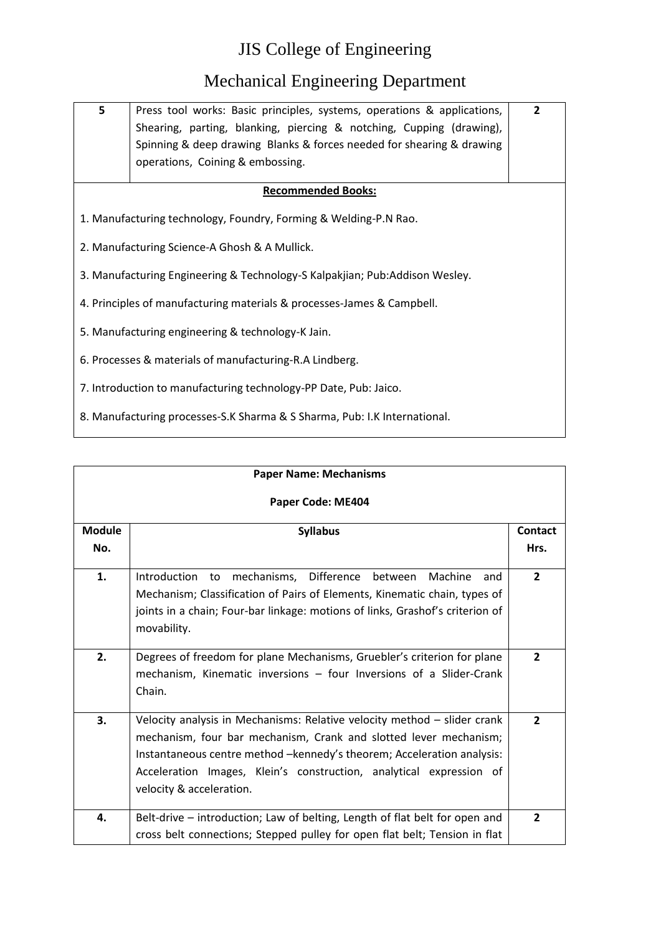| 5                                                 | Press tool works: Basic principles, systems, operations & applications,<br>Shearing, parting, blanking, piercing & notching, Cupping (drawing),<br>Spinning & deep drawing Blanks & forces needed for shearing & drawing<br>operations, Coining & embossing. | $\overline{2}$ |
|---------------------------------------------------|--------------------------------------------------------------------------------------------------------------------------------------------------------------------------------------------------------------------------------------------------------------|----------------|
|                                                   | <b>Recommended Books:</b>                                                                                                                                                                                                                                    |                |
|                                                   | 1. Manufacturing technology, Foundry, Forming & Welding-P.N Rao.                                                                                                                                                                                             |                |
|                                                   | 2. Manufacturing Science-A Ghosh & A Mullick.                                                                                                                                                                                                                |                |
|                                                   | 3. Manufacturing Engineering & Technology-S Kalpakjian; Pub:Addison Wesley.                                                                                                                                                                                  |                |
|                                                   | 4. Principles of manufacturing materials & processes-James & Campbell.                                                                                                                                                                                       |                |
| 5. Manufacturing engineering & technology-K Jain. |                                                                                                                                                                                                                                                              |                |
|                                                   | 6. Processes & materials of manufacturing-R.A Lindberg.                                                                                                                                                                                                      |                |
|                                                   | 7. Introduction to manufacturing technology-PP Date, Pub: Jaico.                                                                                                                                                                                             |                |
|                                                   | 8. Manufacturing processes-S.K Sharma & S Sharma, Pub: I.K International.                                                                                                                                                                                    |                |

| <b>Paper Name: Mechanisms</b> |                                                                                                                                                                                                                                                                                                                            |                 |
|-------------------------------|----------------------------------------------------------------------------------------------------------------------------------------------------------------------------------------------------------------------------------------------------------------------------------------------------------------------------|-----------------|
| Paper Code: ME404             |                                                                                                                                                                                                                                                                                                                            |                 |
| <b>Module</b><br>No.          | <b>Syllabus</b>                                                                                                                                                                                                                                                                                                            | Contact<br>Hrs. |
| 1.                            | Introduction<br>mechanisms,<br>Difference<br>Machine<br>between<br>to<br>and<br>Mechanism; Classification of Pairs of Elements, Kinematic chain, types of<br>joints in a chain; Four-bar linkage: motions of links, Grashof's criterion of<br>movability.                                                                  | $\overline{2}$  |
| 2.                            | Degrees of freedom for plane Mechanisms, Gruebler's criterion for plane<br>mechanism, Kinematic inversions - four Inversions of a Slider-Crank<br>Chain.                                                                                                                                                                   | $\overline{2}$  |
| 3.                            | Velocity analysis in Mechanisms: Relative velocity method - slider crank<br>mechanism, four bar mechanism, Crank and slotted lever mechanism;<br>Instantaneous centre method -kennedy's theorem; Acceleration analysis:<br>Acceleration Images, Klein's construction, analytical expression of<br>velocity & acceleration. | $\overline{2}$  |
| 4.                            | Belt-drive – introduction; Law of belting, Length of flat belt for open and<br>cross belt connections; Stepped pulley for open flat belt; Tension in flat                                                                                                                                                                  | $\overline{2}$  |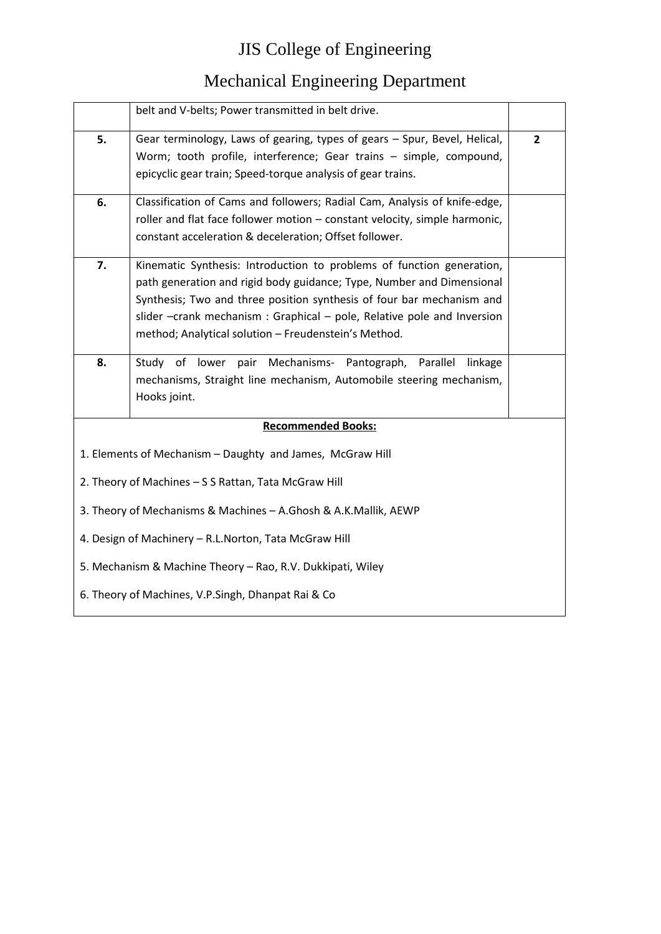|                                                            | belt and V-belts; Power transmitted in belt drive.                         |                |  |
|------------------------------------------------------------|----------------------------------------------------------------------------|----------------|--|
|                                                            |                                                                            |                |  |
| 5.                                                         | Gear terminology, Laws of gearing, types of gears - Spur, Bevel, Helical,  | $\overline{2}$ |  |
|                                                            | Worm; tooth profile, interference; Gear trains - simple, compound,         |                |  |
|                                                            | epicyclic gear train; Speed-torque analysis of gear trains.                |                |  |
| 6.                                                         | Classification of Cams and followers; Radial Cam, Analysis of knife-edge,  |                |  |
|                                                            | roller and flat face follower motion - constant velocity, simple harmonic, |                |  |
|                                                            | constant acceleration & deceleration; Offset follower.                     |                |  |
| 7.                                                         | Kinematic Synthesis: Introduction to problems of function generation,      |                |  |
|                                                            | path generation and rigid body guidance; Type, Number and Dimensional      |                |  |
|                                                            | Synthesis; Two and three position synthesis of four bar mechanism and      |                |  |
|                                                            | slider -crank mechanism: Graphical - pole, Relative pole and Inversion     |                |  |
|                                                            | method; Analytical solution - Freudenstein's Method.                       |                |  |
| 8.                                                         | Study of lower pair Mechanisms- Pantograph,<br>Parallel linkage            |                |  |
|                                                            | mechanisms, Straight line mechanism, Automobile steering mechanism,        |                |  |
|                                                            | Hooks joint.                                                               |                |  |
|                                                            | <b>Recommended Books:</b>                                                  |                |  |
|                                                            | 1. Elements of Mechanism - Daughty and James, McGraw Hill                  |                |  |
|                                                            | 2. Theory of Machines - S S Rattan, Tata McGraw Hill                       |                |  |
|                                                            | 3. Theory of Mechanisms & Machines - A.Ghosh & A.K.Mallik, AEWP            |                |  |
| 4. Design of Machinery - R.L.Norton, Tata McGraw Hill      |                                                                            |                |  |
| 5. Mechanism & Machine Theory - Rao, R.V. Dukkipati, Wiley |                                                                            |                |  |
|                                                            | 6. Theory of Machines, V.P.Singh, Dhanpat Rai & Co                         |                |  |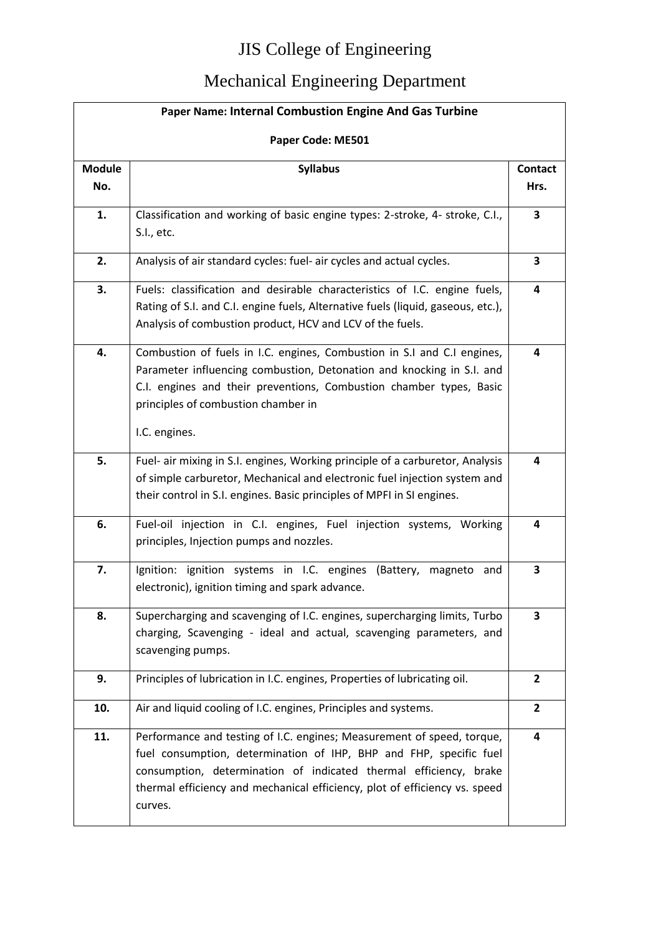| <b>Paper Name: Internal Combustion Engine And Gas Turbine</b> |                                                                                                                                                                                                                                                                                                            |                        |
|---------------------------------------------------------------|------------------------------------------------------------------------------------------------------------------------------------------------------------------------------------------------------------------------------------------------------------------------------------------------------------|------------------------|
| Paper Code: ME501                                             |                                                                                                                                                                                                                                                                                                            |                        |
| <b>Module</b><br>No.                                          | <b>Syllabus</b>                                                                                                                                                                                                                                                                                            | <b>Contact</b><br>Hrs. |
| 1.                                                            | Classification and working of basic engine types: 2-stroke, 4- stroke, C.I.,<br>S.I., etc.                                                                                                                                                                                                                 | 3                      |
| 2.                                                            | Analysis of air standard cycles: fuel- air cycles and actual cycles.                                                                                                                                                                                                                                       | 3                      |
| 3.                                                            | Fuels: classification and desirable characteristics of I.C. engine fuels,<br>Rating of S.I. and C.I. engine fuels, Alternative fuels (liquid, gaseous, etc.),<br>Analysis of combustion product, HCV and LCV of the fuels.                                                                                 | 4                      |
| 4.                                                            | Combustion of fuels in I.C. engines, Combustion in S.I and C.I engines,<br>Parameter influencing combustion, Detonation and knocking in S.I. and<br>C.I. engines and their preventions, Combustion chamber types, Basic<br>principles of combustion chamber in<br>I.C. engines.                            | 4                      |
| 5.                                                            | Fuel- air mixing in S.I. engines, Working principle of a carburetor, Analysis<br>of simple carburetor, Mechanical and electronic fuel injection system and<br>their control in S.I. engines. Basic principles of MPFI in SI engines.                                                                       | 4                      |
| 6.                                                            | Fuel-oil injection in C.I. engines, Fuel injection systems, Working<br>principles, Injection pumps and nozzles.                                                                                                                                                                                            | 4                      |
| 7.                                                            | Ignition: ignition systems in I.C. engines (Battery, magneto and<br>electronic), ignition timing and spark advance.                                                                                                                                                                                        | 3                      |
| 8.                                                            | Supercharging and scavenging of I.C. engines, supercharging limits, Turbo<br>charging, Scavenging - ideal and actual, scavenging parameters, and<br>scavenging pumps.                                                                                                                                      | 3                      |
| 9.                                                            | Principles of lubrication in I.C. engines, Properties of lubricating oil.                                                                                                                                                                                                                                  | $\mathbf{2}$           |
| 10.                                                           | Air and liquid cooling of I.C. engines, Principles and systems.                                                                                                                                                                                                                                            | $\overline{2}$         |
| 11.                                                           | Performance and testing of I.C. engines; Measurement of speed, torque,<br>fuel consumption, determination of IHP, BHP and FHP, specific fuel<br>consumption, determination of indicated thermal efficiency, brake<br>thermal efficiency and mechanical efficiency, plot of efficiency vs. speed<br>curves. | 4                      |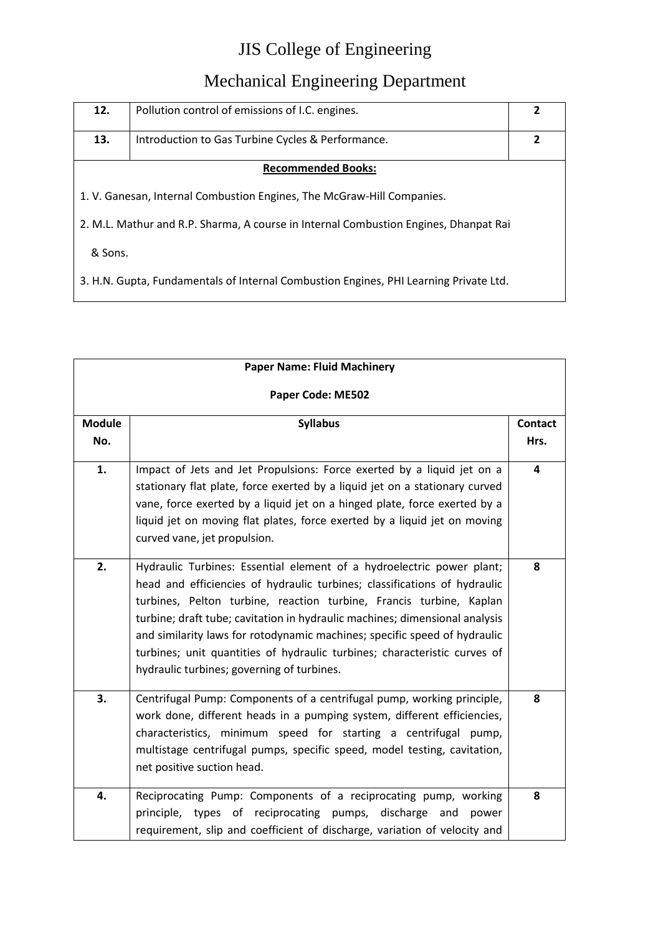| 12.                                                                                   | Pollution control of emissions of I.C. engines.   | 2 |
|---------------------------------------------------------------------------------------|---------------------------------------------------|---|
| 13.                                                                                   | Introduction to Gas Turbine Cycles & Performance. | 2 |
| <b>Recommended Books:</b>                                                             |                                                   |   |
| 1. V. Ganesan, Internal Combustion Engines, The McGraw-Hill Companies.                |                                                   |   |
| 2. M.L. Mathur and R.P. Sharma, A course in Internal Combustion Engines, Dhanpat Rai  |                                                   |   |
| & Sons.                                                                               |                                                   |   |
| 3. H.N. Gupta, Fundamentals of Internal Combustion Engines, PHI Learning Private Ltd. |                                                   |   |

| <b>Paper Name: Fluid Machinery</b> |                                                                                                                                                                                                                                                                                                                                                                                                                                                                                                                  |                         |
|------------------------------------|------------------------------------------------------------------------------------------------------------------------------------------------------------------------------------------------------------------------------------------------------------------------------------------------------------------------------------------------------------------------------------------------------------------------------------------------------------------------------------------------------------------|-------------------------|
| Paper Code: ME502                  |                                                                                                                                                                                                                                                                                                                                                                                                                                                                                                                  |                         |
| <b>Module</b><br>No.               | <b>Syllabus</b>                                                                                                                                                                                                                                                                                                                                                                                                                                                                                                  | <b>Contact</b><br>Hrs.  |
| 1.                                 | Impact of Jets and Jet Propulsions: Force exerted by a liquid jet on a<br>stationary flat plate, force exerted by a liquid jet on a stationary curved<br>vane, force exerted by a liquid jet on a hinged plate, force exerted by a<br>liquid jet on moving flat plates, force exerted by a liquid jet on moving<br>curved vane, jet propulsion.                                                                                                                                                                  | $\overline{\mathbf{4}}$ |
| 2.                                 | Hydraulic Turbines: Essential element of a hydroelectric power plant;<br>head and efficiencies of hydraulic turbines; classifications of hydraulic<br>turbines, Pelton turbine, reaction turbine, Francis turbine, Kaplan<br>turbine; draft tube; cavitation in hydraulic machines; dimensional analysis<br>and similarity laws for rotodynamic machines; specific speed of hydraulic<br>turbines; unit quantities of hydraulic turbines; characteristic curves of<br>hydraulic turbines; governing of turbines. | 8                       |
| 3.                                 | Centrifugal Pump: Components of a centrifugal pump, working principle,<br>work done, different heads in a pumping system, different efficiencies,<br>characteristics, minimum speed for starting a centrifugal pump,<br>multistage centrifugal pumps, specific speed, model testing, cavitation,<br>net positive suction head.                                                                                                                                                                                   | 8                       |
| 4.                                 | Reciprocating Pump: Components of a reciprocating pump, working<br>of reciprocating<br>pumps,<br>discharge<br>principle,<br>types<br>and<br>power<br>requirement, slip and coefficient of discharge, variation of velocity and                                                                                                                                                                                                                                                                                   | 8                       |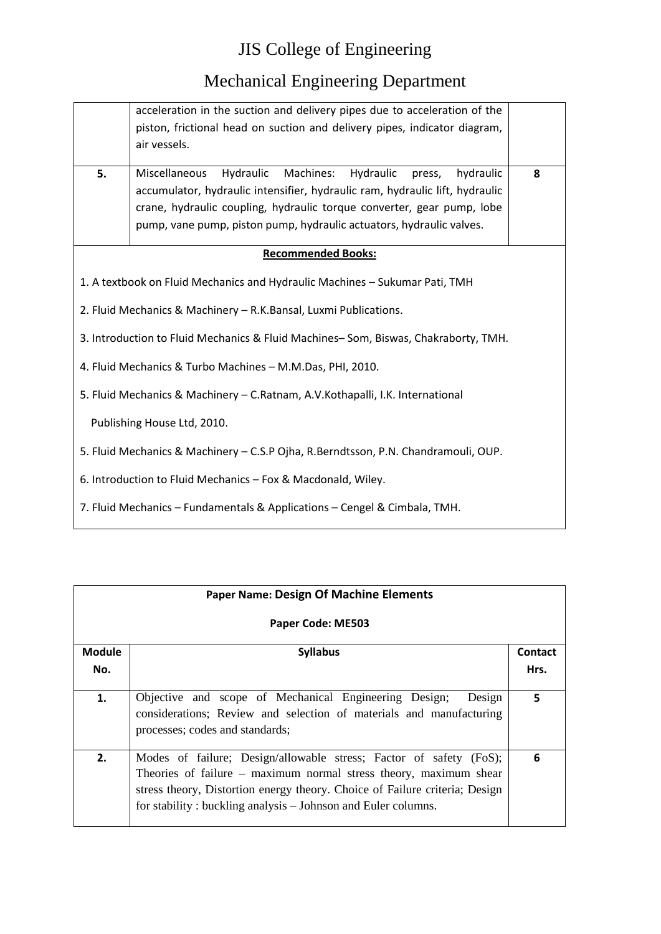## Mechanical Engineering Department

|                                                                                    | acceleration in the suction and delivery pipes due to acceleration of the    |   |
|------------------------------------------------------------------------------------|------------------------------------------------------------------------------|---|
|                                                                                    | piston, frictional head on suction and delivery pipes, indicator diagram,    |   |
|                                                                                    | air vessels.                                                                 |   |
|                                                                                    |                                                                              |   |
| 5.                                                                                 | Miscellaneous<br>Hydraulic<br>Machines:<br>Hydraulic<br>hydraulic<br>press,  | 8 |
|                                                                                    | accumulator, hydraulic intensifier, hydraulic ram, hydraulic lift, hydraulic |   |
|                                                                                    | crane, hydraulic coupling, hydraulic torque converter, gear pump, lobe       |   |
|                                                                                    | pump, vane pump, piston pump, hydraulic actuators, hydraulic valves.         |   |
|                                                                                    |                                                                              |   |
|                                                                                    | <b>Recommended Books:</b>                                                    |   |
|                                                                                    | 1. A textbook on Fluid Mechanics and Hydraulic Machines - Sukumar Pati, TMH  |   |
| 2. Fluid Mechanics & Machinery - R.K.Bansal, Luxmi Publications.                   |                                                                              |   |
| 3. Introduction to Fluid Mechanics & Fluid Machines-Som, Biswas, Chakraborty, TMH. |                                                                              |   |
| 4. Fluid Mechanics & Turbo Machines - M.M.Das, PHI, 2010.                          |                                                                              |   |
| 5. Fluid Mechanics & Machinery - C.Ratnam, A.V.Kothapalli, I.K. International      |                                                                              |   |
| Publishing House Ltd, 2010.                                                        |                                                                              |   |
| 5. Fluid Mechanics & Machinery - C.S.P Ojha, R.Berndtsson, P.N. Chandramouli, OUP. |                                                                              |   |
| 6. Introduction to Fluid Mechanics - Fox & Macdonald, Wiley.                       |                                                                              |   |
| 7. Fluid Mechanics - Fundamentals & Applications - Cengel & Cimbala, TMH.          |                                                                              |   |

| <b>Paper Name: Design Of Machine Elements</b> |                                                                                                                                                                                                                                                                                           |                 |
|-----------------------------------------------|-------------------------------------------------------------------------------------------------------------------------------------------------------------------------------------------------------------------------------------------------------------------------------------------|-----------------|
|                                               | Paper Code: ME503                                                                                                                                                                                                                                                                         |                 |
| <b>Module</b><br>No.                          | <b>Syllabus</b>                                                                                                                                                                                                                                                                           | Contact<br>Hrs. |
| 1.                                            | Objective and scope of Mechanical Engineering Design;<br>Design<br>considerations; Review and selection of materials and manufacturing<br>processes; codes and standards;                                                                                                                 | 5               |
| 2.                                            | Modes of failure; Design/allowable stress; Factor of safety (FoS);<br>Theories of failure $-$ maximum normal stress theory, maximum shear<br>stress theory, Distortion energy theory. Choice of Failure criteria; Design<br>for stability: buckling analysis – Johnson and Euler columns. | 6               |

<u> 1989 - Johann Barn, mars eta bainar eta idazlea (</u>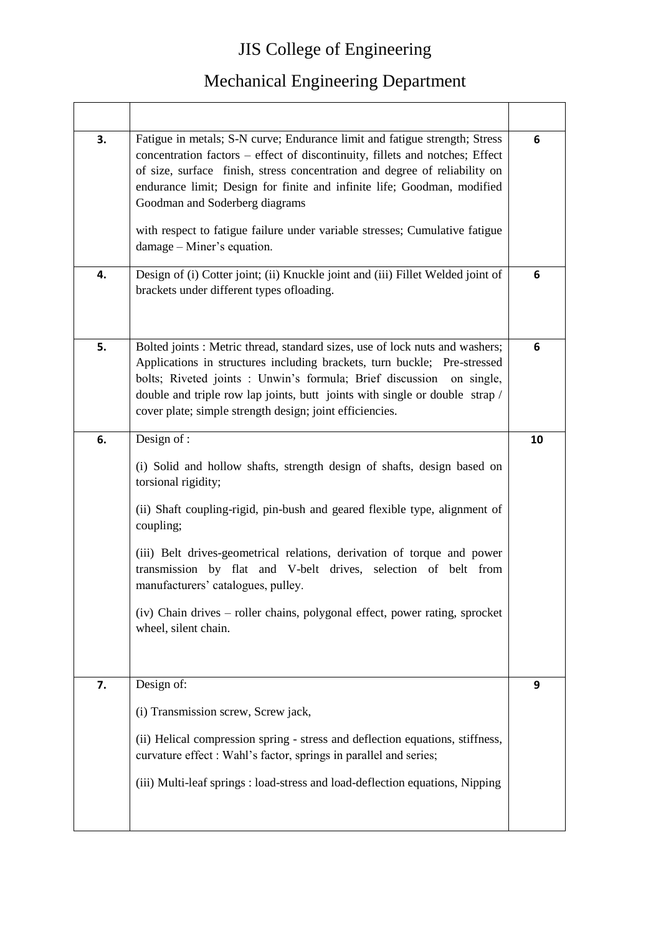| 3.<br>4. | Fatigue in metals; S-N curve; Endurance limit and fatigue strength; Stress<br>concentration factors – effect of discontinuity, fillets and notches; Effect<br>of size, surface finish, stress concentration and degree of reliability on<br>endurance limit; Design for finite and infinite life; Goodman, modified<br>Goodman and Soderberg diagrams<br>with respect to fatigue failure under variable stresses; Cumulative fatigue<br>damage – Miner's equation.<br>Design of (i) Cotter joint; (ii) Knuckle joint and (iii) Fillet Welded joint of | 6<br>6 |
|----------|-------------------------------------------------------------------------------------------------------------------------------------------------------------------------------------------------------------------------------------------------------------------------------------------------------------------------------------------------------------------------------------------------------------------------------------------------------------------------------------------------------------------------------------------------------|--------|
|          | brackets under different types ofloading.                                                                                                                                                                                                                                                                                                                                                                                                                                                                                                             |        |
| 5.       | Bolted joints : Metric thread, standard sizes, use of lock nuts and washers;<br>Applications in structures including brackets, turn buckle; Pre-stressed<br>bolts; Riveted joints : Unwin's formula; Brief discussion on single,<br>double and triple row lap joints, butt joints with single or double strap /<br>cover plate; simple strength design; joint efficiencies.                                                                                                                                                                           | 6      |
| 6.       | Design of :                                                                                                                                                                                                                                                                                                                                                                                                                                                                                                                                           | 10     |
|          | (i) Solid and hollow shafts, strength design of shafts, design based on<br>torsional rigidity;<br>(ii) Shaft coupling-rigid, pin-bush and geared flexible type, alignment of<br>coupling;<br>(iii) Belt drives-geometrical relations, derivation of torque and power                                                                                                                                                                                                                                                                                  |        |
|          | transmission by flat and V-belt drives, selection of belt from<br>manufacturers' catalogues, pulley.                                                                                                                                                                                                                                                                                                                                                                                                                                                  |        |
|          | (iv) Chain drives - roller chains, polygonal effect, power rating, sprocket<br>wheel, silent chain.                                                                                                                                                                                                                                                                                                                                                                                                                                                   |        |
| 7.       | Design of:                                                                                                                                                                                                                                                                                                                                                                                                                                                                                                                                            | 9      |
|          | (i) Transmission screw, Screw jack,                                                                                                                                                                                                                                                                                                                                                                                                                                                                                                                   |        |
|          | (ii) Helical compression spring - stress and deflection equations, stiffness,<br>curvature effect : Wahl's factor, springs in parallel and series;                                                                                                                                                                                                                                                                                                                                                                                                    |        |
|          | (iii) Multi-leaf springs : load-stress and load-deflection equations, Nipping                                                                                                                                                                                                                                                                                                                                                                                                                                                                         |        |
|          |                                                                                                                                                                                                                                                                                                                                                                                                                                                                                                                                                       |        |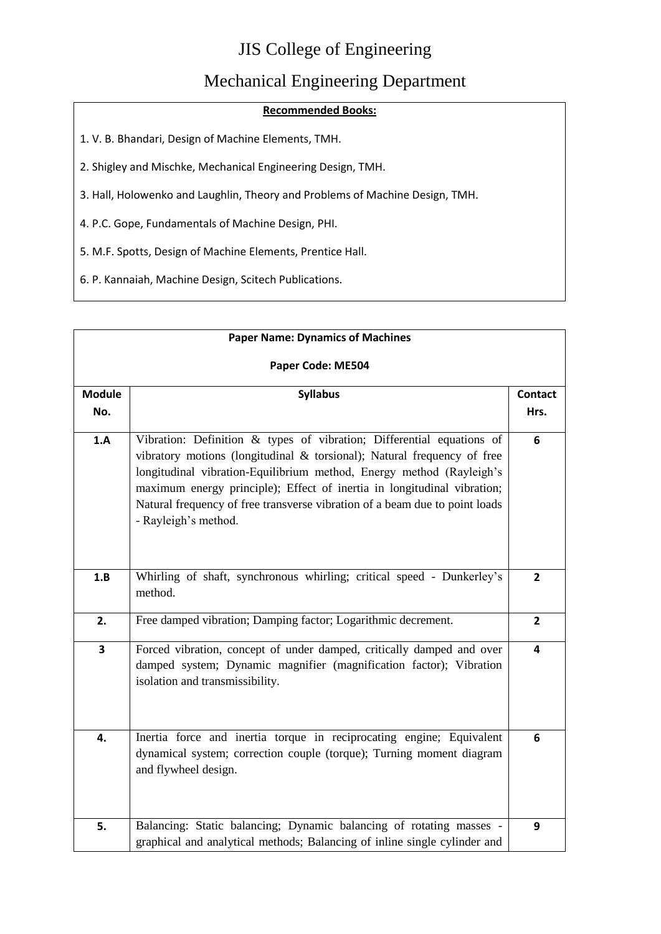#### Mechanical Engineering Department

#### **Recommended Books:**

- 1. V. B. Bhandari, Design of Machine Elements, TMH.
- 2. Shigley and Mischke, Mechanical Engineering Design, TMH.
- 3. Hall, Holowenko and Laughlin, Theory and Problems of Machine Design, TMH.
- 4. P.C. Gope, Fundamentals of Machine Design, PHI.
- 5. M.F. Spotts, Design of Machine Elements, Prentice Hall.
- 6. P. Kannaiah, Machine Design, Scitech Publications.

| <b>Paper Name: Dynamics of Machines</b> |                                                                                                                                                                                                                                                                                                                                                                                                            |                        |
|-----------------------------------------|------------------------------------------------------------------------------------------------------------------------------------------------------------------------------------------------------------------------------------------------------------------------------------------------------------------------------------------------------------------------------------------------------------|------------------------|
| Paper Code: ME504                       |                                                                                                                                                                                                                                                                                                                                                                                                            |                        |
| <b>Module</b><br>No.                    | <b>Syllabus</b>                                                                                                                                                                                                                                                                                                                                                                                            | <b>Contact</b><br>Hrs. |
| 1.A                                     | Vibration: Definition & types of vibration; Differential equations of<br>vibratory motions (longitudinal & torsional); Natural frequency of free<br>longitudinal vibration-Equilibrium method, Energy method (Rayleigh's<br>maximum energy principle); Effect of inertia in longitudinal vibration;<br>Natural frequency of free transverse vibration of a beam due to point loads<br>- Rayleigh's method. | 6                      |
| 1.B                                     | Whirling of shaft, synchronous whirling; critical speed - Dunkerley's<br>method.                                                                                                                                                                                                                                                                                                                           | $\overline{2}$         |
| 2.                                      | Free damped vibration; Damping factor; Logarithmic decrement.                                                                                                                                                                                                                                                                                                                                              | $\overline{2}$         |
| 3                                       | Forced vibration, concept of under damped, critically damped and over<br>damped system; Dynamic magnifier (magnification factor); Vibration<br>isolation and transmissibility.                                                                                                                                                                                                                             | 4                      |
| 4.                                      | Inertia force and inertia torque in reciprocating engine; Equivalent<br>dynamical system; correction couple (torque); Turning moment diagram<br>and flywheel design.                                                                                                                                                                                                                                       | 6                      |
| 5.                                      | Balancing: Static balancing; Dynamic balancing of rotating masses -<br>graphical and analytical methods; Balancing of inline single cylinder and                                                                                                                                                                                                                                                           | 9                      |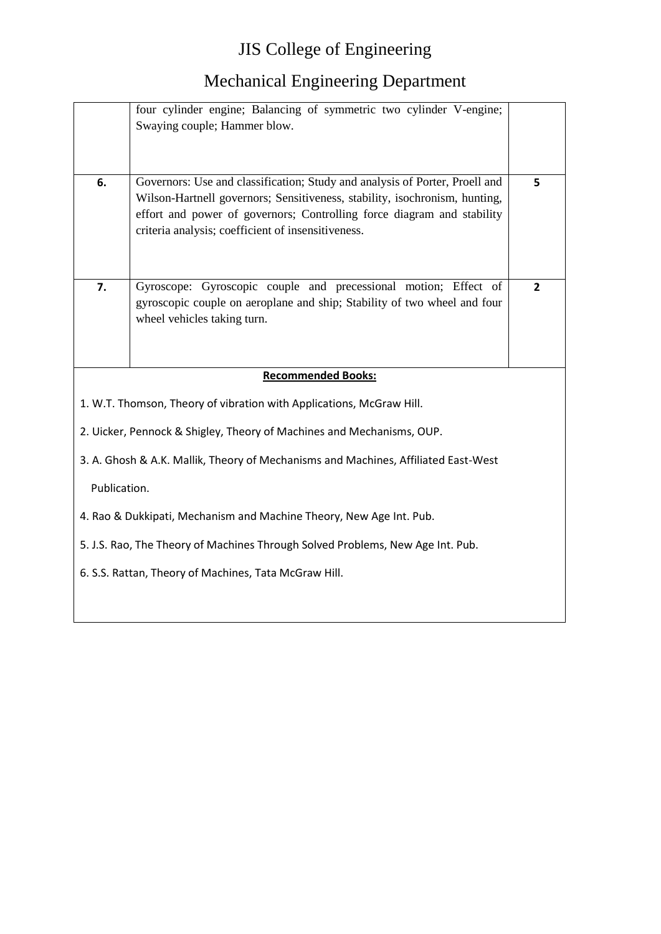|              | four cylinder engine; Balancing of symmetric two cylinder V-engine;<br>Swaying couple; Hammer blow.                                                                                                                                                                                       |                |
|--------------|-------------------------------------------------------------------------------------------------------------------------------------------------------------------------------------------------------------------------------------------------------------------------------------------|----------------|
| 6.           | Governors: Use and classification; Study and analysis of Porter, Proell and<br>Wilson-Hartnell governors; Sensitiveness, stability, isochronism, hunting,<br>effort and power of governors; Controlling force diagram and stability<br>criteria analysis; coefficient of insensitiveness. | 5              |
| 7.           | Gyroscope: Gyroscopic couple and precessional motion; Effect of<br>gyroscopic couple on aeroplane and ship; Stability of two wheel and four<br>wheel vehicles taking turn.                                                                                                                | $\overline{2}$ |
|              | <b>Recommended Books:</b>                                                                                                                                                                                                                                                                 |                |
|              | 1. W.T. Thomson, Theory of vibration with Applications, McGraw Hill.                                                                                                                                                                                                                      |                |
|              | 2. Uicker, Pennock & Shigley, Theory of Machines and Mechanisms, OUP.                                                                                                                                                                                                                     |                |
|              | 3. A. Ghosh & A.K. Mallik, Theory of Mechanisms and Machines, Affiliated East-West                                                                                                                                                                                                        |                |
| Publication. |                                                                                                                                                                                                                                                                                           |                |
|              | 4. Rao & Dukkipati, Mechanism and Machine Theory, New Age Int. Pub.                                                                                                                                                                                                                       |                |
|              | 5. J.S. Rao, The Theory of Machines Through Solved Problems, New Age Int. Pub.                                                                                                                                                                                                            |                |
|              | 6. S.S. Rattan, Theory of Machines, Tata McGraw Hill.                                                                                                                                                                                                                                     |                |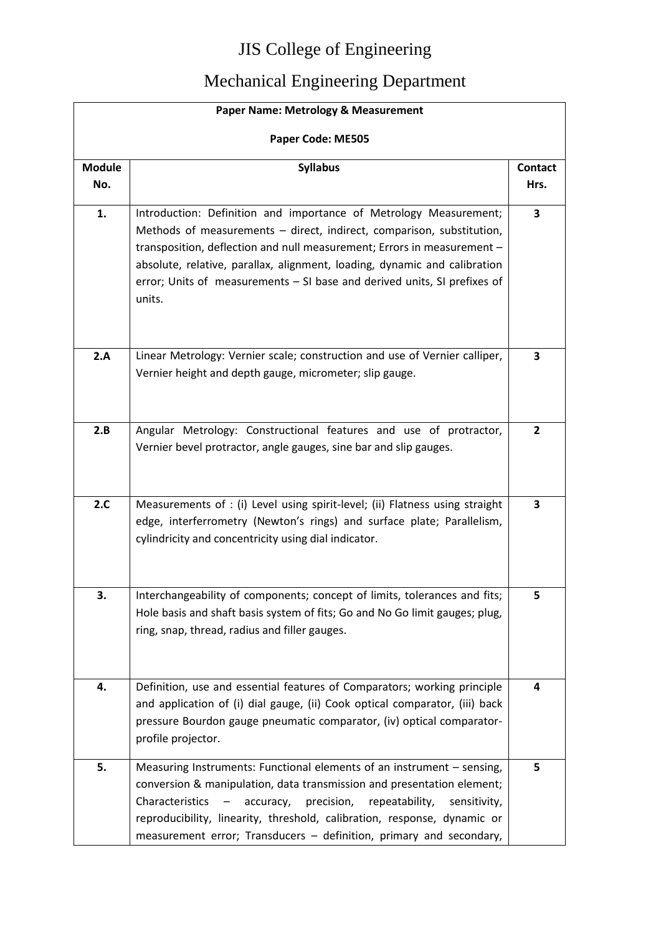|                      | Paper Name: Metrology & Measurement                                                                                                                                                                                                                                                                                                                                                      |                         |
|----------------------|------------------------------------------------------------------------------------------------------------------------------------------------------------------------------------------------------------------------------------------------------------------------------------------------------------------------------------------------------------------------------------------|-------------------------|
| Paper Code: ME505    |                                                                                                                                                                                                                                                                                                                                                                                          |                         |
| <b>Module</b><br>No. | <b>Syllabus</b>                                                                                                                                                                                                                                                                                                                                                                          | <b>Contact</b><br>Hrs.  |
| 1.                   | Introduction: Definition and importance of Metrology Measurement;<br>Methods of measurements - direct, indirect, comparison, substitution,<br>transposition, deflection and null measurement; Errors in measurement -<br>absolute, relative, parallax, alignment, loading, dynamic and calibration<br>error; Units of measurements - SI base and derived units, SI prefixes of<br>units. | $\overline{\mathbf{3}}$ |
| 2.A                  | Linear Metrology: Vernier scale; construction and use of Vernier calliper,<br>Vernier height and depth gauge, micrometer; slip gauge.                                                                                                                                                                                                                                                    | 3                       |
| 2.B                  | Angular Metrology: Constructional features and use of protractor,<br>Vernier bevel protractor, angle gauges, sine bar and slip gauges.                                                                                                                                                                                                                                                   | $\overline{2}$          |
| 2.C                  | Measurements of : (i) Level using spirit-level; (ii) Flatness using straight<br>edge, interferrometry (Newton's rings) and surface plate; Parallelism,<br>cylindricity and concentricity using dial indicator.                                                                                                                                                                           | 3                       |
| 3.                   | Interchangeability of components; concept of limits, tolerances and fits;<br>Hole basis and shaft basis system of fits; Go and No Go limit gauges; plug,<br>ring, snap, thread, radius and filler gauges.                                                                                                                                                                                | 5                       |
| 4.                   | Definition, use and essential features of Comparators; working principle<br>and application of (i) dial gauge, (ii) Cook optical comparator, (iii) back<br>pressure Bourdon gauge pneumatic comparator, (iv) optical comparator-<br>profile projector.                                                                                                                                   | 4                       |
| 5.                   | Measuring Instruments: Functional elements of an instrument - sensing,<br>conversion & manipulation, data transmission and presentation element;<br>Characteristics<br>precision,<br>repeatability,<br>accuracy,<br>sensitivity,<br>reproducibility, linearity, threshold, calibration, response, dynamic or<br>measurement error; Transducers - definition, primary and secondary,      | 5                       |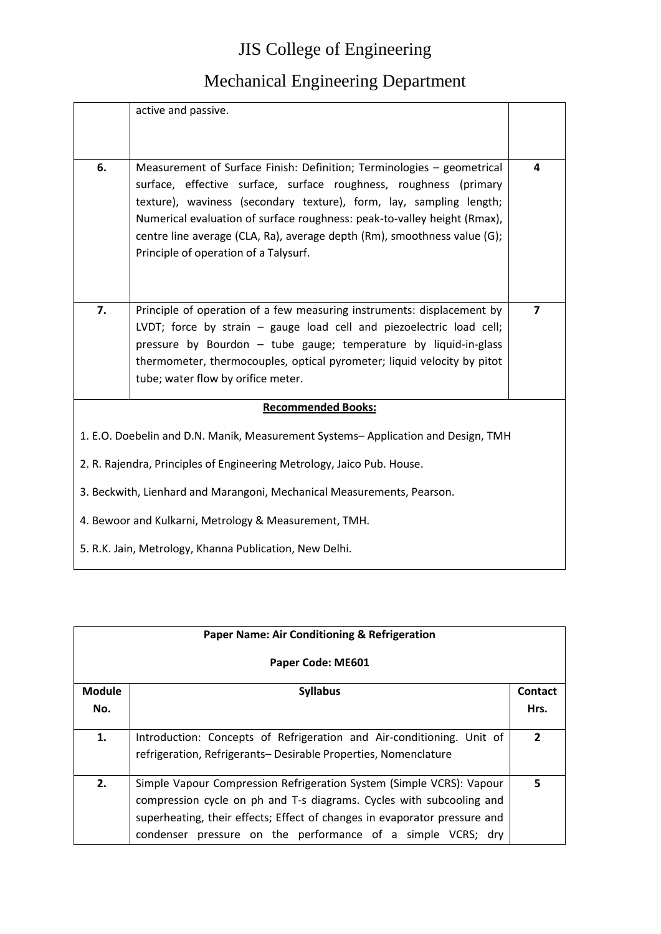|                                                                        | active and passive.                                                                                                                                                                                                                                                                                                                                                                                                 |   |
|------------------------------------------------------------------------|---------------------------------------------------------------------------------------------------------------------------------------------------------------------------------------------------------------------------------------------------------------------------------------------------------------------------------------------------------------------------------------------------------------------|---|
| 6.                                                                     | Measurement of Surface Finish: Definition; Terminologies - geometrical<br>surface, effective surface, surface roughness, roughness (primary<br>texture), waviness (secondary texture), form, lay, sampling length;<br>Numerical evaluation of surface roughness: peak-to-valley height (Rmax),<br>centre line average (CLA, Ra), average depth (Rm), smoothness value (G);<br>Principle of operation of a Talysurf. | 4 |
| 7.                                                                     | Principle of operation of a few measuring instruments: displacement by<br>LVDT; force by strain - gauge load cell and piezoelectric load cell;<br>pressure by Bourdon - tube gauge; temperature by liquid-in-glass<br>thermometer, thermocouples, optical pyrometer; liquid velocity by pitot<br>tube; water flow by orifice meter.                                                                                 | 7 |
|                                                                        | <b>Recommended Books:</b>                                                                                                                                                                                                                                                                                                                                                                                           |   |
|                                                                        | 1. E.O. Doebelin and D.N. Manik, Measurement Systems-Application and Design, TMH                                                                                                                                                                                                                                                                                                                                    |   |
|                                                                        | 2. R. Rajendra, Principles of Engineering Metrology, Jaico Pub. House.                                                                                                                                                                                                                                                                                                                                              |   |
| 3. Beckwith, Lienhard and Marangoni, Mechanical Measurements, Pearson. |                                                                                                                                                                                                                                                                                                                                                                                                                     |   |
| 4. Bewoor and Kulkarni, Metrology & Measurement, TMH.                  |                                                                                                                                                                                                                                                                                                                                                                                                                     |   |
|                                                                        | 5. R.K. Jain, Metrology, Khanna Publication, New Delhi.                                                                                                                                                                                                                                                                                                                                                             |   |

| <b>Paper Name: Air Conditioning &amp; Refrigeration</b> |                                                                           |                         |
|---------------------------------------------------------|---------------------------------------------------------------------------|-------------------------|
|                                                         | Paper Code: ME601                                                         |                         |
| <b>Module</b>                                           | <b>Syllabus</b>                                                           | <b>Contact</b>          |
| No.                                                     |                                                                           | Hrs.                    |
| 1.                                                      | Introduction: Concepts of Refrigeration and Air-conditioning. Unit of     | $\overline{\mathbf{z}}$ |
|                                                         | refrigeration, Refrigerants-Desirable Properties, Nomenclature            |                         |
| 2.                                                      | Simple Vapour Compression Refrigeration System (Simple VCRS): Vapour      | 5                       |
|                                                         | compression cycle on ph and T-s diagrams. Cycles with subcooling and      |                         |
|                                                         | superheating, their effects; Effect of changes in evaporator pressure and |                         |
|                                                         | condenser pressure on the performance of a simple VCRS; dry               |                         |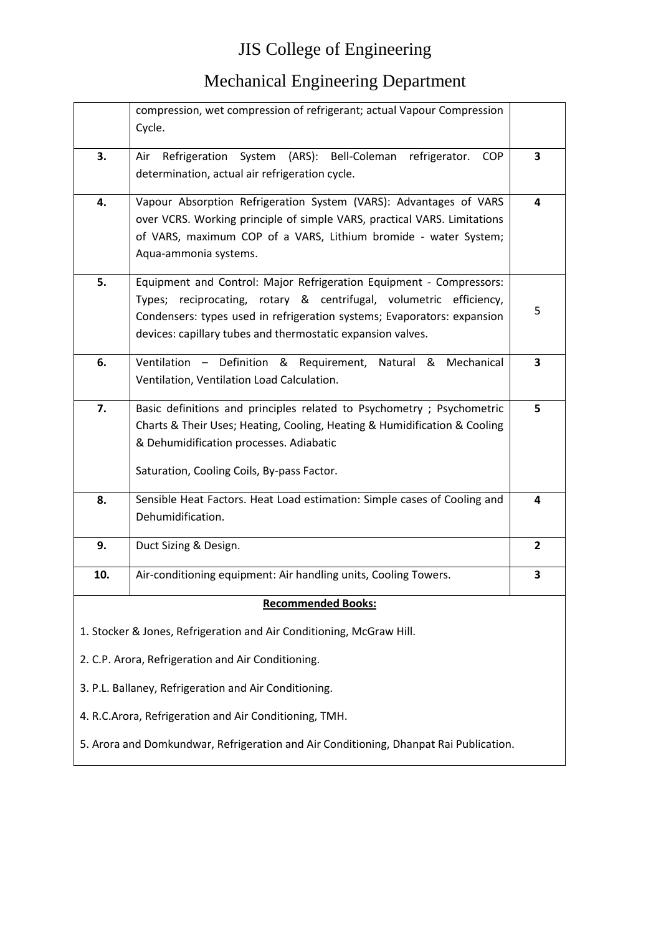|                                                       | compression, wet compression of refrigerant; actual Vapour Compression                |   |
|-------------------------------------------------------|---------------------------------------------------------------------------------------|---|
|                                                       | Cycle.                                                                                |   |
|                                                       |                                                                                       |   |
| 3.                                                    | (ARS): Bell-Coleman<br>System<br>Refrigeration<br>refrigerator.<br>Air<br><b>COP</b>  | 3 |
|                                                       | determination, actual air refrigeration cycle.                                        |   |
| 4.                                                    | Vapour Absorption Refrigeration System (VARS): Advantages of VARS                     | 4 |
|                                                       | over VCRS. Working principle of simple VARS, practical VARS. Limitations              |   |
|                                                       | of VARS, maximum COP of a VARS, Lithium bromide - water System;                       |   |
|                                                       | Aqua-ammonia systems.                                                                 |   |
|                                                       |                                                                                       |   |
| 5.                                                    | Equipment and Control: Major Refrigeration Equipment - Compressors:                   |   |
|                                                       | Types; reciprocating, rotary & centrifugal, volumetric efficiency,                    | 5 |
|                                                       | Condensers: types used in refrigeration systems; Evaporators: expansion               |   |
|                                                       | devices: capillary tubes and thermostatic expansion valves.                           |   |
| 6.                                                    | Ventilation - Definition & Requirement, Natural & Mechanical                          | 3 |
|                                                       | Ventilation, Ventilation Load Calculation.                                            |   |
|                                                       |                                                                                       |   |
| 7.                                                    | Basic definitions and principles related to Psychometry ; Psychometric                | 5 |
|                                                       | Charts & Their Uses; Heating, Cooling, Heating & Humidification & Cooling             |   |
|                                                       | & Dehumidification processes. Adiabatic                                               |   |
|                                                       | Saturation, Cooling Coils, By-pass Factor.                                            |   |
|                                                       |                                                                                       |   |
| 8.                                                    | Sensible Heat Factors. Heat Load estimation: Simple cases of Cooling and              | 4 |
|                                                       | Dehumidification.                                                                     |   |
| 9.                                                    | Duct Sizing & Design.                                                                 | 2 |
|                                                       |                                                                                       |   |
| 10.                                                   | Air-conditioning equipment: Air handling units, Cooling Towers.                       | 3 |
|                                                       | <u>Recommended Books:</u>                                                             |   |
|                                                       | 1. Stocker & Jones, Refrigeration and Air Conditioning, McGraw Hill.                  |   |
|                                                       |                                                                                       |   |
|                                                       | 2. C.P. Arora, Refrigeration and Air Conditioning.                                    |   |
| 3. P.L. Ballaney, Refrigeration and Air Conditioning. |                                                                                       |   |
|                                                       | 4. R.C.Arora, Refrigeration and Air Conditioning, TMH.                                |   |
|                                                       | 5. Arora and Domkundwar, Refrigeration and Air Conditioning, Dhanpat Rai Publication. |   |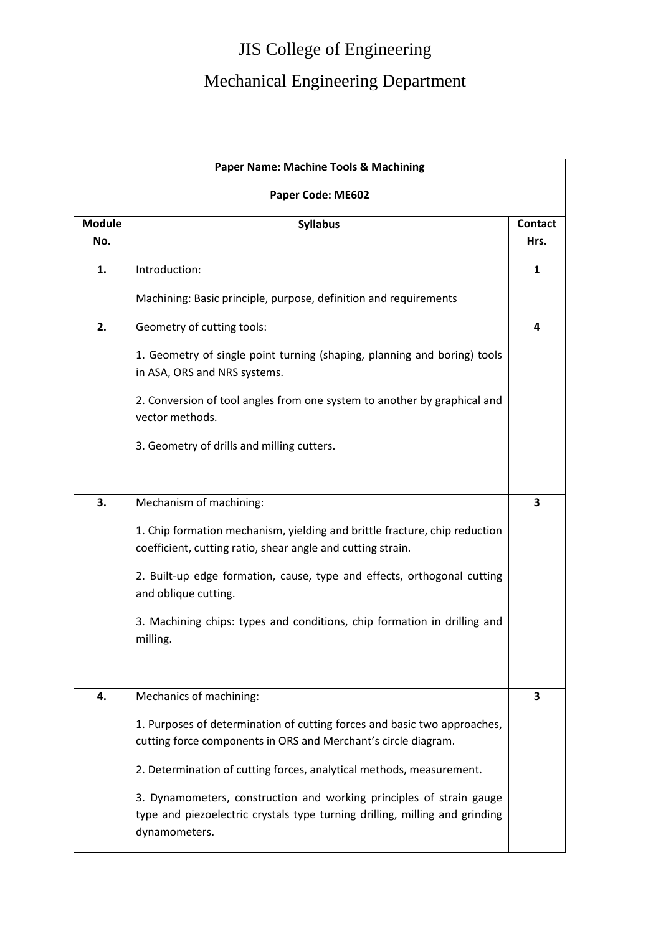| <b>Paper Name: Machine Tools &amp; Machining</b> |                                                                                                                                                                      |                        |
|--------------------------------------------------|----------------------------------------------------------------------------------------------------------------------------------------------------------------------|------------------------|
|                                                  | Paper Code: ME602                                                                                                                                                    |                        |
| <b>Module</b><br>No.                             | <b>Syllabus</b>                                                                                                                                                      | <b>Contact</b><br>Hrs. |
| 1.                                               | Introduction:                                                                                                                                                        | 1                      |
|                                                  | Machining: Basic principle, purpose, definition and requirements                                                                                                     |                        |
| 2.                                               | Geometry of cutting tools:                                                                                                                                           | 4                      |
|                                                  | 1. Geometry of single point turning (shaping, planning and boring) tools<br>in ASA, ORS and NRS systems.                                                             |                        |
|                                                  | 2. Conversion of tool angles from one system to another by graphical and<br>vector methods.                                                                          |                        |
|                                                  | 3. Geometry of drills and milling cutters.                                                                                                                           |                        |
| 3.                                               | Mechanism of machining:                                                                                                                                              | 3                      |
|                                                  | 1. Chip formation mechanism, yielding and brittle fracture, chip reduction<br>coefficient, cutting ratio, shear angle and cutting strain.                            |                        |
|                                                  | 2. Built-up edge formation, cause, type and effects, orthogonal cutting<br>and oblique cutting.                                                                      |                        |
|                                                  | 3. Machining chips: types and conditions, chip formation in drilling and<br>milling.                                                                                 |                        |
| 4.                                               | Mechanics of machining:                                                                                                                                              | 3                      |
|                                                  | 1. Purposes of determination of cutting forces and basic two approaches,<br>cutting force components in ORS and Merchant's circle diagram.                           |                        |
|                                                  | 2. Determination of cutting forces, analytical methods, measurement.                                                                                                 |                        |
|                                                  | 3. Dynamometers, construction and working principles of strain gauge<br>type and piezoelectric crystals type turning drilling, milling and grinding<br>dynamometers. |                        |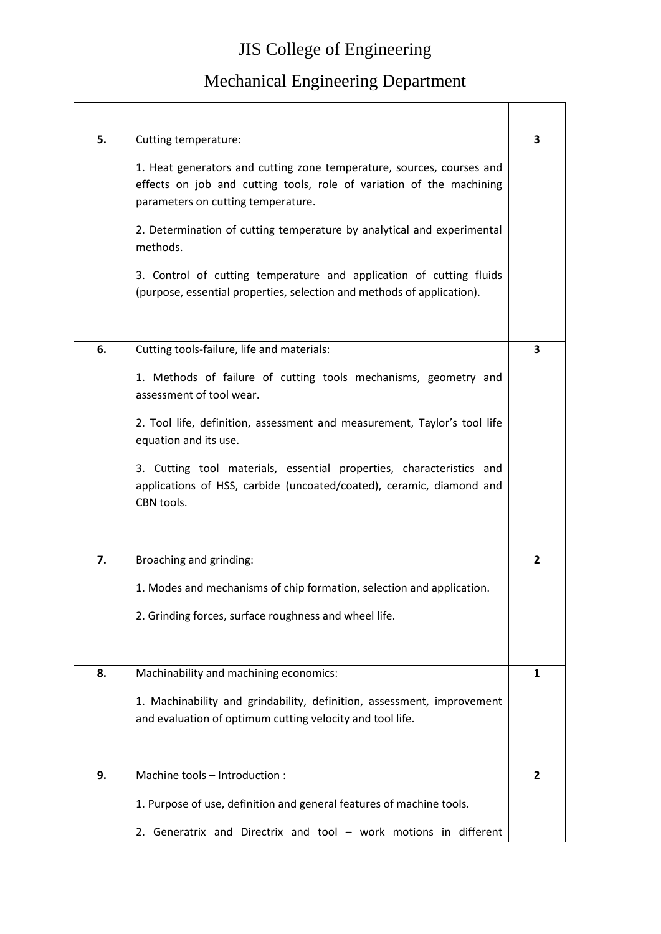| 5. | Cutting temperature:                                                                                                                                                                | 3              |
|----|-------------------------------------------------------------------------------------------------------------------------------------------------------------------------------------|----------------|
|    | 1. Heat generators and cutting zone temperature, sources, courses and<br>effects on job and cutting tools, role of variation of the machining<br>parameters on cutting temperature. |                |
|    | 2. Determination of cutting temperature by analytical and experimental<br>methods.                                                                                                  |                |
|    | 3. Control of cutting temperature and application of cutting fluids<br>(purpose, essential properties, selection and methods of application).                                       |                |
| 6. | Cutting tools-failure, life and materials:                                                                                                                                          | 3              |
|    | 1. Methods of failure of cutting tools mechanisms, geometry and<br>assessment of tool wear.                                                                                         |                |
|    | 2. Tool life, definition, assessment and measurement, Taylor's tool life<br>equation and its use.                                                                                   |                |
|    | 3. Cutting tool materials, essential properties, characteristics and<br>applications of HSS, carbide (uncoated/coated), ceramic, diamond and<br>CBN tools.                          |                |
| 7. | Broaching and grinding:                                                                                                                                                             | $\overline{2}$ |
|    | 1. Modes and mechanisms of chip formation, selection and application.                                                                                                               |                |
|    | 2. Grinding forces, surface roughness and wheel life.                                                                                                                               |                |
| 8. | Machinability and machining economics:                                                                                                                                              | 1              |
|    | 1. Machinability and grindability, definition, assessment, improvement<br>and evaluation of optimum cutting velocity and tool life.                                                 |                |
| 9. | Machine tools - Introduction :                                                                                                                                                      | 2              |
|    | 1. Purpose of use, definition and general features of machine tools.                                                                                                                |                |
|    | 2. Generatrix and Directrix and tool - work motions in different                                                                                                                    |                |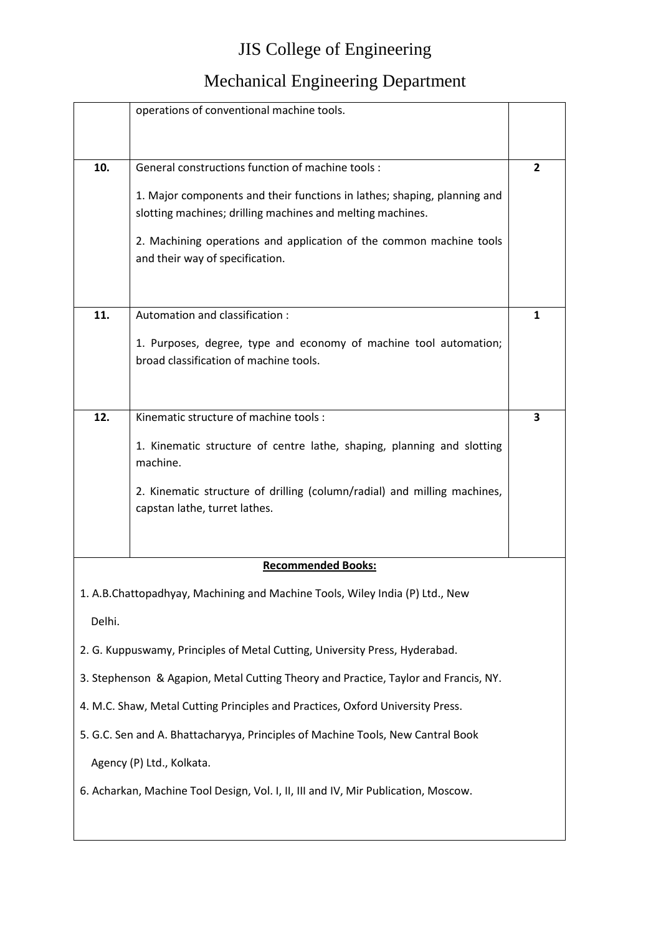|        | operations of conventional machine tools.                                                                   |   |
|--------|-------------------------------------------------------------------------------------------------------------|---|
| 10.    | General constructions function of machine tools :                                                           | 2 |
|        | 1. Major components and their functions in lathes; shaping, planning and                                    |   |
|        | slotting machines; drilling machines and melting machines.                                                  |   |
|        | 2. Machining operations and application of the common machine tools<br>and their way of specification.      |   |
| 11.    | Automation and classification:                                                                              | 1 |
|        | 1. Purposes, degree, type and economy of machine tool automation;<br>broad classification of machine tools. |   |
| 12.    | Kinematic structure of machine tools:                                                                       | 3 |
|        | 1. Kinematic structure of centre lathe, shaping, planning and slotting<br>machine.                          |   |
|        | 2. Kinematic structure of drilling (column/radial) and milling machines,<br>capstan lathe, turret lathes.   |   |
|        |                                                                                                             |   |
|        | <b>Recommended Books:</b>                                                                                   |   |
|        | 1. A.B.Chattopadhyay, Machining and Machine Tools, Wiley India (P) Ltd., New                                |   |
| Delhi. |                                                                                                             |   |
|        | 2. G. Kuppuswamy, Principles of Metal Cutting, University Press, Hyderabad.                                 |   |
|        | 3. Stephenson & Agapion, Metal Cutting Theory and Practice, Taylor and Francis, NY.                         |   |
|        | 4. M.C. Shaw, Metal Cutting Principles and Practices, Oxford University Press.                              |   |
|        | 5. G.C. Sen and A. Bhattacharyya, Principles of Machine Tools, New Cantral Book                             |   |
|        | Agency (P) Ltd., Kolkata.                                                                                   |   |
|        | 6. Acharkan, Machine Tool Design, Vol. I, II, III and IV, Mir Publication, Moscow.                          |   |
|        |                                                                                                             |   |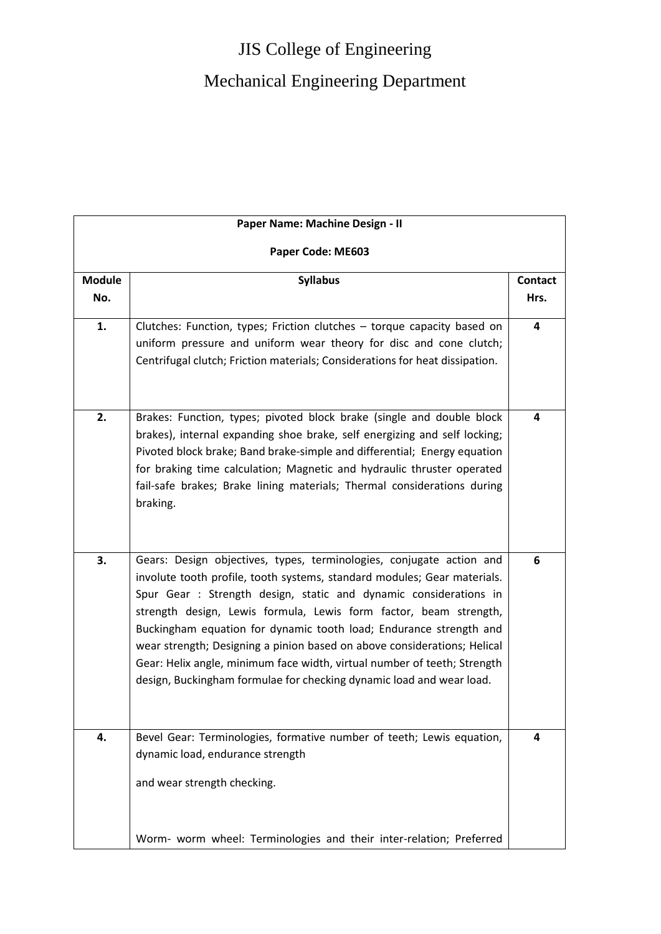# JIS College of Engineering Mechanical Engineering Department

|                      | Paper Name: Machine Design - II                                                                                                                                                                                                                                                                                                                                                                                                                                                                                                                                                                  |                        |
|----------------------|--------------------------------------------------------------------------------------------------------------------------------------------------------------------------------------------------------------------------------------------------------------------------------------------------------------------------------------------------------------------------------------------------------------------------------------------------------------------------------------------------------------------------------------------------------------------------------------------------|------------------------|
|                      | Paper Code: ME603                                                                                                                                                                                                                                                                                                                                                                                                                                                                                                                                                                                |                        |
| <b>Module</b><br>No. | <b>Syllabus</b>                                                                                                                                                                                                                                                                                                                                                                                                                                                                                                                                                                                  | <b>Contact</b><br>Hrs. |
| 1.                   | Clutches: Function, types; Friction clutches - torque capacity based on<br>uniform pressure and uniform wear theory for disc and cone clutch;<br>Centrifugal clutch; Friction materials; Considerations for heat dissipation.                                                                                                                                                                                                                                                                                                                                                                    | 4                      |
| 2.                   | Brakes: Function, types; pivoted block brake (single and double block<br>brakes), internal expanding shoe brake, self energizing and self locking;<br>Pivoted block brake; Band brake-simple and differential; Energy equation<br>for braking time calculation; Magnetic and hydraulic thruster operated<br>fail-safe brakes; Brake lining materials; Thermal considerations during<br>braking.                                                                                                                                                                                                  | 4                      |
| 3.                   | Gears: Design objectives, types, terminologies, conjugate action and<br>involute tooth profile, tooth systems, standard modules; Gear materials.<br>Spur Gear : Strength design, static and dynamic considerations in<br>strength design, Lewis formula, Lewis form factor, beam strength,<br>Buckingham equation for dynamic tooth load; Endurance strength and<br>wear strength; Designing a pinion based on above considerations; Helical<br>Gear: Helix angle, minimum face width, virtual number of teeth; Strength<br>design, Buckingham formulae for checking dynamic load and wear load. | 6                      |
| 4.                   | Bevel Gear: Terminologies, formative number of teeth; Lewis equation,<br>dynamic load, endurance strength<br>and wear strength checking.<br>Worm- worm wheel: Terminologies and their inter-relation; Preferred                                                                                                                                                                                                                                                                                                                                                                                  | 4                      |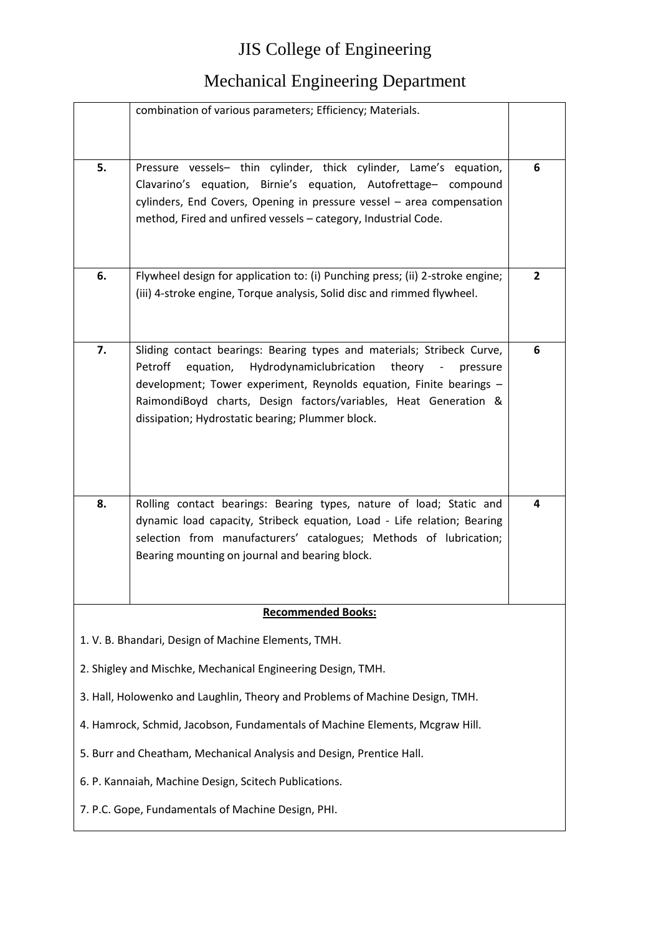|    | combination of various parameters; Efficiency; Materials.                                                                                                                                                                                                                       |                |
|----|---------------------------------------------------------------------------------------------------------------------------------------------------------------------------------------------------------------------------------------------------------------------------------|----------------|
|    |                                                                                                                                                                                                                                                                                 |                |
| 5. | Pressure vessels- thin cylinder, thick cylinder, Lame's equation,<br>Clavarino's equation, Birnie's equation, Autofrettage- compound<br>cylinders, End Covers, Opening in pressure vessel - area compensation<br>method, Fired and unfired vessels - category, Industrial Code. | 6              |
| 6. | Flywheel design for application to: (i) Punching press; (ii) 2-stroke engine;                                                                                                                                                                                                   | $\overline{2}$ |
|    | (iii) 4-stroke engine, Torque analysis, Solid disc and rimmed flywheel.                                                                                                                                                                                                         |                |
| 7. | Sliding contact bearings: Bearing types and materials; Stribeck Curve,<br>Petroff<br>equation,<br>Hydrodynamiclubrication<br>theory<br>$\overline{\phantom{a}}$<br>pressure                                                                                                     | 6              |
|    | development; Tower experiment, Reynolds equation, Finite bearings -                                                                                                                                                                                                             |                |
|    | RaimondiBoyd charts, Design factors/variables, Heat Generation &                                                                                                                                                                                                                |                |
|    | dissipation; Hydrostatic bearing; Plummer block.                                                                                                                                                                                                                                |                |
|    |                                                                                                                                                                                                                                                                                 |                |
| 8. | Rolling contact bearings: Bearing types, nature of load; Static and                                                                                                                                                                                                             | 4              |
|    | dynamic load capacity, Stribeck equation, Load - Life relation; Bearing<br>selection from manufacturers' catalogues; Methods of lubrication;                                                                                                                                    |                |
|    | Bearing mounting on journal and bearing block.                                                                                                                                                                                                                                  |                |
|    |                                                                                                                                                                                                                                                                                 |                |
|    | <b>Recommended Books:</b>                                                                                                                                                                                                                                                       |                |
|    |                                                                                                                                                                                                                                                                                 |                |
|    | 1. V. B. Bhandari, Design of Machine Elements, TMH.                                                                                                                                                                                                                             |                |
|    | 2. Shigley and Mischke, Mechanical Engineering Design, TMH.                                                                                                                                                                                                                     |                |
|    | 3. Hall, Holowenko and Laughlin, Theory and Problems of Machine Design, TMH.                                                                                                                                                                                                    |                |
|    | 4. Hamrock, Schmid, Jacobson, Fundamentals of Machine Elements, Mcgraw Hill.                                                                                                                                                                                                    |                |
|    |                                                                                                                                                                                                                                                                                 |                |
|    | 5. Burr and Cheatham, Mechanical Analysis and Design, Prentice Hall.                                                                                                                                                                                                            |                |
|    | 6. P. Kannaiah, Machine Design, Scitech Publications.                                                                                                                                                                                                                           |                |
|    | 7. P.C. Gope, Fundamentals of Machine Design, PHI.                                                                                                                                                                                                                              |                |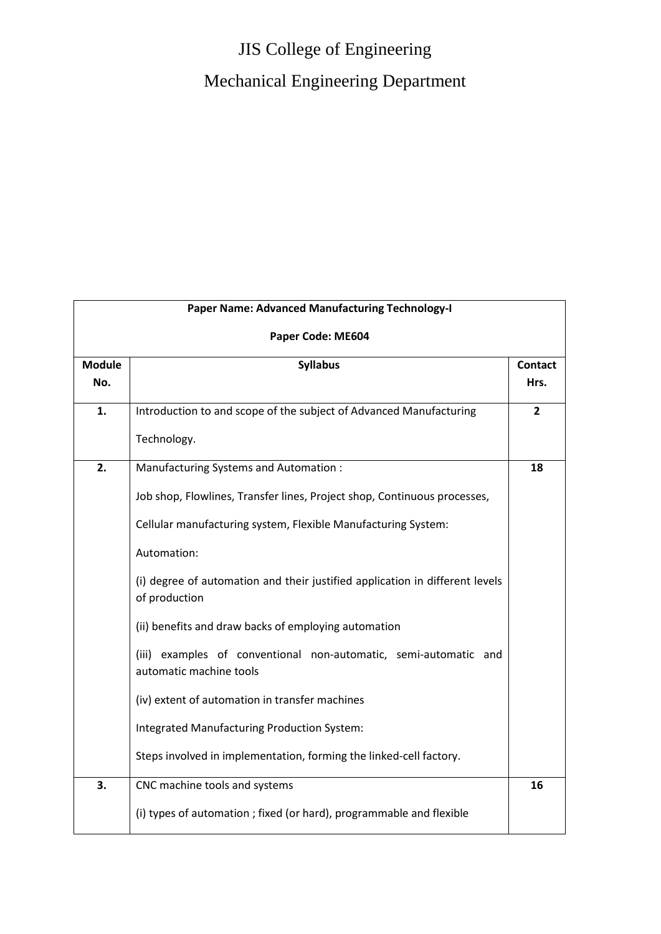|                      | Paper Name: Advanced Manufacturing Technology-I                                                                                                                                                                                                                                                                                                                                                                                                                                                                                                                                                                                   |                        |
|----------------------|-----------------------------------------------------------------------------------------------------------------------------------------------------------------------------------------------------------------------------------------------------------------------------------------------------------------------------------------------------------------------------------------------------------------------------------------------------------------------------------------------------------------------------------------------------------------------------------------------------------------------------------|------------------------|
|                      | Paper Code: ME604                                                                                                                                                                                                                                                                                                                                                                                                                                                                                                                                                                                                                 |                        |
| <b>Module</b><br>No. | <b>Syllabus</b>                                                                                                                                                                                                                                                                                                                                                                                                                                                                                                                                                                                                                   | <b>Contact</b><br>Hrs. |
| 1.                   | Introduction to and scope of the subject of Advanced Manufacturing<br>Technology.                                                                                                                                                                                                                                                                                                                                                                                                                                                                                                                                                 | $\overline{2}$         |
| 2.                   | Manufacturing Systems and Automation :<br>Job shop, Flowlines, Transfer lines, Project shop, Continuous processes,<br>Cellular manufacturing system, Flexible Manufacturing System:<br>Automation:<br>(i) degree of automation and their justified application in different levels<br>of production<br>(ii) benefits and draw backs of employing automation<br>(iii) examples of conventional non-automatic, semi-automatic and<br>automatic machine tools<br>(iv) extent of automation in transfer machines<br>Integrated Manufacturing Production System:<br>Steps involved in implementation, forming the linked-cell factory. | 18                     |
| 3.                   | CNC machine tools and systems<br>(i) types of automation ; fixed (or hard), programmable and flexible                                                                                                                                                                                                                                                                                                                                                                                                                                                                                                                             | 16                     |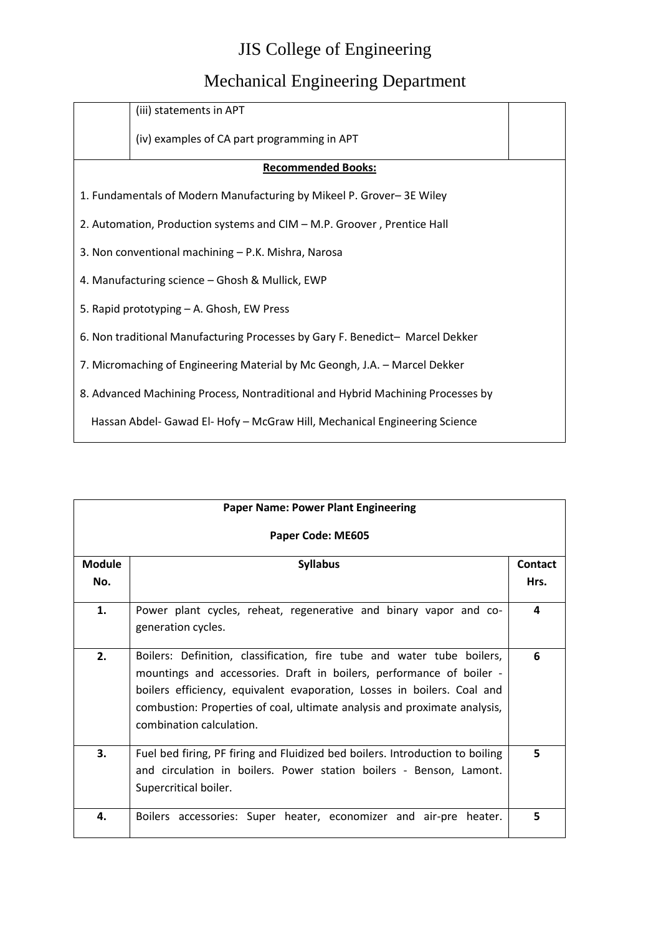|                                                                                 | (iii) statements in APT                                                       |  |
|---------------------------------------------------------------------------------|-------------------------------------------------------------------------------|--|
|                                                                                 | (iv) examples of CA part programming in APT                                   |  |
|                                                                                 | <b>Recommended Books:</b>                                                     |  |
|                                                                                 | 1. Fundamentals of Modern Manufacturing by Mikeel P. Grover-3E Wiley          |  |
|                                                                                 | 2. Automation, Production systems and CIM - M.P. Groover, Prentice Hall       |  |
|                                                                                 | 3. Non conventional machining – P.K. Mishra, Narosa                           |  |
|                                                                                 | 4. Manufacturing science – Ghosh & Mullick, EWP                               |  |
|                                                                                 | 5. Rapid prototyping - A. Ghosh, EW Press                                     |  |
|                                                                                 | 6. Non traditional Manufacturing Processes by Gary F. Benedict- Marcel Dekker |  |
|                                                                                 | 7. Micromaching of Engineering Material by Mc Geongh, J.A. - Marcel Dekker    |  |
| 8. Advanced Machining Process, Nontraditional and Hybrid Machining Processes by |                                                                               |  |
|                                                                                 | Hassan Abdel- Gawad El- Hofy - McGraw Hill, Mechanical Engineering Science    |  |

| <b>Paper Name: Power Plant Engineering</b> |                                                                                                                                                                                                                                                                                                                                    |         |
|--------------------------------------------|------------------------------------------------------------------------------------------------------------------------------------------------------------------------------------------------------------------------------------------------------------------------------------------------------------------------------------|---------|
|                                            | Paper Code: ME605                                                                                                                                                                                                                                                                                                                  |         |
| <b>Module</b>                              | <b>Syllabus</b>                                                                                                                                                                                                                                                                                                                    | Contact |
| No.                                        |                                                                                                                                                                                                                                                                                                                                    | Hrs.    |
| 1.                                         | Power plant cycles, reheat, regenerative and binary vapor and co-<br>generation cycles.                                                                                                                                                                                                                                            | 4       |
| 2.                                         | Boilers: Definition, classification, fire tube and water tube boilers,<br>mountings and accessories. Draft in boilers, performance of boiler -<br>boilers efficiency, equivalent evaporation, Losses in boilers. Coal and<br>combustion: Properties of coal, ultimate analysis and proximate analysis,<br>combination calculation. | 6       |
| 3.                                         | Fuel bed firing, PF firing and Fluidized bed boilers. Introduction to boiling<br>and circulation in boilers. Power station boilers - Benson, Lamont.<br>Supercritical boiler.                                                                                                                                                      | 5       |
| 4.                                         | Boilers accessories: Super heater, economizer and air-pre<br>heater.                                                                                                                                                                                                                                                               | 5       |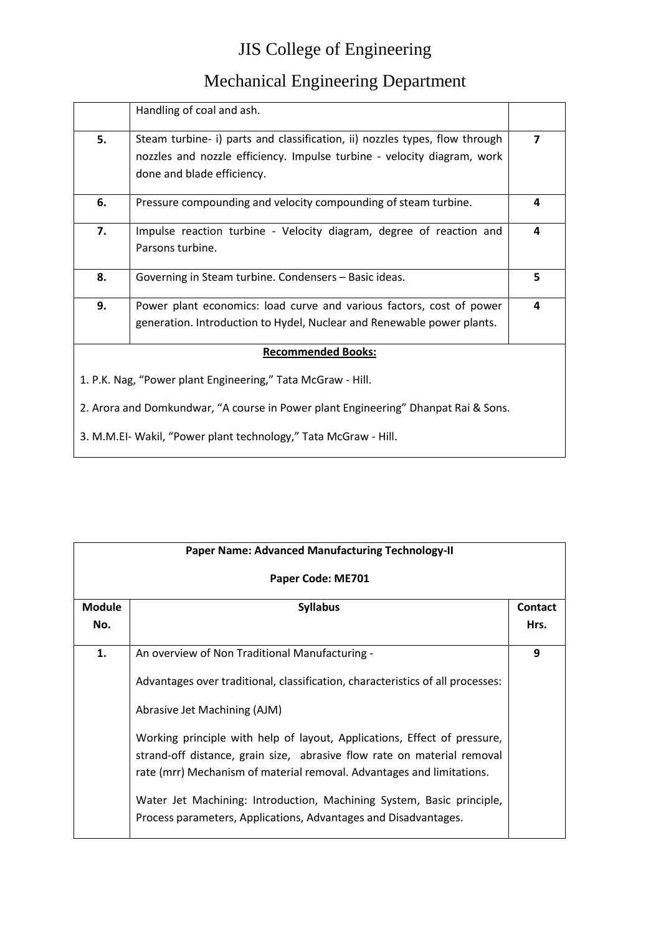|                                                                                    | Handling of coal and ash.                                                                                                                              |   |
|------------------------------------------------------------------------------------|--------------------------------------------------------------------------------------------------------------------------------------------------------|---|
| 5.                                                                                 | Steam turbine- i) parts and classification, ii) nozzles types, flow through<br>nozzles and nozzle efficiency. Impulse turbine - velocity diagram, work | 7 |
|                                                                                    | done and blade efficiency.                                                                                                                             |   |
| 6.                                                                                 | Pressure compounding and velocity compounding of steam turbine.                                                                                        | 4 |
| 7.                                                                                 | Impulse reaction turbine - Velocity diagram, degree of reaction and<br>Parsons turbine.                                                                | 4 |
| 8.                                                                                 | Governing in Steam turbine. Condensers - Basic ideas.                                                                                                  | 5 |
| 9.                                                                                 | Power plant economics: load curve and various factors, cost of power                                                                                   | 4 |
|                                                                                    | generation. Introduction to Hydel, Nuclear and Renewable power plants.                                                                                 |   |
|                                                                                    | <b>Recommended Books:</b>                                                                                                                              |   |
|                                                                                    | 1. P.K. Nag, "Power plant Engineering," Tata McGraw - Hill.                                                                                            |   |
| 2. Arora and Domkundwar, "A course in Power plant Engineering" Dhanpat Rai & Sons. |                                                                                                                                                        |   |
| 3. M.M.EI- Wakil, "Power plant technology," Tata McGraw - Hill.                    |                                                                                                                                                        |   |

| <b>Paper Name: Advanced Manufacturing Technology-II</b> |                                                                                                                                                                                                                                                                                                                                                                                                                                                                                                                                              |                        |
|---------------------------------------------------------|----------------------------------------------------------------------------------------------------------------------------------------------------------------------------------------------------------------------------------------------------------------------------------------------------------------------------------------------------------------------------------------------------------------------------------------------------------------------------------------------------------------------------------------------|------------------------|
| Paper Code: ME701                                       |                                                                                                                                                                                                                                                                                                                                                                                                                                                                                                                                              |                        |
| <b>Module</b><br>No.                                    | <b>Syllabus</b>                                                                                                                                                                                                                                                                                                                                                                                                                                                                                                                              | <b>Contact</b><br>Hrs. |
| 1.                                                      | An overview of Non Traditional Manufacturing -<br>Advantages over traditional, classification, characteristics of all processes:<br>Abrasive Jet Machining (AJM)<br>Working principle with help of layout, Applications, Effect of pressure,<br>strand-off distance, grain size, abrasive flow rate on material removal<br>rate (mrr) Mechanism of material removal. Advantages and limitations.<br>Water Jet Machining: Introduction, Machining System, Basic principle,<br>Process parameters, Applications, Advantages and Disadvantages. | 9                      |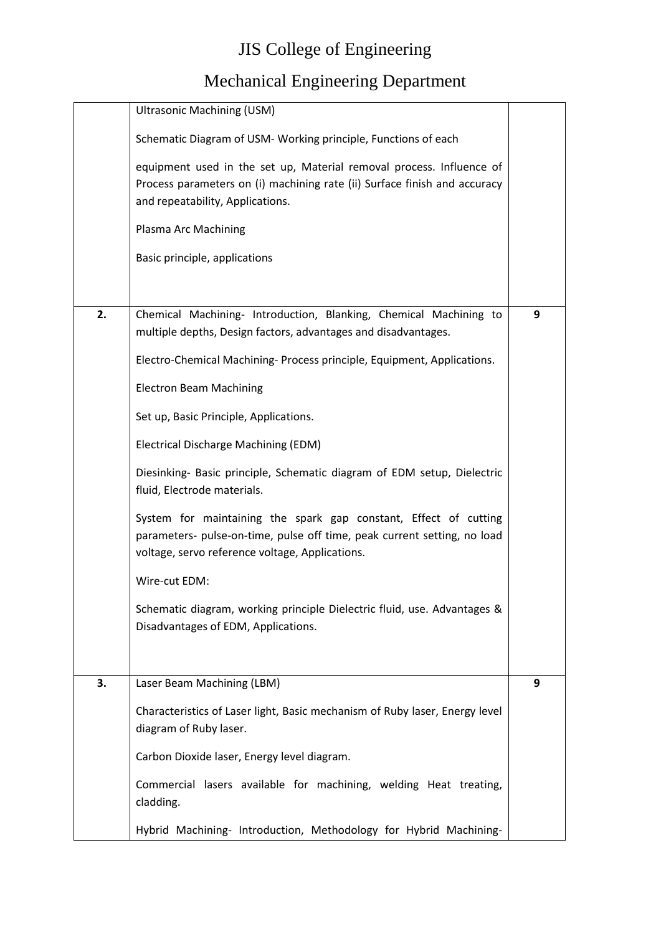|    | <b>Ultrasonic Machining (USM)</b>                                                                                                                                                               |   |
|----|-------------------------------------------------------------------------------------------------------------------------------------------------------------------------------------------------|---|
|    | Schematic Diagram of USM- Working principle, Functions of each                                                                                                                                  |   |
|    | equipment used in the set up, Material removal process. Influence of<br>Process parameters on (i) machining rate (ii) Surface finish and accuracy<br>and repeatability, Applications.           |   |
|    | Plasma Arc Machining                                                                                                                                                                            |   |
|    | Basic principle, applications                                                                                                                                                                   |   |
|    |                                                                                                                                                                                                 |   |
| 2. | Chemical Machining- Introduction, Blanking, Chemical Machining to<br>multiple depths, Design factors, advantages and disadvantages.                                                             | 9 |
|    | Electro-Chemical Machining- Process principle, Equipment, Applications.                                                                                                                         |   |
|    | <b>Electron Beam Machining</b>                                                                                                                                                                  |   |
|    | Set up, Basic Principle, Applications.                                                                                                                                                          |   |
|    | <b>Electrical Discharge Machining (EDM)</b>                                                                                                                                                     |   |
|    | Diesinking- Basic principle, Schematic diagram of EDM setup, Dielectric<br>fluid, Electrode materials.                                                                                          |   |
|    | System for maintaining the spark gap constant, Effect of cutting<br>parameters- pulse-on-time, pulse off time, peak current setting, no load<br>voltage, servo reference voltage, Applications. |   |
|    | Wire-cut EDM:                                                                                                                                                                                   |   |
|    | Schematic diagram, working principle Dielectric fluid, use. Advantages &<br>Disadvantages of EDM, Applications.                                                                                 |   |
| 3. | Laser Beam Machining (LBM)                                                                                                                                                                      | 9 |
|    | Characteristics of Laser light, Basic mechanism of Ruby laser, Energy level                                                                                                                     |   |
|    | diagram of Ruby laser.                                                                                                                                                                          |   |
|    | Carbon Dioxide laser, Energy level diagram.                                                                                                                                                     |   |
|    | Commercial lasers available for machining, welding Heat treating,<br>cladding.                                                                                                                  |   |
|    | Hybrid Machining- Introduction, Methodology for Hybrid Machining-                                                                                                                               |   |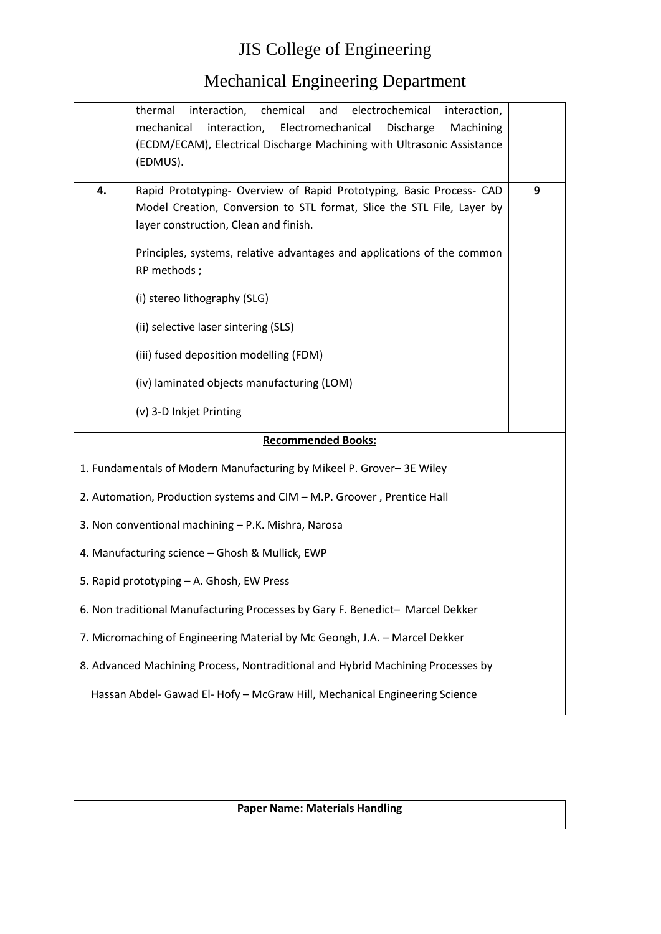#### Mechanical Engineering Department

|    | interaction, chemical<br>and electrochemical<br>thermal<br>interaction,<br>Electromechanical<br>mechanical<br>interaction,<br>Discharge<br>Machining<br>(ECDM/ECAM), Electrical Discharge Machining with Ultrasonic Assistance<br>(EDMUS).                                        |   |
|----|-----------------------------------------------------------------------------------------------------------------------------------------------------------------------------------------------------------------------------------------------------------------------------------|---|
| 4. | Rapid Prototyping- Overview of Rapid Prototyping, Basic Process- CAD<br>Model Creation, Conversion to STL format, Slice the STL File, Layer by<br>layer construction, Clean and finish.<br>Principles, systems, relative advantages and applications of the common<br>RP methods; | 9 |
|    | (i) stereo lithography (SLG)                                                                                                                                                                                                                                                      |   |
|    | (ii) selective laser sintering (SLS)<br>(iii) fused deposition modelling (FDM)                                                                                                                                                                                                    |   |
|    | (iv) laminated objects manufacturing (LOM)                                                                                                                                                                                                                                        |   |
|    | (v) 3-D Inkjet Printing                                                                                                                                                                                                                                                           |   |
|    | <b>Recommended Books:</b>                                                                                                                                                                                                                                                         |   |
|    | 1. Fundamentals of Modern Manufacturing by Mikeel P. Grover-3E Wiley                                                                                                                                                                                                              |   |
|    | 2. Automation, Production systems and CIM - M.P. Groover, Prentice Hall                                                                                                                                                                                                           |   |
|    | 3. Non conventional machining - P.K. Mishra, Narosa                                                                                                                                                                                                                               |   |
|    | 4. Manufacturing science - Ghosh & Mullick, EWP                                                                                                                                                                                                                                   |   |
|    | 5. Rapid prototyping - A. Ghosh, EW Press                                                                                                                                                                                                                                         |   |
|    | 6. Non traditional Manufacturing Processes by Gary F. Benedict- Marcel Dekker                                                                                                                                                                                                     |   |
|    | 7. Micromaching of Engineering Material by Mc Geongh, J.A. - Marcel Dekker                                                                                                                                                                                                        |   |
|    | 8. Advanced Machining Process, Nontraditional and Hybrid Machining Processes by                                                                                                                                                                                                   |   |
|    | Hassan Abdel- Gawad El- Hofy - McGraw Hill, Mechanical Engineering Science                                                                                                                                                                                                        |   |

**Paper Name: Materials Handling**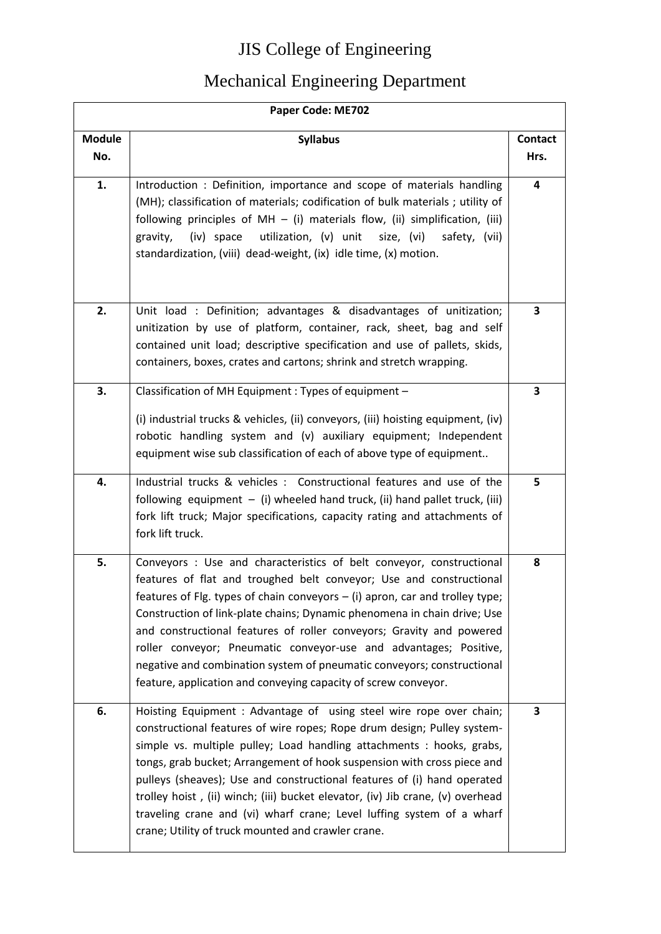| Paper Code: ME702    |                                                                                                                                                                                                                                                                                                                                                                                                                                                                                                                                                                                                    |                        |
|----------------------|----------------------------------------------------------------------------------------------------------------------------------------------------------------------------------------------------------------------------------------------------------------------------------------------------------------------------------------------------------------------------------------------------------------------------------------------------------------------------------------------------------------------------------------------------------------------------------------------------|------------------------|
| <b>Module</b><br>No. | <b>Syllabus</b>                                                                                                                                                                                                                                                                                                                                                                                                                                                                                                                                                                                    | <b>Contact</b><br>Hrs. |
| 1.                   | Introduction : Definition, importance and scope of materials handling<br>(MH); classification of materials; codification of bulk materials; utility of<br>following principles of $MH - (i)$ materials flow, (ii) simplification, (iii)<br>(iv) space<br>utilization, (v) unit<br>size, (vi)<br>safety, (vii)<br>gravity,<br>standardization, (viii) dead-weight, (ix) idle time, (x) motion.                                                                                                                                                                                                      | 4                      |
| 2.                   | Unit load : Definition; advantages & disadvantages of unitization;<br>unitization by use of platform, container, rack, sheet, bag and self<br>contained unit load; descriptive specification and use of pallets, skids,<br>containers, boxes, crates and cartons; shrink and stretch wrapping.                                                                                                                                                                                                                                                                                                     | 3                      |
| 3.                   | Classification of MH Equipment : Types of equipment -<br>(i) industrial trucks & vehicles, (ii) conveyors, (iii) hoisting equipment, (iv)<br>robotic handling system and (v) auxiliary equipment; Independent<br>equipment wise sub classification of each of above type of equipment                                                                                                                                                                                                                                                                                                              | 3                      |
| 4.                   | Industrial trucks & vehicles : Constructional features and use of the<br>following equipment $-$ (i) wheeled hand truck, (ii) hand pallet truck, (iii)<br>fork lift truck; Major specifications, capacity rating and attachments of<br>fork lift truck.                                                                                                                                                                                                                                                                                                                                            | 5                      |
| 5.                   | Conveyors : Use and characteristics of belt conveyor, constructional<br>features of flat and troughed belt conveyor; Use and constructional<br>features of Flg. types of chain conveyors $-$ (i) apron, car and trolley type;<br>Construction of link-plate chains; Dynamic phenomena in chain drive; Use<br>and constructional features of roller conveyors; Gravity and powered<br>roller conveyor; Pneumatic conveyor-use and advantages; Positive,<br>negative and combination system of pneumatic conveyors; constructional<br>feature, application and conveying capacity of screw conveyor. | 8                      |
| 6.                   | Hoisting Equipment : Advantage of using steel wire rope over chain;<br>constructional features of wire ropes; Rope drum design; Pulley system-<br>simple vs. multiple pulley; Load handling attachments : hooks, grabs,<br>tongs, grab bucket; Arrangement of hook suspension with cross piece and<br>pulleys (sheaves); Use and constructional features of (i) hand operated<br>trolley hoist, (ii) winch; (iii) bucket elevator, (iv) Jib crane, (v) overhead<br>traveling crane and (vi) wharf crane; Level luffing system of a wharf<br>crane; Utility of truck mounted and crawler crane.     | 3                      |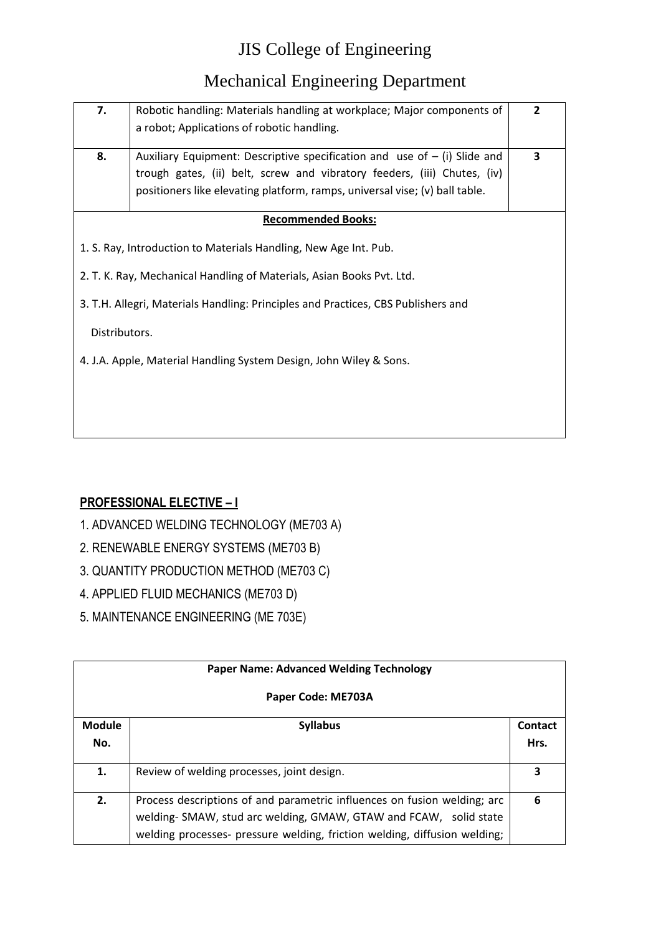#### Mechanical Engineering Department

| 7.            | Robotic handling: Materials handling at workplace; Major components of                                                                                                                                                                 | $\overline{2}$ |
|---------------|----------------------------------------------------------------------------------------------------------------------------------------------------------------------------------------------------------------------------------------|----------------|
|               | a robot; Applications of robotic handling.                                                                                                                                                                                             |                |
| 8.            | Auxiliary Equipment: Descriptive specification and use of $-$ (i) Slide and<br>trough gates, (ii) belt, screw and vibratory feeders, (iii) Chutes, (iv)<br>positioners like elevating platform, ramps, universal vise; (v) ball table. | 3              |
|               | <b>Recommended Books:</b>                                                                                                                                                                                                              |                |
|               | 1. S. Ray, Introduction to Materials Handling, New Age Int. Pub.                                                                                                                                                                       |                |
|               | 2. T. K. Ray, Mechanical Handling of Materials, Asian Books Pvt. Ltd.                                                                                                                                                                  |                |
|               | 3. T.H. Allegri, Materials Handling: Principles and Practices, CBS Publishers and                                                                                                                                                      |                |
| Distributors. |                                                                                                                                                                                                                                        |                |
|               | 4. J.A. Apple, Material Handling System Design, John Wiley & Sons.                                                                                                                                                                     |                |
|               |                                                                                                                                                                                                                                        |                |
|               |                                                                                                                                                                                                                                        |                |
|               |                                                                                                                                                                                                                                        |                |

#### **PROFESSIONAL ELECTIVE – I**

- 1. ADVANCED WELDING TECHNOLOGY (ME703 A)
- 2. RENEWABLE ENERGY SYSTEMS (ME703 B)
- 3. QUANTITY PRODUCTION METHOD (ME703 C)
- 4. APPLIED FLUID MECHANICS (ME703 D)
- 5. MAINTENANCE ENGINEERING (ME 703E)

|                      | <b>Paper Name: Advanced Welding Technology</b>                                                                                                                                                                             |                 |
|----------------------|----------------------------------------------------------------------------------------------------------------------------------------------------------------------------------------------------------------------------|-----------------|
|                      | Paper Code: ME703A                                                                                                                                                                                                         |                 |
| <b>Module</b><br>No. | <b>Syllabus</b>                                                                                                                                                                                                            | Contact<br>Hrs. |
| 1.                   | Review of welding processes, joint design.                                                                                                                                                                                 | 3               |
| 2.                   | Process descriptions of and parametric influences on fusion welding; arc<br>welding- SMAW, stud arc welding, GMAW, GTAW and FCAW, solid state<br>welding processes- pressure welding, friction welding, diffusion welding; | 6               |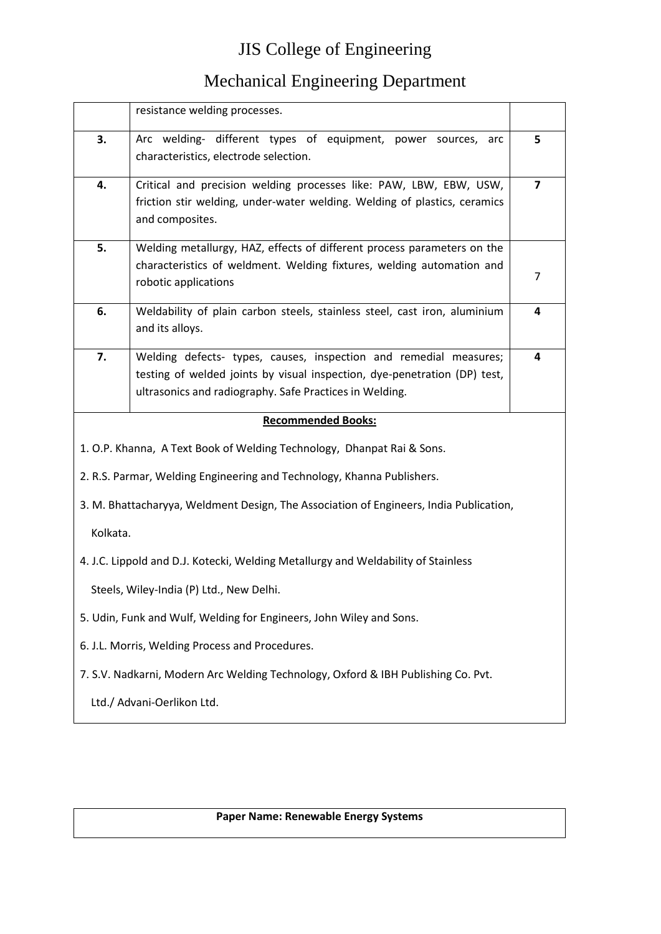#### Mechanical Engineering Department

|          | resistance welding processes.                                                                                                                                                                             |                |
|----------|-----------------------------------------------------------------------------------------------------------------------------------------------------------------------------------------------------------|----------------|
| 3.       | Arc welding- different types of equipment, power sources,<br>arc<br>characteristics, electrode selection.                                                                                                 | 5              |
| 4.       | Critical and precision welding processes like: PAW, LBW, EBW, USW,<br>friction stir welding, under-water welding. Welding of plastics, ceramics<br>and composites.                                        | $\overline{7}$ |
| 5.       | Welding metallurgy, HAZ, effects of different process parameters on the<br>characteristics of weldment. Welding fixtures, welding automation and<br>robotic applications                                  | 7              |
| 6.       | Weldability of plain carbon steels, stainless steel, cast iron, aluminium<br>and its alloys.                                                                                                              | 4              |
| 7.       | Welding defects- types, causes, inspection and remedial measures;<br>testing of welded joints by visual inspection, dye-penetration (DP) test,<br>ultrasonics and radiography. Safe Practices in Welding. | 4              |
|          | <b>Recommended Books:</b>                                                                                                                                                                                 |                |
|          | 1. O.P. Khanna, A Text Book of Welding Technology, Dhanpat Rai & Sons.                                                                                                                                    |                |
|          | 2. R.S. Parmar, Welding Engineering and Technology, Khanna Publishers.                                                                                                                                    |                |
|          |                                                                                                                                                                                                           |                |
|          | 3. M. Bhattacharyya, Weldment Design, The Association of Engineers, India Publication,                                                                                                                    |                |
| Kolkata. |                                                                                                                                                                                                           |                |
|          | 4. J.C. Lippold and D.J. Kotecki, Welding Metallurgy and Weldability of Stainless                                                                                                                         |                |
|          | Steels, Wiley-India (P) Ltd., New Delhi.                                                                                                                                                                  |                |
|          | 5. Udin, Funk and Wulf, Welding for Engineers, John Wiley and Sons.                                                                                                                                       |                |
|          | 6. J.L. Morris, Welding Process and Procedures.                                                                                                                                                           |                |
|          | 7. S.V. Nadkarni, Modern Arc Welding Technology, Oxford & IBH Publishing Co. Pvt.                                                                                                                         |                |

#### **Paper Name: Renewable Energy Systems**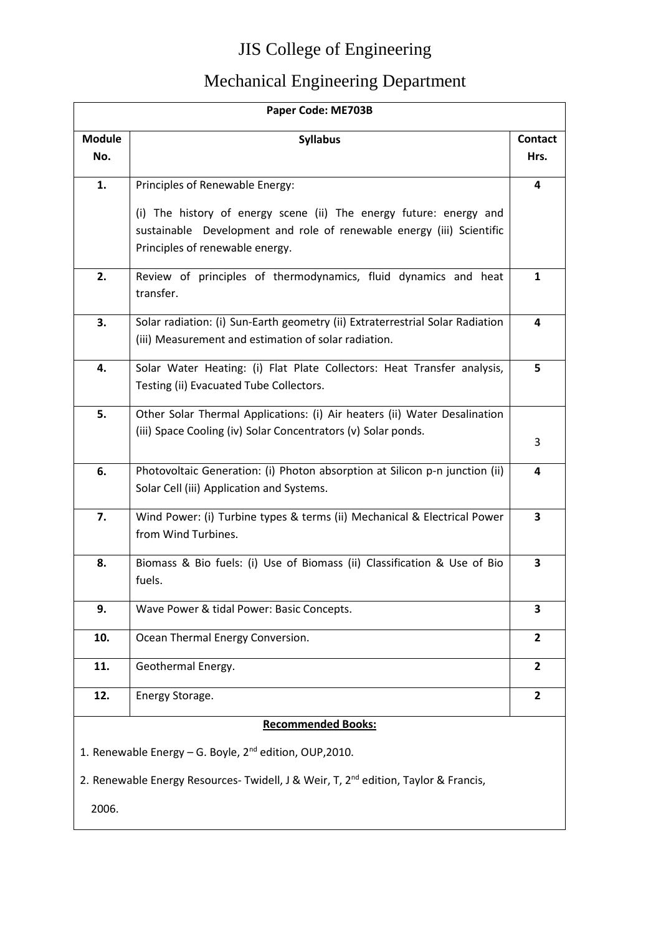|                                                                     | Paper Code: ME703B                                                                                                                                                             |                        |  |
|---------------------------------------------------------------------|--------------------------------------------------------------------------------------------------------------------------------------------------------------------------------|------------------------|--|
| <b>Module</b><br>No.                                                | <b>Syllabus</b>                                                                                                                                                                | <b>Contact</b><br>Hrs. |  |
| 1.                                                                  | Principles of Renewable Energy:                                                                                                                                                | 4                      |  |
|                                                                     | (i) The history of energy scene (ii) The energy future: energy and<br>sustainable Development and role of renewable energy (iii) Scientific<br>Principles of renewable energy. |                        |  |
| 2.                                                                  | Review of principles of thermodynamics, fluid dynamics and heat<br>transfer.                                                                                                   | 1                      |  |
| 3.                                                                  | Solar radiation: (i) Sun-Earth geometry (ii) Extraterrestrial Solar Radiation<br>(iii) Measurement and estimation of solar radiation.                                          | 4                      |  |
| 4.                                                                  | Solar Water Heating: (i) Flat Plate Collectors: Heat Transfer analysis,<br>Testing (ii) Evacuated Tube Collectors.                                                             | 5                      |  |
| 5.                                                                  | Other Solar Thermal Applications: (i) Air heaters (ii) Water Desalination<br>(iii) Space Cooling (iv) Solar Concentrators (v) Solar ponds.                                     | 3                      |  |
| 6.                                                                  | Photovoltaic Generation: (i) Photon absorption at Silicon p-n junction (ii)<br>Solar Cell (iii) Application and Systems.                                                       | 4                      |  |
| 7.                                                                  | Wind Power: (i) Turbine types & terms (ii) Mechanical & Electrical Power<br>from Wind Turbines.                                                                                | 3                      |  |
| 8.                                                                  | Biomass & Bio fuels: (i) Use of Biomass (ii) Classification & Use of Bio<br>fuels.                                                                                             | 3                      |  |
| 9.                                                                  | Wave Power & tidal Power: Basic Concepts.                                                                                                                                      | 3                      |  |
| 10.                                                                 | Ocean Thermal Energy Conversion.                                                                                                                                               | $\overline{2}$         |  |
| 11.                                                                 | Geothermal Energy.                                                                                                                                                             | $\overline{2}$         |  |
| 12.                                                                 | Energy Storage.                                                                                                                                                                | $\overline{2}$         |  |
|                                                                     | <b>Recommended Books:</b>                                                                                                                                                      |                        |  |
| 1. Renewable Energy - G. Boyle, 2 <sup>nd</sup> edition, OUP, 2010. |                                                                                                                                                                                |                        |  |
|                                                                     | 2. Renewable Energy Resources- Twidell, J & Weir, T, 2 <sup>nd</sup> edition, Taylor & Francis,                                                                                |                        |  |
| 2006.                                                               |                                                                                                                                                                                |                        |  |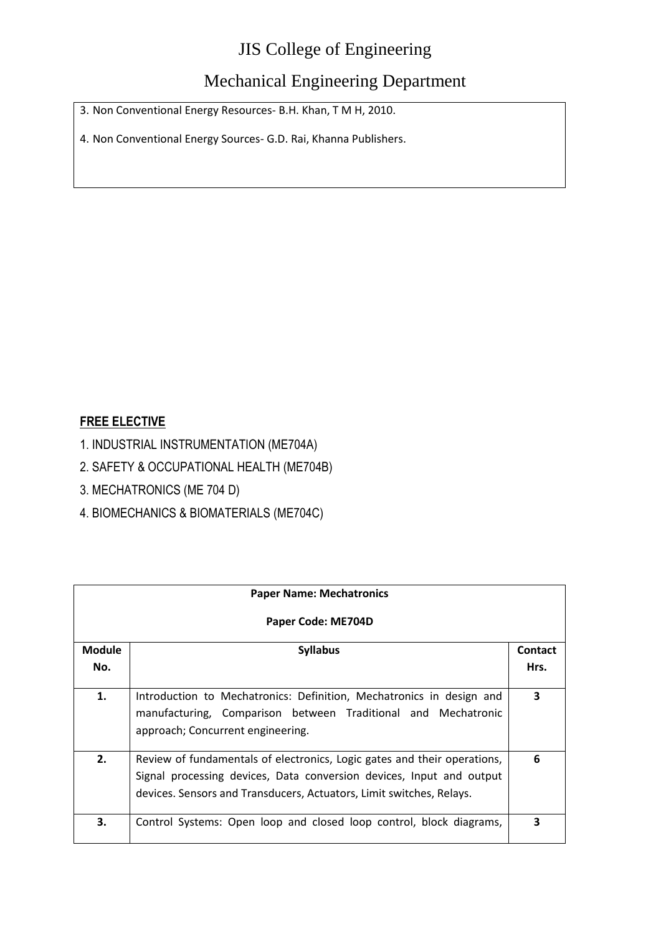#### Mechanical Engineering Department

3. Non Conventional Energy Resources- B.H. Khan, T M H, 2010.

4. Non Conventional Energy Sources- G.D. Rai, Khanna Publishers.

#### **FREE ELECTIVE**

- 1. INDUSTRIAL INSTRUMENTATION (ME704A)
- 2. SAFETY & OCCUPATIONAL HEALTH (ME704B)
- 3. MECHATRONICS (ME 704 D)
- 4. BIOMECHANICS & BIOMATERIALS (ME704C)

| <b>Paper Name: Mechatronics</b> |                                                                                                                                                                                                                          |                |
|---------------------------------|--------------------------------------------------------------------------------------------------------------------------------------------------------------------------------------------------------------------------|----------------|
|                                 | Paper Code: ME704D                                                                                                                                                                                                       |                |
| <b>Module</b>                   | <b>Syllabus</b>                                                                                                                                                                                                          | <b>Contact</b> |
| No.                             |                                                                                                                                                                                                                          | Hrs.           |
| 1.                              | Introduction to Mechatronics: Definition, Mechatronics in design and<br>manufacturing, Comparison between Traditional and Mechatronic<br>approach; Concurrent engineering.                                               | 3              |
| 2.                              | Review of fundamentals of electronics, Logic gates and their operations,<br>Signal processing devices, Data conversion devices, Input and output<br>devices. Sensors and Transducers, Actuators, Limit switches, Relays. | 6              |
| 3.                              | Control Systems: Open loop and closed loop control, block diagrams,                                                                                                                                                      | 3              |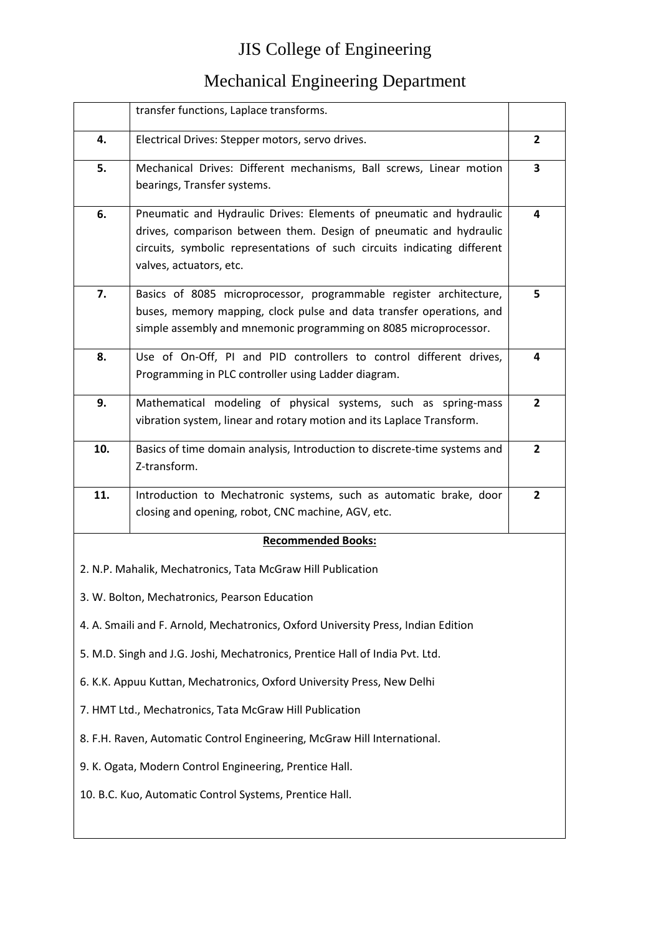|                                                         | transfer functions, Laplace transforms.                                                                                                                                                                                                          |                |
|---------------------------------------------------------|--------------------------------------------------------------------------------------------------------------------------------------------------------------------------------------------------------------------------------------------------|----------------|
| 4.                                                      | Electrical Drives: Stepper motors, servo drives.                                                                                                                                                                                                 | $\overline{2}$ |
| 5.                                                      | Mechanical Drives: Different mechanisms, Ball screws, Linear motion<br>bearings, Transfer systems.                                                                                                                                               | 3              |
| 6.                                                      | Pneumatic and Hydraulic Drives: Elements of pneumatic and hydraulic<br>drives, comparison between them. Design of pneumatic and hydraulic<br>circuits, symbolic representations of such circuits indicating different<br>valves, actuators, etc. | 4              |
| 7.                                                      | Basics of 8085 microprocessor, programmable register architecture,<br>buses, memory mapping, clock pulse and data transfer operations, and<br>simple assembly and mnemonic programming on 8085 microprocessor.                                   | 5              |
| 8.                                                      | Use of On-Off, PI and PID controllers to control different drives,<br>Programming in PLC controller using Ladder diagram.                                                                                                                        | 4              |
| 9.                                                      | Mathematical modeling of physical systems, such as spring-mass<br>vibration system, linear and rotary motion and its Laplace Transform.                                                                                                          | $\mathbf{2}$   |
| 10.                                                     | Basics of time domain analysis, Introduction to discrete-time systems and<br>Z-transform.                                                                                                                                                        | $\overline{2}$ |
| 11.                                                     | Introduction to Mechatronic systems, such as automatic brake, door                                                                                                                                                                               | $\overline{2}$ |
|                                                         | closing and opening, robot, CNC machine, AGV, etc.                                                                                                                                                                                               |                |
|                                                         | <b>Recommended Books:</b>                                                                                                                                                                                                                        |                |
|                                                         | 2. N.P. Mahalik, Mechatronics, Tata McGraw Hill Publication                                                                                                                                                                                      |                |
|                                                         | 3. W. Bolton, Mechatronics, Pearson Education                                                                                                                                                                                                    |                |
|                                                         | 4. A. Smaili and F. Arnold, Mechatronics, Oxford University Press, Indian Edition                                                                                                                                                                |                |
|                                                         | 5. M.D. Singh and J.G. Joshi, Mechatronics, Prentice Hall of India Pvt. Ltd.                                                                                                                                                                     |                |
|                                                         | 6. K.K. Appuu Kuttan, Mechatronics, Oxford University Press, New Delhi                                                                                                                                                                           |                |
| 7. HMT Ltd., Mechatronics, Tata McGraw Hill Publication |                                                                                                                                                                                                                                                  |                |
|                                                         | 8. F.H. Raven, Automatic Control Engineering, McGraw Hill International.                                                                                                                                                                         |                |
|                                                         | 9. K. Ogata, Modern Control Engineering, Prentice Hall.                                                                                                                                                                                          |                |
| 10. B.C. Kuo, Automatic Control Systems, Prentice Hall. |                                                                                                                                                                                                                                                  |                |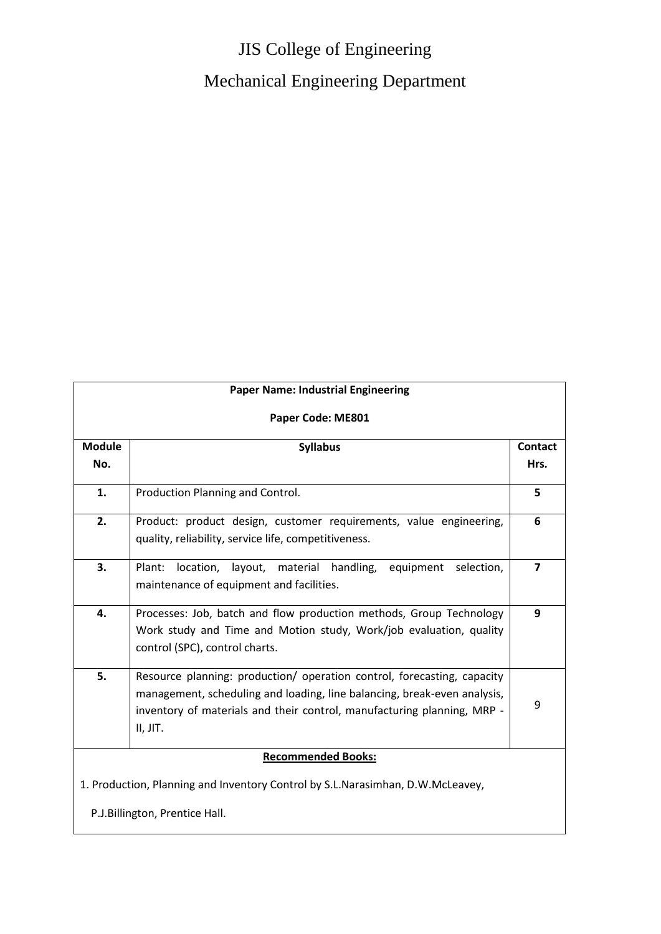# JIS College of Engineering Mechanical Engineering Department

| <b>Paper Name: Industrial Engineering</b>                                      |                                                                                                                                                                                                                                            |                         |
|--------------------------------------------------------------------------------|--------------------------------------------------------------------------------------------------------------------------------------------------------------------------------------------------------------------------------------------|-------------------------|
| Paper Code: ME801                                                              |                                                                                                                                                                                                                                            |                         |
| <b>Module</b>                                                                  | <b>Syllabus</b>                                                                                                                                                                                                                            | <b>Contact</b>          |
| No.                                                                            |                                                                                                                                                                                                                                            | Hrs.                    |
| 1.                                                                             | Production Planning and Control.                                                                                                                                                                                                           | 5                       |
| 2.                                                                             | Product: product design, customer requirements, value engineering,<br>quality, reliability, service life, competitiveness.                                                                                                                 | 6                       |
| 3.                                                                             | Plant:<br>location, layout, material handling,<br>equipment selection,<br>maintenance of equipment and facilities.                                                                                                                         | $\overline{\mathbf{z}}$ |
| 4.                                                                             | Processes: Job, batch and flow production methods, Group Technology<br>Work study and Time and Motion study, Work/job evaluation, quality<br>control (SPC), control charts.                                                                | 9                       |
| 5.                                                                             | Resource planning: production/ operation control, forecasting, capacity<br>management, scheduling and loading, line balancing, break-even analysis,<br>inventory of materials and their control, manufacturing planning, MRP -<br>II, JIT. | 9                       |
|                                                                                | <b>Recommended Books:</b>                                                                                                                                                                                                                  |                         |
| 1. Production, Planning and Inventory Control by S.L.Narasimhan, D.W.McLeavey, |                                                                                                                                                                                                                                            |                         |
| P.J.Billington, Prentice Hall.                                                 |                                                                                                                                                                                                                                            |                         |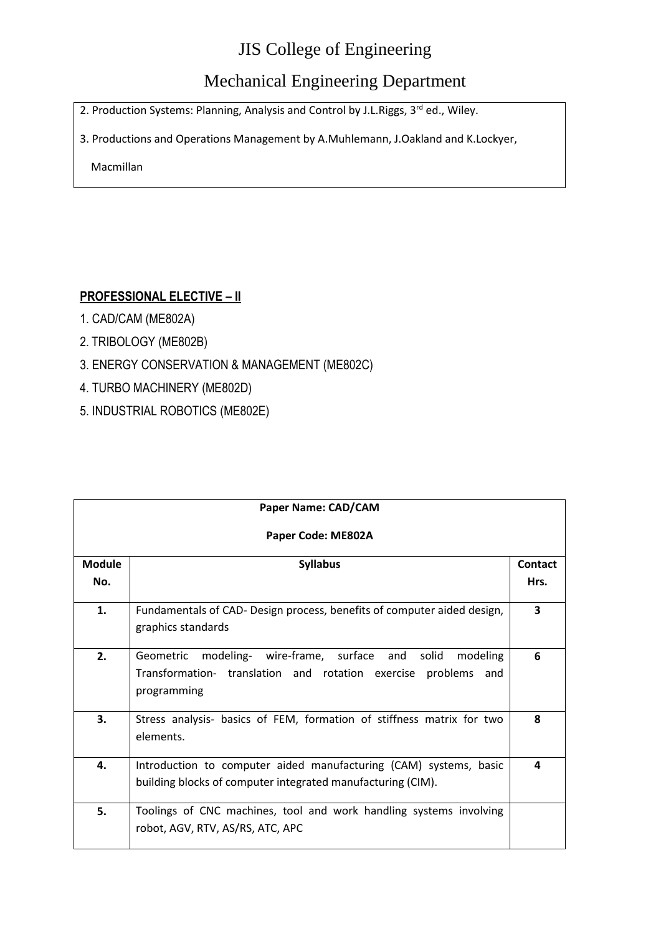#### Mechanical Engineering Department

2. Production Systems: Planning, Analysis and Control by J.L.Riggs, 3<sup>rd</sup> ed., Wiley.

3. Productions and Operations Management by A.Muhlemann, J.Oakland and K.Lockyer,

Macmillan

#### **PROFESSIONAL ELECTIVE – II**

- 1. CAD/CAM (ME802A)
- 2. TRIBOLOGY (ME802B)
- 3. ENERGY CONSERVATION & MANAGEMENT (ME802C)
- 4. TURBO MACHINERY (ME802D)
- 5. INDUSTRIAL ROBOTICS (ME802E)

| Paper Name: CAD/CAM  |                                                                                                                                                      |                 |
|----------------------|------------------------------------------------------------------------------------------------------------------------------------------------------|-----------------|
| Paper Code: ME802A   |                                                                                                                                                      |                 |
| <b>Module</b><br>No. | <b>Syllabus</b>                                                                                                                                      | Contact<br>Hrs. |
| 1.                   | Fundamentals of CAD- Design process, benefits of computer aided design,<br>graphics standards                                                        | 3               |
| 2.                   | modeling- wire-frame, surface and<br>solid<br>modeling<br>Geometric<br>Transformation- translation and rotation exercise problems and<br>programming | 6               |
| 3.                   | Stress analysis- basics of FEM, formation of stiffness matrix for two<br>elements.                                                                   | 8               |
| 4.                   | Introduction to computer aided manufacturing (CAM) systems, basic<br>building blocks of computer integrated manufacturing (CIM).                     | 4               |
| 5.                   | Toolings of CNC machines, tool and work handling systems involving<br>robot, AGV, RTV, AS/RS, ATC, APC                                               |                 |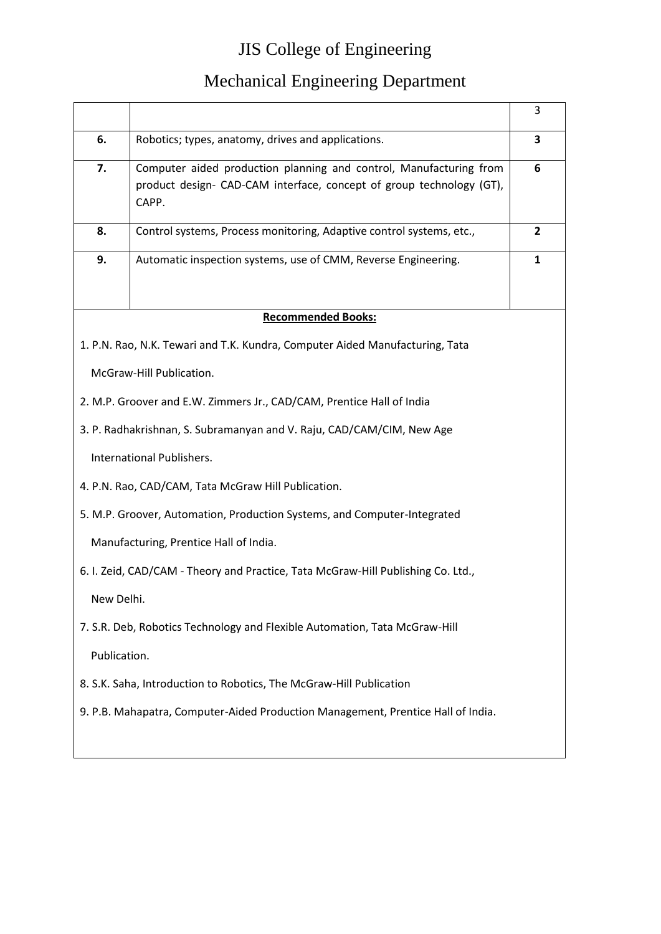|                                                                       |                                                                                  | 3              |
|-----------------------------------------------------------------------|----------------------------------------------------------------------------------|----------------|
| 6.                                                                    | Robotics; types, anatomy, drives and applications.                               | 3              |
| 7.                                                                    | Computer aided production planning and control, Manufacturing from               | 6              |
|                                                                       | product design- CAD-CAM interface, concept of group technology (GT),             |                |
|                                                                       | CAPP.                                                                            |                |
| 8.                                                                    | Control systems, Process monitoring, Adaptive control systems, etc.,             | $\overline{2}$ |
| 9.                                                                    | Automatic inspection systems, use of CMM, Reverse Engineering.                   | 1              |
|                                                                       |                                                                                  |                |
|                                                                       | <b>Recommended Books:</b>                                                        |                |
|                                                                       |                                                                                  |                |
|                                                                       | 1. P.N. Rao, N.K. Tewari and T.K. Kundra, Computer Aided Manufacturing, Tata     |                |
|                                                                       | McGraw-Hill Publication.                                                         |                |
|                                                                       | 2. M.P. Groover and E.W. Zimmers Jr., CAD/CAM, Prentice Hall of India            |                |
| 3. P. Radhakrishnan, S. Subramanyan and V. Raju, CAD/CAM/CIM, New Age |                                                                                  |                |
|                                                                       | International Publishers.                                                        |                |
|                                                                       | 4. P.N. Rao, CAD/CAM, Tata McGraw Hill Publication.                              |                |
|                                                                       | 5. M.P. Groover, Automation, Production Systems, and Computer-Integrated         |                |
|                                                                       | Manufacturing, Prentice Hall of India.                                           |                |
|                                                                       | 6. I. Zeid, CAD/CAM - Theory and Practice, Tata McGraw-Hill Publishing Co. Ltd., |                |
| New Delhi.                                                            |                                                                                  |                |
|                                                                       | 7. S.R. Deb, Robotics Technology and Flexible Automation, Tata McGraw-Hill       |                |
| Publication.                                                          |                                                                                  |                |
|                                                                       | 8. S.K. Saha, Introduction to Robotics, The McGraw-Hill Publication              |                |
|                                                                       | 9. P.B. Mahapatra, Computer-Aided Production Management, Prentice Hall of India. |                |
|                                                                       |                                                                                  |                |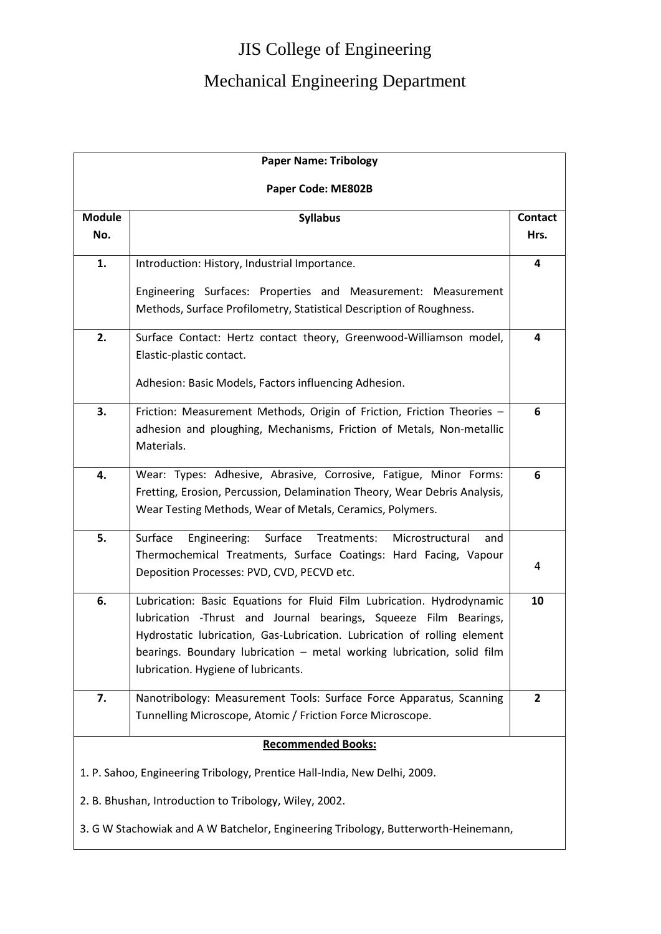| <b>Paper Name: Tribology</b>                                                       |                                                                                                                                                                                                                                                                                                                                        |                        |
|------------------------------------------------------------------------------------|----------------------------------------------------------------------------------------------------------------------------------------------------------------------------------------------------------------------------------------------------------------------------------------------------------------------------------------|------------------------|
|                                                                                    | Paper Code: ME802B                                                                                                                                                                                                                                                                                                                     |                        |
| <b>Module</b><br>No.                                                               | <b>Syllabus</b>                                                                                                                                                                                                                                                                                                                        | <b>Contact</b><br>Hrs. |
| 1.                                                                                 | Introduction: History, Industrial Importance.                                                                                                                                                                                                                                                                                          | 4                      |
|                                                                                    | Engineering Surfaces: Properties and Measurement: Measurement<br>Methods, Surface Profilometry, Statistical Description of Roughness.                                                                                                                                                                                                  |                        |
| 2.                                                                                 | Surface Contact: Hertz contact theory, Greenwood-Williamson model,<br>Elastic-plastic contact.                                                                                                                                                                                                                                         | 4                      |
|                                                                                    | Adhesion: Basic Models, Factors influencing Adhesion.                                                                                                                                                                                                                                                                                  |                        |
| 3.                                                                                 | Friction: Measurement Methods, Origin of Friction, Friction Theories -<br>adhesion and ploughing, Mechanisms, Friction of Metals, Non-metallic<br>Materials.                                                                                                                                                                           | 6                      |
| 4.                                                                                 | Wear: Types: Adhesive, Abrasive, Corrosive, Fatigue, Minor Forms:<br>Fretting, Erosion, Percussion, Delamination Theory, Wear Debris Analysis,<br>Wear Testing Methods, Wear of Metals, Ceramics, Polymers.                                                                                                                            | 6                      |
| 5.                                                                                 | Surface<br>Surface<br>Treatments:<br>Engineering:<br>Microstructural<br>and<br>Thermochemical Treatments, Surface Coatings: Hard Facing, Vapour<br>Deposition Processes: PVD, CVD, PECVD etc.                                                                                                                                          | 4                      |
| 6.                                                                                 | Lubrication: Basic Equations for Fluid Film Lubrication. Hydrodynamic<br>lubrication -Thrust and Journal bearings, Squeeze Film Bearings,<br>Hydrostatic lubrication, Gas-Lubrication. Lubrication of rolling element<br>bearings. Boundary lubrication - metal working lubrication, solid film<br>lubrication. Hygiene of lubricants. | 10                     |
| 7.                                                                                 | Nanotribology: Measurement Tools: Surface Force Apparatus, Scanning<br>Tunnelling Microscope, Atomic / Friction Force Microscope.                                                                                                                                                                                                      | $\overline{2}$         |
| <b>Recommended Books:</b>                                                          |                                                                                                                                                                                                                                                                                                                                        |                        |
| 1. P. Sahoo, Engineering Tribology, Prentice Hall-India, New Delhi, 2009.          |                                                                                                                                                                                                                                                                                                                                        |                        |
| 2. B. Bhushan, Introduction to Tribology, Wiley, 2002.                             |                                                                                                                                                                                                                                                                                                                                        |                        |
| 3. G W Stachowiak and A W Batchelor, Engineering Tribology, Butterworth-Heinemann, |                                                                                                                                                                                                                                                                                                                                        |                        |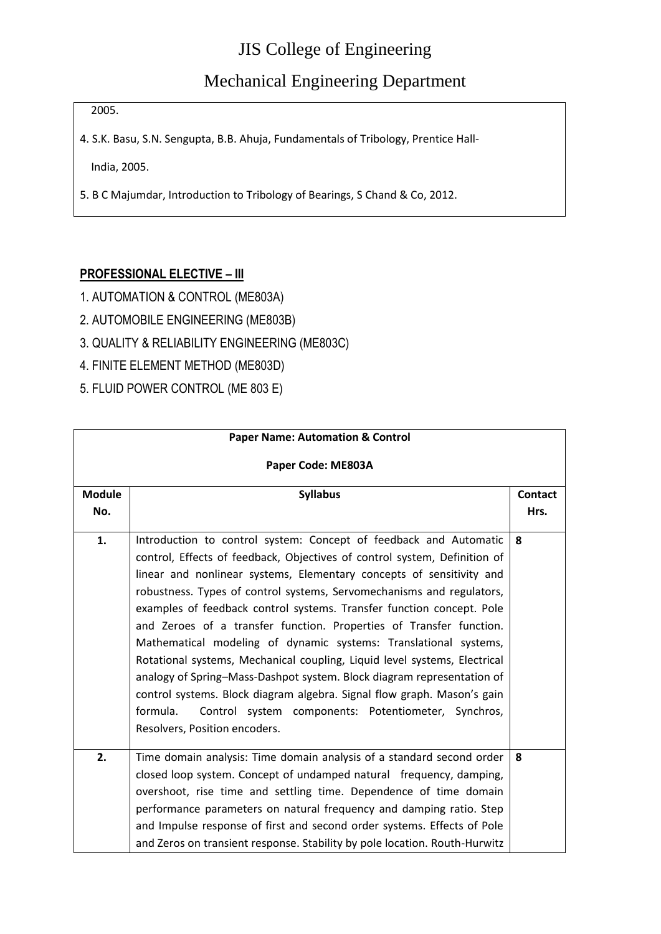Mechanical Engineering Department

2005.

4. S.K. Basu, S.N. Sengupta, B.B. Ahuja, Fundamentals of Tribology, Prentice Hall-

India, 2005.

5. B C Majumdar, Introduction to Tribology of Bearings, S Chand & Co, 2012.

#### **PROFESSIONAL ELECTIVE – III**

- 1. AUTOMATION & CONTROL (ME803A)
- 2. AUTOMOBILE ENGINEERING (ME803B)
- 3. QUALITY & RELIABILITY ENGINEERING (ME803C)
- 4. FINITE ELEMENT METHOD (ME803D)
- 5. FLUID POWER CONTROL (ME 803 E)

| <b>Paper Name: Automation &amp; Control</b> |                                                                                                                                                                                                                                                                                                                                                                                                                                                                                                                                                                                                                                                                                                                                                                                                                                                           |                        |
|---------------------------------------------|-----------------------------------------------------------------------------------------------------------------------------------------------------------------------------------------------------------------------------------------------------------------------------------------------------------------------------------------------------------------------------------------------------------------------------------------------------------------------------------------------------------------------------------------------------------------------------------------------------------------------------------------------------------------------------------------------------------------------------------------------------------------------------------------------------------------------------------------------------------|------------------------|
| Paper Code: ME803A                          |                                                                                                                                                                                                                                                                                                                                                                                                                                                                                                                                                                                                                                                                                                                                                                                                                                                           |                        |
| <b>Module</b><br>No.                        | <b>Syllabus</b>                                                                                                                                                                                                                                                                                                                                                                                                                                                                                                                                                                                                                                                                                                                                                                                                                                           | <b>Contact</b><br>Hrs. |
| 1.                                          | Introduction to control system: Concept of feedback and Automatic<br>control, Effects of feedback, Objectives of control system, Definition of<br>linear and nonlinear systems, Elementary concepts of sensitivity and<br>robustness. Types of control systems, Servomechanisms and regulators,<br>examples of feedback control systems. Transfer function concept. Pole<br>and Zeroes of a transfer function. Properties of Transfer function.<br>Mathematical modeling of dynamic systems: Translational systems,<br>Rotational systems, Mechanical coupling, Liquid level systems, Electrical<br>analogy of Spring-Mass-Dashpot system. Block diagram representation of<br>control systems. Block diagram algebra. Signal flow graph. Mason's gain<br>formula.<br>Control system components: Potentiometer, Synchros,<br>Resolvers, Position encoders. | 8                      |
| 2.                                          | Time domain analysis: Time domain analysis of a standard second order<br>closed loop system. Concept of undamped natural frequency, damping,<br>overshoot, rise time and settling time. Dependence of time domain<br>performance parameters on natural frequency and damping ratio. Step<br>and Impulse response of first and second order systems. Effects of Pole<br>and Zeros on transient response. Stability by pole location. Routh-Hurwitz                                                                                                                                                                                                                                                                                                                                                                                                         | 8                      |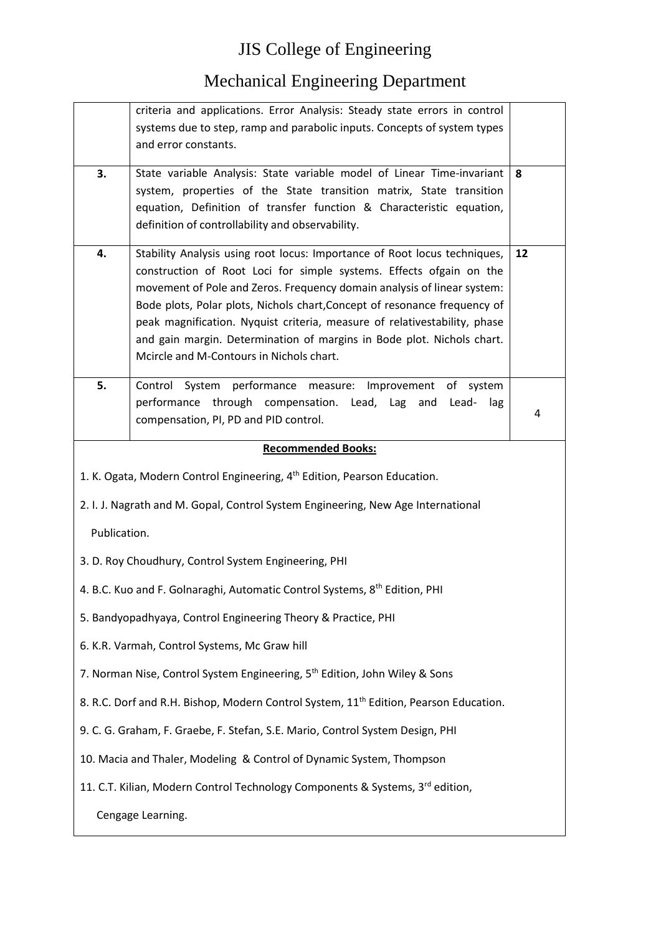|              | criteria and applications. Error Analysis: Steady state errors in control                                                                              |    |
|--------------|--------------------------------------------------------------------------------------------------------------------------------------------------------|----|
|              | systems due to step, ramp and parabolic inputs. Concepts of system types                                                                               |    |
|              | and error constants.                                                                                                                                   |    |
| 3.           | State variable Analysis: State variable model of Linear Time-invariant                                                                                 | 8  |
|              | system, properties of the State transition matrix, State transition                                                                                    |    |
|              | equation, Definition of transfer function & Characteristic equation,                                                                                   |    |
|              | definition of controllability and observability.                                                                                                       |    |
| 4.           | Stability Analysis using root locus: Importance of Root locus techniques,                                                                              | 12 |
|              | construction of Root Loci for simple systems. Effects ofgain on the                                                                                    |    |
|              | movement of Pole and Zeros. Frequency domain analysis of linear system:                                                                                |    |
|              | Bode plots, Polar plots, Nichols chart, Concept of resonance frequency of<br>peak magnification. Nyquist criteria, measure of relativestability, phase |    |
|              | and gain margin. Determination of margins in Bode plot. Nichols chart.                                                                                 |    |
|              | Mcircle and M-Contours in Nichols chart.                                                                                                               |    |
| 5.           | Control System performance measure: Improvement of system                                                                                              |    |
|              | performance through compensation. Lead, Lag<br>and Lead-<br>lag                                                                                        |    |
|              | compensation, PI, PD and PID control.                                                                                                                  | 4  |
|              | <b>Recommended Books:</b>                                                                                                                              |    |
|              |                                                                                                                                                        |    |
|              | 1. K. Ogata, Modern Control Engineering, 4 <sup>th</sup> Edition, Pearson Education.                                                                   |    |
|              |                                                                                                                                                        |    |
|              | 2. I. J. Nagrath and M. Gopal, Control System Engineering, New Age International                                                                       |    |
| Publication. |                                                                                                                                                        |    |
|              | 3. D. Roy Choudhury, Control System Engineering, PHI                                                                                                   |    |
|              | 4. B.C. Kuo and F. Golnaraghi, Automatic Control Systems, 8 <sup>th</sup> Edition, PHI                                                                 |    |
|              | 5. Bandyopadhyaya, Control Engineering Theory & Practice, PHI                                                                                          |    |
|              | 6. K.R. Varmah, Control Systems, Mc Graw hill                                                                                                          |    |
|              | 7. Norman Nise, Control System Engineering, 5 <sup>th</sup> Edition, John Wiley & Sons                                                                 |    |
|              | 8. R.C. Dorf and R.H. Bishop, Modern Control System, 11 <sup>th</sup> Edition, Pearson Education.                                                      |    |
|              | 9. C. G. Graham, F. Graebe, F. Stefan, S.E. Mario, Control System Design, PHI                                                                          |    |
|              | 10. Macia and Thaler, Modeling & Control of Dynamic System, Thompson                                                                                   |    |
|              | 11. C.T. Kilian, Modern Control Technology Components & Systems, 3rd edition,                                                                          |    |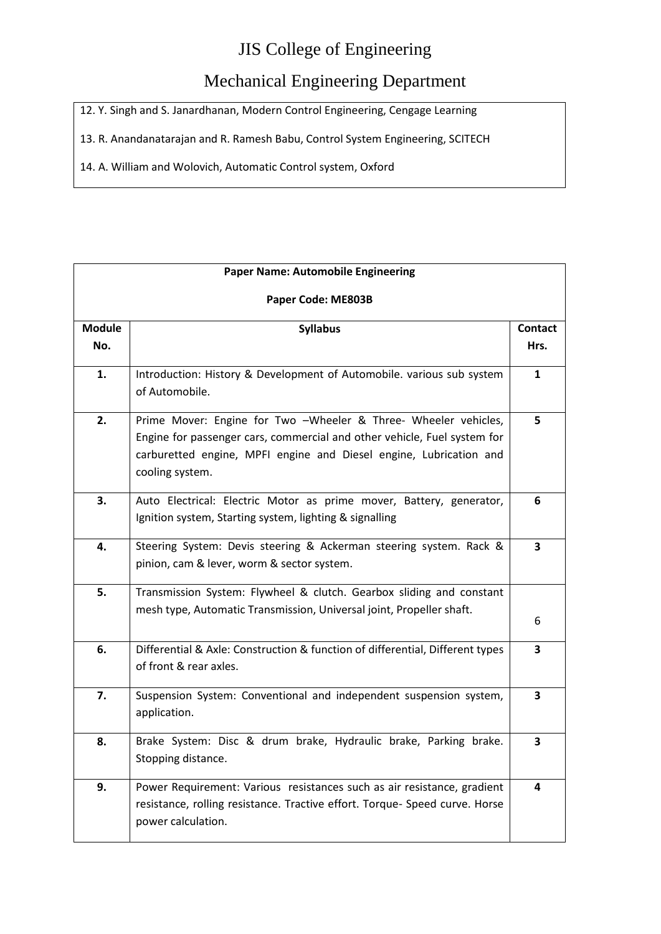#### Mechanical Engineering Department

12. Y. Singh and S. Janardhanan, Modern Control Engineering, Cengage Learning

13. R. Anandanatarajan and R. Ramesh Babu, Control System Engineering, SCITECH

14. A. William and Wolovich, Automatic Control system, Oxford

| <b>Paper Name: Automobile Engineering</b> |                                                                                                                                                                                                                                      |                 |
|-------------------------------------------|--------------------------------------------------------------------------------------------------------------------------------------------------------------------------------------------------------------------------------------|-----------------|
| Paper Code: ME803B                        |                                                                                                                                                                                                                                      |                 |
| <b>Module</b><br>No.                      | <b>Syllabus</b>                                                                                                                                                                                                                      | Contact<br>Hrs. |
| 1.                                        | Introduction: History & Development of Automobile. various sub system<br>of Automobile.                                                                                                                                              | $\mathbf{1}$    |
| 2.                                        | Prime Mover: Engine for Two -Wheeler & Three- Wheeler vehicles,<br>Engine for passenger cars, commercial and other vehicle, Fuel system for<br>carburetted engine, MPFI engine and Diesel engine, Lubrication and<br>cooling system. | 5               |
| 3.                                        | Auto Electrical: Electric Motor as prime mover, Battery, generator,<br>Ignition system, Starting system, lighting & signalling                                                                                                       | 6               |
| 4.                                        | Steering System: Devis steering & Ackerman steering system. Rack &<br>pinion, cam & lever, worm & sector system.                                                                                                                     | 3               |
| 5.                                        | Transmission System: Flywheel & clutch. Gearbox sliding and constant<br>mesh type, Automatic Transmission, Universal joint, Propeller shaft.                                                                                         | 6               |
| 6.                                        | Differential & Axle: Construction & function of differential, Different types<br>of front & rear axles.                                                                                                                              | 3               |
| 7.                                        | Suspension System: Conventional and independent suspension system,<br>application.                                                                                                                                                   | 3               |
| 8.                                        | Brake System: Disc & drum brake, Hydraulic brake, Parking brake.<br>Stopping distance.                                                                                                                                               | 3               |
| 9.                                        | Power Requirement: Various resistances such as air resistance, gradient<br>resistance, rolling resistance. Tractive effort. Torque- Speed curve. Horse<br>power calculation.                                                         | 4               |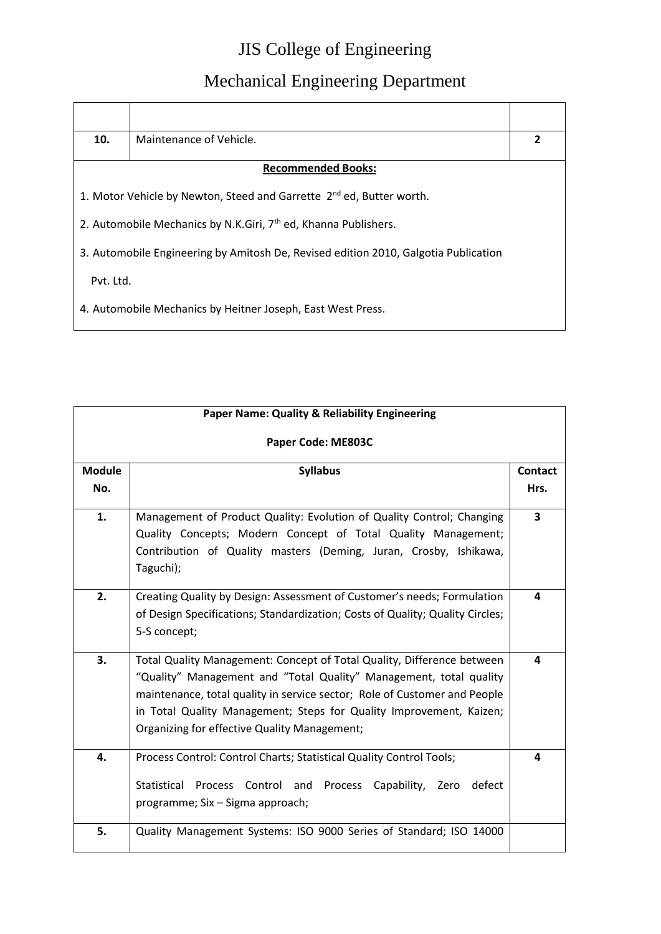| 10.                                                                         | Maintenance of Vehicle.                                                             | $\overline{2}$ |
|-----------------------------------------------------------------------------|-------------------------------------------------------------------------------------|----------------|
|                                                                             | <b>Recommended Books:</b>                                                           |                |
|                                                                             | 1. Motor Vehicle by Newton, Steed and Garrette 2 <sup>nd</sup> ed, Butter worth.    |                |
| 2. Automobile Mechanics by N.K.Giri, 7 <sup>th</sup> ed, Khanna Publishers. |                                                                                     |                |
|                                                                             | 3. Automobile Engineering by Amitosh De, Revised edition 2010, Galgotia Publication |                |
| Pvt. Ltd.                                                                   |                                                                                     |                |
|                                                                             | 4. Automobile Mechanics by Heitner Joseph, East West Press.                         |                |

| <b>Paper Name: Quality &amp; Reliability Engineering</b> |                                                                                                                                                                                                                                                                                                                                                  |                         |
|----------------------------------------------------------|--------------------------------------------------------------------------------------------------------------------------------------------------------------------------------------------------------------------------------------------------------------------------------------------------------------------------------------------------|-------------------------|
|                                                          | Paper Code: ME803C                                                                                                                                                                                                                                                                                                                               |                         |
| <b>Module</b>                                            | <b>Syllabus</b>                                                                                                                                                                                                                                                                                                                                  | <b>Contact</b>          |
| No.                                                      |                                                                                                                                                                                                                                                                                                                                                  | Hrs.                    |
| 1.                                                       | Management of Product Quality: Evolution of Quality Control; Changing<br>Quality Concepts; Modern Concept of Total Quality Management;<br>Contribution of Quality masters (Deming, Juran, Crosby, Ishikawa,<br>Taguchi);                                                                                                                         | $\overline{\mathbf{3}}$ |
| 2.                                                       | Creating Quality by Design: Assessment of Customer's needs; Formulation<br>of Design Specifications; Standardization; Costs of Quality; Quality Circles;<br>5-S concept;                                                                                                                                                                         | 4                       |
| 3.                                                       | Total Quality Management: Concept of Total Quality, Difference between<br>"Quality" Management and "Total Quality" Management, total quality<br>maintenance, total quality in service sector; Role of Customer and People<br>in Total Quality Management; Steps for Quality Improvement, Kaizen;<br>Organizing for effective Quality Management; | 4                       |
| 4.                                                       | Process Control: Control Charts; Statistical Quality Control Tools;<br>Statistical<br>Process Control and<br>Process Capability, Zero<br>defect<br>programme; Six - Sigma approach;                                                                                                                                                              | 4                       |
| 5.                                                       | Quality Management Systems: ISO 9000 Series of Standard; ISO 14000                                                                                                                                                                                                                                                                               |                         |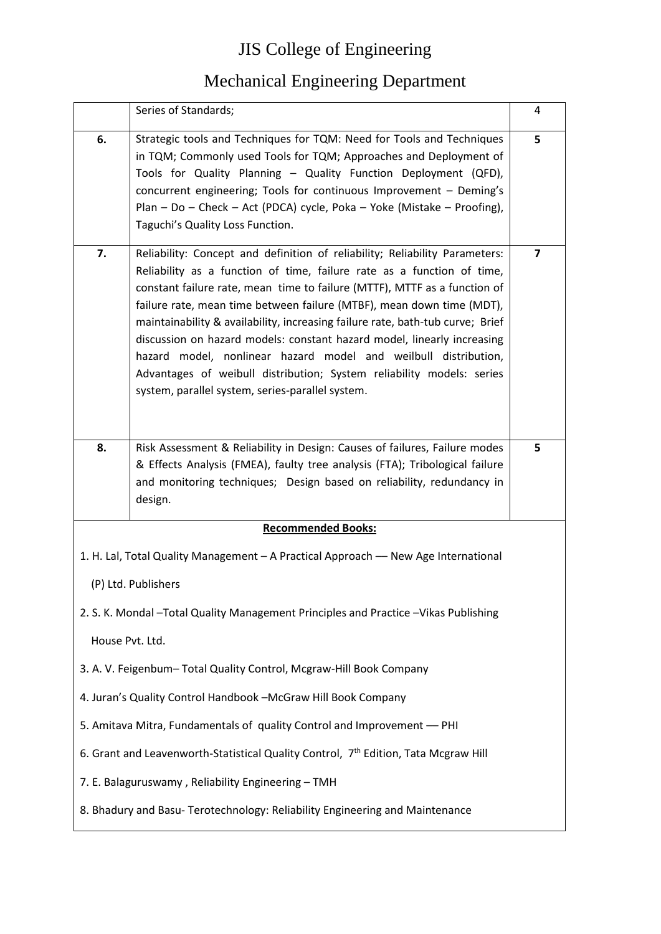|                                                                                                 | Series of Standards;                                                                                                                                                                                                                                                                                                                                                                                                                                                                                                                                                                                                                                                     | 4                       |
|-------------------------------------------------------------------------------------------------|--------------------------------------------------------------------------------------------------------------------------------------------------------------------------------------------------------------------------------------------------------------------------------------------------------------------------------------------------------------------------------------------------------------------------------------------------------------------------------------------------------------------------------------------------------------------------------------------------------------------------------------------------------------------------|-------------------------|
| 6.                                                                                              | Strategic tools and Techniques for TQM: Need for Tools and Techniques<br>in TQM; Commonly used Tools for TQM; Approaches and Deployment of<br>Tools for Quality Planning - Quality Function Deployment (QFD),<br>concurrent engineering; Tools for continuous Improvement - Deming's<br>Plan - Do - Check - Act (PDCA) cycle, Poka - Yoke (Mistake - Proofing),<br>Taguchi's Quality Loss Function.                                                                                                                                                                                                                                                                      | 5                       |
| 7.                                                                                              | Reliability: Concept and definition of reliability; Reliability Parameters:<br>Reliability as a function of time, failure rate as a function of time,<br>constant failure rate, mean time to failure (MTTF), MTTF as a function of<br>failure rate, mean time between failure (MTBF), mean down time (MDT),<br>maintainability & availability, increasing failure rate, bath-tub curve; Brief<br>discussion on hazard models: constant hazard model, linearly increasing<br>hazard model, nonlinear hazard model and weilbull distribution,<br>Advantages of weibull distribution; System reliability models: series<br>system, parallel system, series-parallel system. | $\overline{\mathbf{z}}$ |
| 8.                                                                                              | Risk Assessment & Reliability in Design: Causes of failures, Failure modes<br>& Effects Analysis (FMEA), faulty tree analysis (FTA); Tribological failure<br>and monitoring techniques; Design based on reliability, redundancy in<br>design.                                                                                                                                                                                                                                                                                                                                                                                                                            | 5                       |
|                                                                                                 | <b>Recommended Books:</b>                                                                                                                                                                                                                                                                                                                                                                                                                                                                                                                                                                                                                                                |                         |
| 1. H. Lal, Total Quality Management - A Practical Approach - New Age International              |                                                                                                                                                                                                                                                                                                                                                                                                                                                                                                                                                                                                                                                                          |                         |
| (P) Ltd. Publishers                                                                             |                                                                                                                                                                                                                                                                                                                                                                                                                                                                                                                                                                                                                                                                          |                         |
|                                                                                                 | 2. S. K. Mondal - Total Quality Management Principles and Practice - Vikas Publishing                                                                                                                                                                                                                                                                                                                                                                                                                                                                                                                                                                                    |                         |
| House Pvt. Ltd.                                                                                 |                                                                                                                                                                                                                                                                                                                                                                                                                                                                                                                                                                                                                                                                          |                         |
|                                                                                                 | 3. A. V. Feigenbum-Total Quality Control, Mcgraw-Hill Book Company                                                                                                                                                                                                                                                                                                                                                                                                                                                                                                                                                                                                       |                         |
| 4. Juran's Quality Control Handbook -McGraw Hill Book Company                                   |                                                                                                                                                                                                                                                                                                                                                                                                                                                                                                                                                                                                                                                                          |                         |
| 5. Amitava Mitra, Fundamentals of quality Control and Improvement - PHI                         |                                                                                                                                                                                                                                                                                                                                                                                                                                                                                                                                                                                                                                                                          |                         |
| 6. Grant and Leavenworth-Statistical Quality Control, 7 <sup>th</sup> Edition, Tata Mcgraw Hill |                                                                                                                                                                                                                                                                                                                                                                                                                                                                                                                                                                                                                                                                          |                         |
| 7. E. Balaguruswamy, Reliability Engineering - TMH                                              |                                                                                                                                                                                                                                                                                                                                                                                                                                                                                                                                                                                                                                                                          |                         |
| 8. Bhadury and Basu- Terotechnology: Reliability Engineering and Maintenance                    |                                                                                                                                                                                                                                                                                                                                                                                                                                                                                                                                                                                                                                                                          |                         |